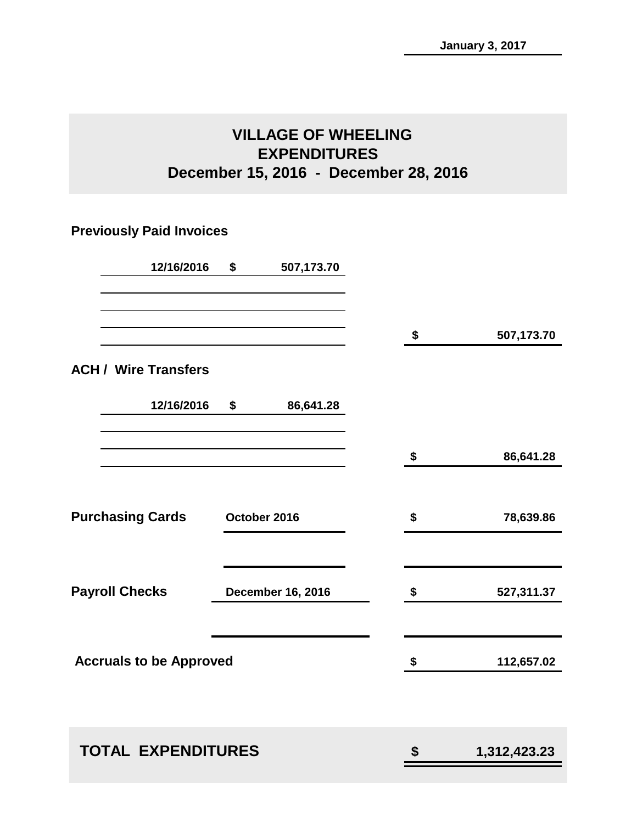# **VILLAGE OF WHEELING EXPENDITURES December 15, 2016 - December 28, 2016**

## **Previously Paid Invoices**

| \$<br>507,173.70               |                                          |                                       |
|--------------------------------|------------------------------------------|---------------------------------------|
|                                |                                          | 507,173.70                            |
|                                |                                          |                                       |
| \$<br>86,641.28                |                                          |                                       |
|                                | \$                                       | 86,641.28                             |
|                                | \$                                       | 78,639.86                             |
|                                | \$                                       | 527,311.37                            |
|                                | \$                                       | 112,657.02                            |
|                                |                                          | 1,312,423.23                          |
| <b>Accruals to be Approved</b> | October 2016<br><b>December 16, 2016</b> | \$<br><b>TOTAL EXPENDITURES</b><br>\$ |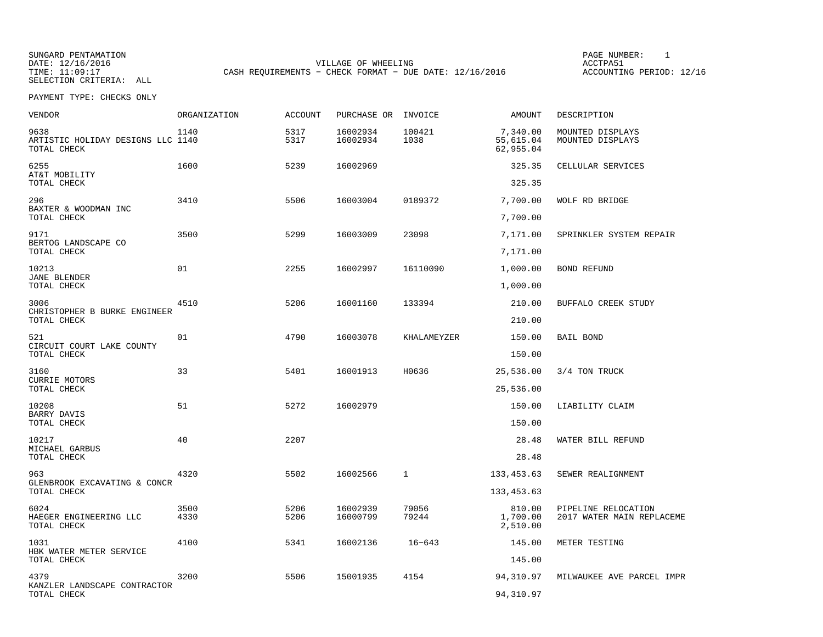SUNGARD PENTAMATION SUNGARD PENTAMATION SUNG PAGE NUMBER: 1 SUNGARD PENTAMATION SUNG PAGE NUMBER: 1 SUNG PAGE NUMBER: 1 SUNG PAGE NUMBER: 1 SUNG PAGE NUMBER: 1 SUNG PAGE NUMBER: 1 SUNG PAGE NUMBER: 1 SUNG PAGE NUMBER: 1 SU DATE: 12/16/2016 VILLAGE OF WHEELING ACCTPA51SELECTION CRITERIA: ALL

ACCOUNTING PERIOD: 12/16

PAYMENT TYPE: CHECKS ONLY

| <b>VENDOR</b>                                            | ORGANIZATION | <b>ACCOUNT</b> | PURCHASE OR INVOICE  |                | AMOUNT                             | DESCRIPTION                                      |
|----------------------------------------------------------|--------------|----------------|----------------------|----------------|------------------------------------|--------------------------------------------------|
| 9638<br>ARTISTIC HOLIDAY DESIGNS LLC 1140<br>TOTAL CHECK | 1140         | 5317<br>5317   | 16002934<br>16002934 | 100421<br>1038 | 7,340.00<br>55,615.04<br>62,955.04 | MOUNTED DISPLAYS<br>MOUNTED DISPLAYS             |
| 6255<br>AT&T MOBILITY<br>TOTAL CHECK                     | 1600         | 5239           | 16002969             |                | 325.35<br>325.35                   | CELLULAR SERVICES                                |
| 296<br>BAXTER & WOODMAN INC<br>TOTAL CHECK               | 3410         | 5506           | 16003004             | 0189372        | 7,700.00<br>7,700.00               | WOLF RD BRIDGE                                   |
| 9171<br>BERTOG LANDSCAPE CO<br>TOTAL CHECK               | 3500         | 5299           | 16003009             | 23098          | 7,171.00<br>7,171.00               | SPRINKLER SYSTEM REPAIR                          |
| 10213<br><b>JANE BLENDER</b><br>TOTAL CHECK              | 01           | 2255           | 16002997             | 16110090       | 1,000.00<br>1,000.00               | <b>BOND REFUND</b>                               |
| 3006<br>CHRISTOPHER B BURKE ENGINEER<br>TOTAL CHECK      | 4510         | 5206           | 16001160             | 133394         | 210.00<br>210.00                   | BUFFALO CREEK STUDY                              |
| 521<br>CIRCUIT COURT LAKE COUNTY<br>TOTAL CHECK          | 01           | 4790           | 16003078             | KHALAMEYZER    | 150.00<br>150.00                   | BAIL BOND                                        |
| 3160<br><b>CURRIE MOTORS</b><br>TOTAL CHECK              | 33           | 5401           | 16001913             | H0636          | 25,536.00<br>25,536.00             | 3/4 TON TRUCK                                    |
| 10208<br>BARRY DAVIS<br>TOTAL CHECK                      | 51           | 5272           | 16002979             |                | 150.00<br>150.00                   | LIABILITY CLAIM                                  |
| 10217<br>MICHAEL GARBUS<br>TOTAL CHECK                   | 40           | 2207           |                      |                | 28.48<br>28.48                     | WATER BILL REFUND                                |
| 963<br>GLENBROOK EXCAVATING & CONCR<br>TOTAL CHECK       | 4320         | 5502           | 16002566             | 1              | 133,453.63<br>133, 453.63          | SEWER REALIGNMENT                                |
| 6024<br>HAEGER ENGINEERING LLC<br>TOTAL CHECK            | 3500<br>4330 | 5206<br>5206   | 16002939<br>16000799 | 79056<br>79244 | 810.00<br>1,700.00<br>2,510.00     | PIPELINE RELOCATION<br>2017 WATER MAIN REPLACEME |
| 1031<br>HBK WATER METER SERVICE<br>TOTAL CHECK           | 4100         | 5341           | 16002136             | $16 - 643$     | 145.00<br>145.00                   | METER TESTING                                    |
| 4379<br>KANZLER LANDSCAPE CONTRACTOR<br>TOTAL CHECK      | 3200         | 5506           | 15001935             | 4154           | 94,310.97<br>94,310.97             | MILWAUKEE AVE PARCEL IMPR                        |

CASH REQUIREMENTS - CHECK FORMAT - DUE DATE: 12/16/2016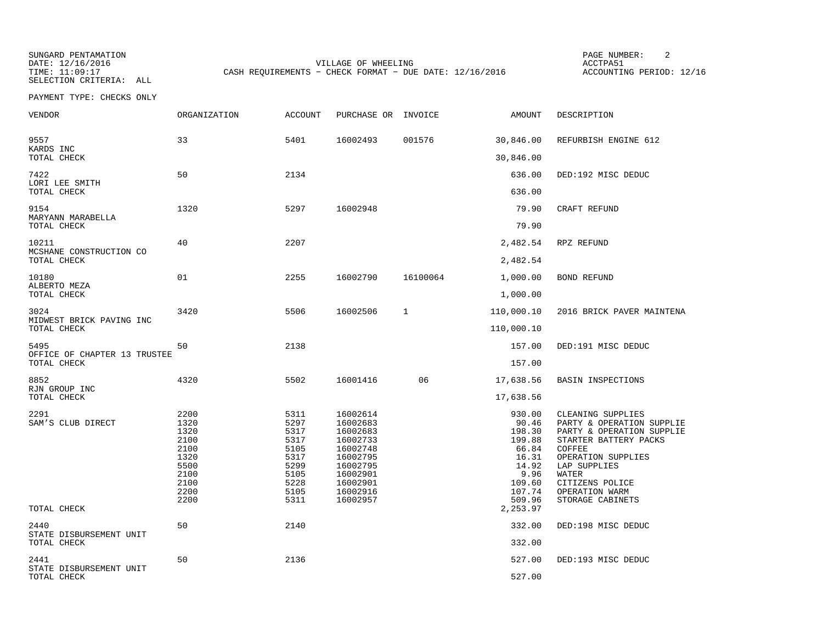SUNGARD PENTAMATION SUNGARD PENTAMATION SUNG PAGE NUMBER: 2 SELECTION CRITERIA: ALL

DATE: 12/16/2016 VILLAGE OF WHEELING ACCTPA51CASH REQUIREMENTS - CHECK FORMAT - DUE DATE: 12/16/2016

ACCOUNTING PERIOD: 12/16

| VENDOR                                         | ORGANIZATION                                                                         | <b>ACCOUNT</b>                                                                       | PURCHASE OR INVOICE                                                                                                              |          | AMOUNT                                                                                               | DESCRIPTION                                                                                                                                                                                                            |
|------------------------------------------------|--------------------------------------------------------------------------------------|--------------------------------------------------------------------------------------|----------------------------------------------------------------------------------------------------------------------------------|----------|------------------------------------------------------------------------------------------------------|------------------------------------------------------------------------------------------------------------------------------------------------------------------------------------------------------------------------|
| 9557<br>KARDS INC                              | 33                                                                                   | 5401                                                                                 | 16002493                                                                                                                         | 001576   | 30,846.00                                                                                            | REFURBISH ENGINE 612                                                                                                                                                                                                   |
| TOTAL CHECK                                    |                                                                                      |                                                                                      |                                                                                                                                  |          | 30,846.00                                                                                            |                                                                                                                                                                                                                        |
| 7422<br>LORI LEE SMITH                         | 50                                                                                   | 2134                                                                                 |                                                                                                                                  |          | 636.00                                                                                               | DED:192 MISC DEDUC                                                                                                                                                                                                     |
| TOTAL CHECK                                    |                                                                                      |                                                                                      |                                                                                                                                  |          | 636.00                                                                                               |                                                                                                                                                                                                                        |
| 9154<br>MARYANN MARABELLA                      | 1320                                                                                 | 5297                                                                                 | 16002948                                                                                                                         |          | 79.90                                                                                                | CRAFT REFUND                                                                                                                                                                                                           |
| TOTAL CHECK                                    |                                                                                      |                                                                                      |                                                                                                                                  |          | 79.90                                                                                                |                                                                                                                                                                                                                        |
| 10211<br>MCSHANE CONSTRUCTION CO               | 40                                                                                   | 2207                                                                                 |                                                                                                                                  |          | 2,482.54                                                                                             | RPZ REFUND                                                                                                                                                                                                             |
| TOTAL CHECK                                    |                                                                                      |                                                                                      |                                                                                                                                  |          | 2,482.54                                                                                             |                                                                                                                                                                                                                        |
| 10180                                          | 01                                                                                   | 2255                                                                                 | 16002790                                                                                                                         | 16100064 | 1,000.00                                                                                             | <b>BOND REFUND</b>                                                                                                                                                                                                     |
| ALBERTO MEZA<br>TOTAL CHECK                    |                                                                                      |                                                                                      |                                                                                                                                  |          | 1,000.00                                                                                             |                                                                                                                                                                                                                        |
| 3024                                           | 3420                                                                                 | 5506                                                                                 | 16002506                                                                                                                         | 1        | 110,000.10                                                                                           | 2016 BRICK PAVER MAINTENA                                                                                                                                                                                              |
| MIDWEST BRICK PAVING INC<br>TOTAL CHECK        |                                                                                      |                                                                                      |                                                                                                                                  |          | 110,000.10                                                                                           |                                                                                                                                                                                                                        |
| 5495                                           | 50                                                                                   | 2138                                                                                 |                                                                                                                                  |          | 157.00                                                                                               | DED:191 MISC DEDUC                                                                                                                                                                                                     |
| OFFICE OF CHAPTER 13 TRUSTEE<br>TOTAL CHECK    |                                                                                      |                                                                                      |                                                                                                                                  |          | 157.00                                                                                               |                                                                                                                                                                                                                        |
| 8852                                           | 4320                                                                                 | 5502                                                                                 | 16001416                                                                                                                         | 06       | 17,638.56                                                                                            | <b>BASIN INSPECTIONS</b>                                                                                                                                                                                               |
| RJN GROUP INC<br>TOTAL CHECK                   |                                                                                      |                                                                                      |                                                                                                                                  |          | 17,638.56                                                                                            |                                                                                                                                                                                                                        |
| 2291<br>SAM'S CLUB DIRECT                      | 2200<br>1320<br>1320<br>2100<br>2100<br>1320<br>5500<br>2100<br>2100<br>2200<br>2200 | 5311<br>5297<br>5317<br>5317<br>5105<br>5317<br>5299<br>5105<br>5228<br>5105<br>5311 | 16002614<br>16002683<br>16002683<br>16002733<br>16002748<br>16002795<br>16002795<br>16002901<br>16002901<br>16002916<br>16002957 |          | 930.00<br>90.46<br>198.30<br>199.88<br>66.84<br>16.31<br>14.92<br>9.96<br>109.60<br>107.74<br>509.96 | CLEANING SUPPLIES<br>PARTY & OPERATION SUPPLIE<br>PARTY & OPERATION SUPPLIE<br>STARTER BATTERY PACKS<br>COFFEE<br>OPERATION SUPPLIES<br>LAP SUPPLIES<br>WATER<br>CITIZENS POLICE<br>OPERATION WARM<br>STORAGE CABINETS |
| TOTAL CHECK                                    |                                                                                      |                                                                                      |                                                                                                                                  |          | 2,253.97                                                                                             |                                                                                                                                                                                                                        |
| 2440<br>STATE DISBURSEMENT UNIT                | 50                                                                                   | 2140                                                                                 |                                                                                                                                  |          | 332.00                                                                                               | DED:198 MISC DEDUC                                                                                                                                                                                                     |
| TOTAL CHECK                                    |                                                                                      |                                                                                      |                                                                                                                                  |          | 332.00                                                                                               |                                                                                                                                                                                                                        |
| 2441<br>STATE DISBURSEMENT UNIT<br>TOTAL CHECK | 50                                                                                   | 2136                                                                                 |                                                                                                                                  |          | 527.00<br>527.00                                                                                     | DED:193 MISC DEDUC                                                                                                                                                                                                     |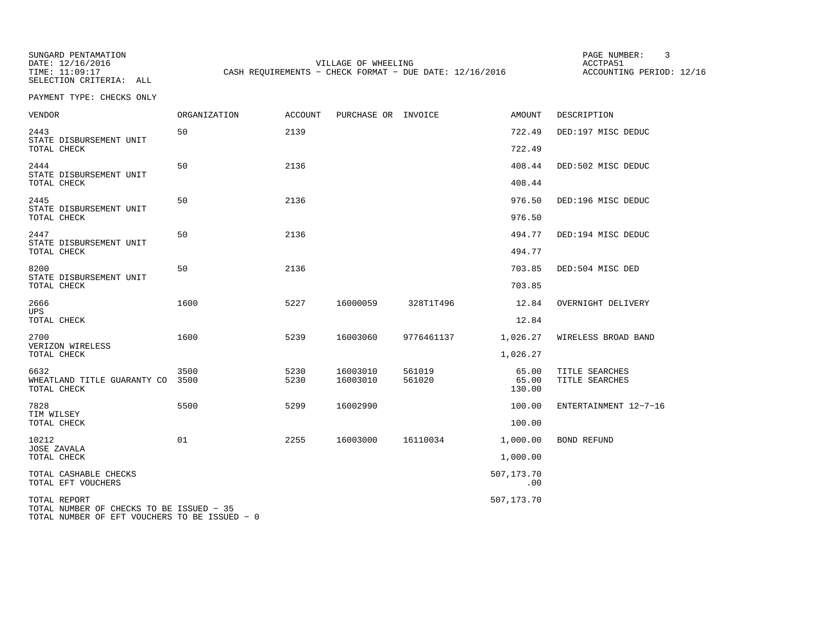SELECTION CRITERIA: ALL

SUNGARD PENTAMATION SUNGARD PENTAMATION SUNG PAGE NUMBER: 3 SENSIAL PAGE NUMBER: 3 SENSIAL PAGE NUMBER: 3 SENSI VILLAGE OF WHEELING **ACCTPA51** TIME: 11:09:17 CASH REQUIREMENTS - CHECK FORMAT - DUE DATE: 12/16/2016

ACCOUNTING PERIOD: 12/16

| <b>VENDOR</b>                                                                                             | ORGANIZATION | <b>ACCOUNT</b> | PURCHASE OR INVOICE  |                  | <b>AMOUNT</b>            | DESCRIPTION                      |
|-----------------------------------------------------------------------------------------------------------|--------------|----------------|----------------------|------------------|--------------------------|----------------------------------|
| 2443<br>STATE DISBURSEMENT UNIT                                                                           | 50           | 2139           |                      |                  | 722.49                   | DED:197 MISC DEDUC               |
| TOTAL CHECK                                                                                               |              |                |                      |                  | 722.49                   |                                  |
| 2444<br>STATE DISBURSEMENT UNIT<br>TOTAL CHECK                                                            | 50           | 2136           |                      |                  | 408.44<br>408.44         | DED:502 MISC DEDUC               |
|                                                                                                           |              |                |                      |                  |                          |                                  |
| 2445<br>STATE DISBURSEMENT UNIT<br>TOTAL CHECK                                                            | 50           | 2136           |                      |                  | 976.50<br>976.50         | DED:196 MISC DEDUC               |
| 2447                                                                                                      | 50           | 2136           |                      |                  | 494.77                   | DED:194 MISC DEDUC               |
| STATE DISBURSEMENT UNIT<br>TOTAL CHECK                                                                    |              |                |                      |                  | 494.77                   |                                  |
| 8200                                                                                                      | 50           | 2136           |                      |                  | 703.85                   | DED:504 MISC DED                 |
| STATE DISBURSEMENT UNIT<br>TOTAL CHECK                                                                    |              |                |                      |                  | 703.85                   |                                  |
| 2666<br>UPS                                                                                               | 1600         | 5227           | 16000059             | 328T1T496        | 12.84                    | OVERNIGHT DELIVERY               |
| TOTAL CHECK                                                                                               |              |                |                      |                  | 12.84                    |                                  |
| 2700<br>VERIZON WIRELESS                                                                                  | 1600         | 5239           | 16003060             | 9776461137       | 1,026.27                 | WIRELESS BROAD BAND              |
| TOTAL CHECK                                                                                               |              |                |                      |                  | 1,026.27                 |                                  |
| 6632<br>WHEATLAND TITLE GUARANTY CO<br>TOTAL CHECK                                                        | 3500<br>3500 | 5230<br>5230   | 16003010<br>16003010 | 561019<br>561020 | 65.00<br>65.00<br>130.00 | TITLE SEARCHES<br>TITLE SEARCHES |
| 7828                                                                                                      | 5500         | 5299           | 16002990             |                  | 100.00                   | ENTERTAINMENT 12-7-16            |
| TIM WILSEY<br>TOTAL CHECK                                                                                 |              |                |                      |                  | 100.00                   |                                  |
| 10212<br><b>JOSE ZAVALA</b>                                                                               | 01           | 2255           | 16003000             | 16110034         | 1,000.00                 | BOND REFUND                      |
| TOTAL CHECK                                                                                               |              |                |                      |                  | 1,000.00                 |                                  |
| TOTAL CASHABLE CHECKS<br>TOTAL EFT VOUCHERS                                                               |              |                |                      |                  | 507,173.70<br>.00        |                                  |
| TOTAL REPORT<br>TOTAL NUMBER OF CHECKS TO BE ISSUED - 35<br>TOTAL NUMBER OF EFT VOUCHERS TO BE ISSUED - 0 |              |                |                      |                  | 507,173.70               |                                  |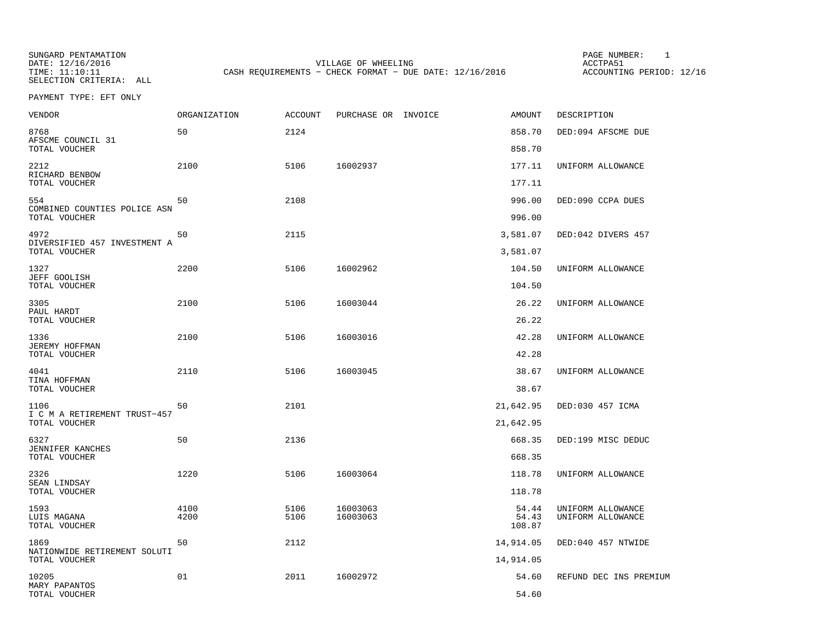SELECTION CRITERIA: ALL

SUNGARD PENTAMATION SUNGARD PENTAMATION SUNGARD PAGE NUMBER: 1 SUNGARD PAGE NUMBER: 1 DATE: 12/16/2016 VILLAGE OF WHEELING ACCTPA51CASH REQUIREMENTS - CHECK FORMAT - DUE DATE: 12/16/2016

ACCOUNTING PERIOD: 12/16

PAYMENT TYPE: EFT ONLY

| VENDOR                                                | <b>ORGANIZATION</b> | <b>ACCOUNT</b> | PURCHASE OR INVOICE | <b>AMOUNT</b>        | DESCRIPTION            |
|-------------------------------------------------------|---------------------|----------------|---------------------|----------------------|------------------------|
| 8768<br>AFSCME COUNCIL 31                             | 50                  | 2124           |                     | 858.70               | DED:094 AFSCME DUE     |
| TOTAL VOUCHER                                         |                     |                |                     | 858.70               |                        |
| 2212<br>RICHARD BENBOW                                | 2100                | 5106           | 16002937            | 177.11               | UNIFORM ALLOWANCE      |
| TOTAL VOUCHER                                         |                     |                |                     | 177.11               |                        |
| 554<br>COMBINED COUNTIES POLICE ASN<br>TOTAL VOUCHER  | 50                  | 2108           |                     | 996.00<br>996.00     | DED:090 CCPA DUES      |
|                                                       |                     |                |                     |                      |                        |
| 4972<br>DIVERSIFIED 457 INVESTMENT A<br>TOTAL VOUCHER | 50                  | 2115           |                     | 3,581.07<br>3,581.07 | DED:042 DIVERS 457     |
| 1327                                                  | 2200                | 5106           | 16002962            | 104.50               | UNIFORM ALLOWANCE      |
| JEFF GOOLISH<br>TOTAL VOUCHER                         |                     |                |                     | 104.50               |                        |
| 3305                                                  | 2100                | 5106           | 16003044            | 26.22                | UNIFORM ALLOWANCE      |
| PAUL HARDT<br>TOTAL VOUCHER                           |                     |                |                     | 26.22                |                        |
| 1336                                                  | 2100                | 5106           | 16003016            | 42.28                | UNIFORM ALLOWANCE      |
| <b>JEREMY HOFFMAN</b><br>TOTAL VOUCHER                |                     |                |                     | 42.28                |                        |
| 4041                                                  | 2110                | 5106           | 16003045            | 38.67                | UNIFORM ALLOWANCE      |
| TINA HOFFMAN<br>TOTAL VOUCHER                         |                     |                |                     | 38.67                |                        |
| 1106                                                  | 50                  | 2101           |                     | 21,642.95            | DED:030 457 ICMA       |
| I C M A RETIREMENT TRUST-457<br>TOTAL VOUCHER         |                     |                |                     | 21,642.95            |                        |
| 6327                                                  | 50                  | 2136           |                     | 668.35               | DED:199 MISC DEDUC     |
| <b>JENNIFER KANCHES</b><br>TOTAL VOUCHER              |                     |                |                     | 668.35               |                        |
| 2326                                                  | 1220                | 5106           | 16003064            | 118.78               | UNIFORM ALLOWANCE      |
| SEAN LINDSAY<br>TOTAL VOUCHER                         |                     |                |                     | 118.78               |                        |
| 1593                                                  | 4100                | 5106           | 16003063            | 54.44                | UNIFORM ALLOWANCE      |
| LUIS MAGANA<br>TOTAL VOUCHER                          | 4200                | 5106           | 16003063            | 54.43<br>108.87      | UNIFORM ALLOWANCE      |
| 1869                                                  | 50                  | 2112           |                     | 14,914.05            | DED:040 457 NTWIDE     |
| NATIONWIDE RETIREMENT SOLUTI<br>TOTAL VOUCHER         |                     |                |                     | 14,914.05            |                        |
| 10205<br>MARY PAPANTOS                                | 01                  | 2011           | 16002972            | 54.60                | REFUND DEC INS PREMIUM |
| TOTAL VOUCHER                                         |                     |                |                     | 54.60                |                        |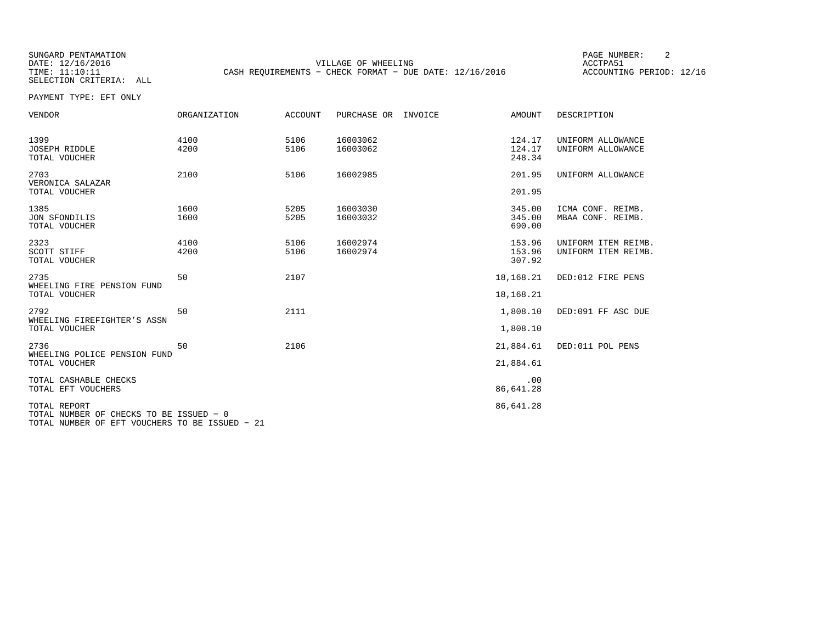SELECTION CRITERIA: ALL

SUNGARD PENTAMATION SUNGARD PENTAMATION SUNGARD PAGE NUMBER: 2 DATE: 12/16/2016 VILLAGE OF WHEELING ACCTPA51CASH REQUIREMENTS - CHECK FORMAT - DUE DATE: 12/16/2016

ACCOUNTING PERIOD: 12/16

PAYMENT TYPE: EFT ONLY

| VENDOR                                                  | ORGANIZATION | ACCOUNT      | PURCHASE OR<br>INVOICE | AMOUNT                     | DESCRIPTION                                |
|---------------------------------------------------------|--------------|--------------|------------------------|----------------------------|--------------------------------------------|
| 1399<br><b>JOSEPH RIDDLE</b><br>TOTAL VOUCHER           | 4100<br>4200 | 5106<br>5106 | 16003062<br>16003062   | 124.17<br>124.17<br>248.34 | UNIFORM ALLOWANCE<br>UNIFORM ALLOWANCE     |
| 2703<br>VERONICA SALAZAR                                | 2100         | 5106         | 16002985               | 201.95                     | UNIFORM ALLOWANCE                          |
| TOTAL VOUCHER                                           |              |              |                        | 201.95                     |                                            |
| 1385<br>JON SFONDILIS<br>TOTAL VOUCHER                  | 1600<br>1600 | 5205<br>5205 | 16003030<br>16003032   | 345.00<br>345.00<br>690.00 | ICMA CONF. REIMB.<br>MBAA CONF. REIMB.     |
| 2323<br>SCOTT STIFF<br>TOTAL VOUCHER                    | 4100<br>4200 | 5106<br>5106 | 16002974<br>16002974   | 153.96<br>153.96<br>307.92 | UNIFORM ITEM REIMB.<br>UNIFORM ITEM REIMB. |
| 2735<br>WHEELING FIRE PENSION FUND<br>TOTAL VOUCHER     | 50           | 2107         |                        | 18,168.21<br>18,168.21     | DED:012 FIRE PENS                          |
| 2792<br>WHEELING FIREFIGHTER'S ASSN<br>TOTAL VOUCHER    | 50           | 2111         |                        | 1,808.10<br>1,808.10       | DED:091 FF ASC DUE                         |
| 2736<br>WHEELING POLICE PENSION FUND<br>TOTAL VOUCHER   | 50           | 2106         |                        | 21,884.61<br>21,884.61     | DED:011 POL PENS                           |
| TOTAL CASHABLE CHECKS<br>TOTAL EFT VOUCHERS             |              |              |                        | .00<br>86,641.28           |                                            |
| TOTAL REPORT<br>TOTAL NUMBER OF CHECKS TO BE ISSUED - 0 |              |              |                        | 86,641.28                  |                                            |

TOTAL NUMBER OF EFT VOUCHERS TO BE ISSUED − 21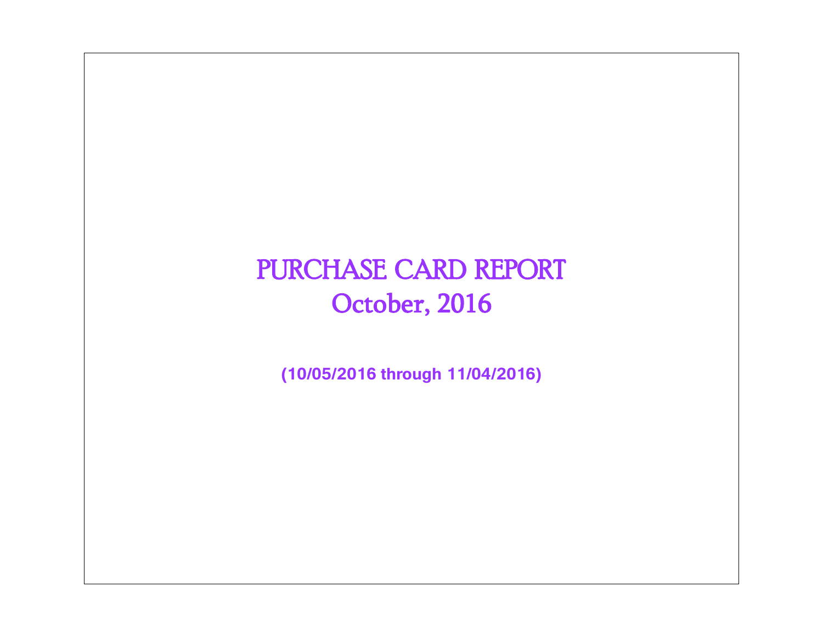# PURCHASE CARD REPORT October, 2016

**(10/05/2016 through 11/04/2016)**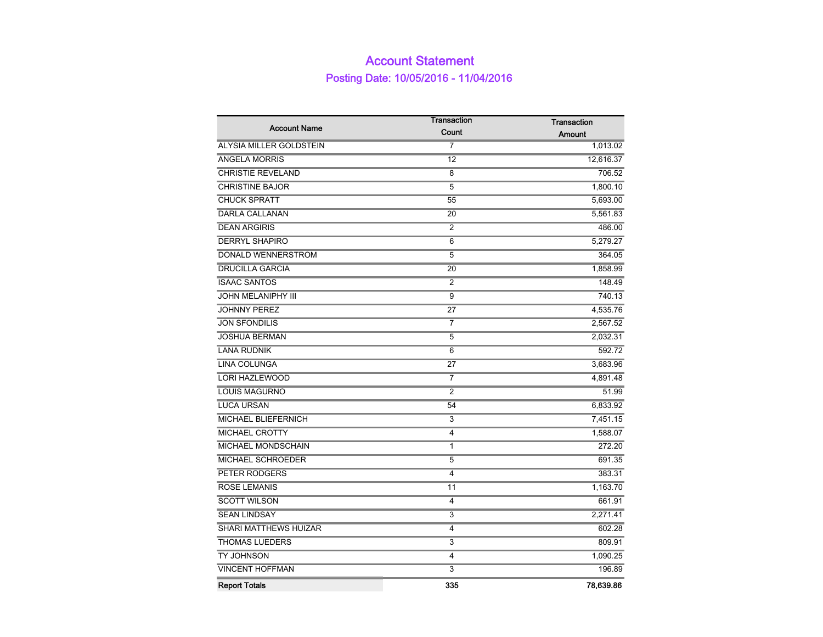### Account Statement Posting Date: 10/05/2016 - 11/04/2016

|                                | Transaction    | <b>Transaction</b> |  |  |
|--------------------------------|----------------|--------------------|--|--|
| <b>Account Name</b>            | Count          | <b>Amount</b>      |  |  |
| <b>ALYSIA MILLER GOLDSTEIN</b> | $\overline{7}$ | 1,013.02           |  |  |
| <b>ANGELA MORRIS</b>           | 12             | 12,616.37          |  |  |
| <b>CHRISTIE REVELAND</b>       | 8              | 706.52             |  |  |
| <b>CHRISTINE BAJOR</b>         | 5              | 1,800.10           |  |  |
| <b>CHUCK SPRATT</b>            | 55             | 5,693.00           |  |  |
| <b>DARLA CALLANAN</b>          | 20             | 5,561.83           |  |  |
| <b>DEAN ARGIRIS</b>            | 2              | 486.00             |  |  |
| <b>DERRYL SHAPIRO</b>          | 6              | 5,279.27           |  |  |
| DONALD WENNERSTROM             | 5              | 364.05             |  |  |
| <b>DRUCILLA GARCIA</b>         | 20             | 1,858.99           |  |  |
| <b>ISAAC SANTOS</b>            | $\overline{2}$ | 148.49             |  |  |
| <b>JOHN MELANIPHY III</b>      | 9              | 740.13             |  |  |
| <b>JOHNNY PEREZ</b>            | 27             | 4,535.76           |  |  |
| <b>JON SFONDILIS</b>           | $\overline{7}$ | 2,567.52           |  |  |
| <b>JOSHUA BERMAN</b>           | 5              | 2,032.31           |  |  |
| <b>LANA RUDNIK</b>             | 6              | 592.72             |  |  |
| <b>LINA COLUNGA</b>            | 27             | 3,683.96           |  |  |
| <b>LORI HAZLEWOOD</b>          | $\overline{7}$ | 4,891.48           |  |  |
| <b>LOUIS MAGURNO</b>           | $\overline{2}$ | 51.99              |  |  |
| <b>LUCA URSAN</b>              | 54             | 6,833.92           |  |  |
| <b>MICHAEL BLIEFERNICH</b>     | 3              | 7,451.15           |  |  |
| MICHAEL CROTTY                 | 4              | 1,588.07           |  |  |
| MICHAEL MONDSCHAIN             | 1              | 272.20             |  |  |
| MICHAEL SCHROEDER              | 5              | 691.35             |  |  |
| PETER RODGERS                  | 4              | 383.31             |  |  |
| <b>ROSE LEMANIS</b>            | 11             | 1,163.70           |  |  |
| <b>SCOTT WILSON</b>            | 4              | 661.91             |  |  |
| <b>SEAN LINDSAY</b>            | 3              | 2,271.41           |  |  |
| SHARI MATTHEWS HUIZAR          | 4              | 602.28             |  |  |
| <b>THOMAS LUEDERS</b>          | 3              | 809.91             |  |  |
| TY JOHNSON                     | 4              | 1,090.25           |  |  |
| <b>VINCENT HOFFMAN</b>         | 3              | 196.89             |  |  |
| <b>Report Totals</b>           | 335            | 78,639.86          |  |  |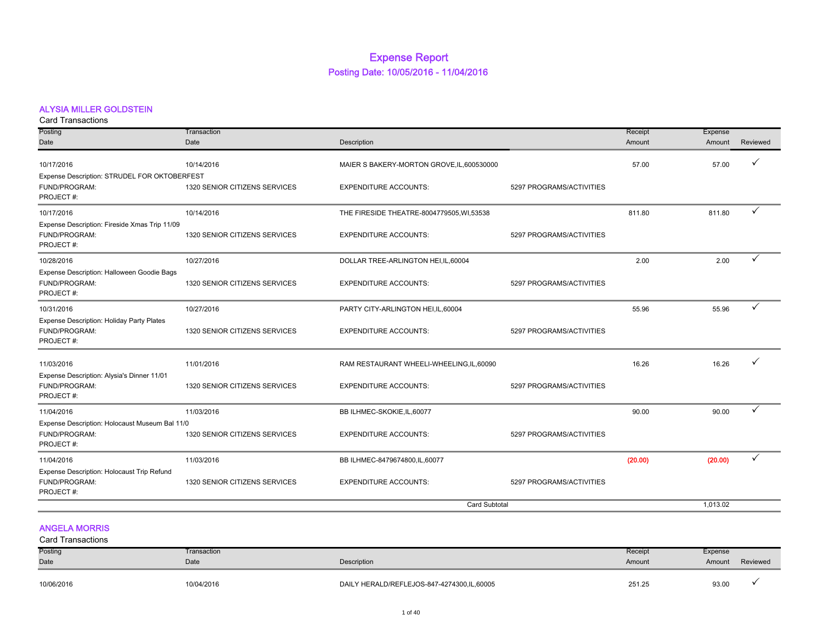### Expense Report Posting Date: 10/05/2016 - 11/04/2016

#### ALYSIA MILLER GOLDSTEIN

| <b>Card Transactions</b>                       |                               |                                            |                          |         |          |          |
|------------------------------------------------|-------------------------------|--------------------------------------------|--------------------------|---------|----------|----------|
| Posting                                        | Transaction                   |                                            |                          | Receipt | Expense  |          |
| Date                                           | Date                          | Description                                |                          | Amount  | Amount   | Reviewed |
| 10/17/2016                                     | 10/14/2016                    | MAIER S BAKERY-MORTON GROVE, IL, 600530000 |                          | 57.00   | 57.00    | ✓        |
| Expense Description: STRUDEL FOR OKTOBERFEST   |                               |                                            |                          |         |          |          |
| FUND/PROGRAM:                                  | 1320 SENIOR CITIZENS SERVICES | <b>EXPENDITURE ACCOUNTS:</b>               | 5297 PROGRAMS/ACTIVITIES |         |          |          |
| PROJECT#:                                      |                               |                                            |                          |         |          |          |
| 10/17/2016                                     | 10/14/2016                    | THE FIRESIDE THEATRE-8004779505, WI,53538  |                          | 811.80  | 811.80   |          |
| Expense Description: Fireside Xmas Trip 11/09  |                               |                                            |                          |         |          |          |
| FUND/PROGRAM:                                  | 1320 SENIOR CITIZENS SERVICES | <b>EXPENDITURE ACCOUNTS:</b>               | 5297 PROGRAMS/ACTIVITIES |         |          |          |
| PROJECT#:                                      |                               |                                            |                          |         |          |          |
| 10/28/2016                                     | 10/27/2016                    | DOLLAR TREE-ARLINGTON HEI, IL, 60004       |                          | 2.00    | 2.00     | ✓        |
| Expense Description: Halloween Goodie Bags     |                               |                                            |                          |         |          |          |
| FUND/PROGRAM:                                  | 1320 SENIOR CITIZENS SERVICES | <b>EXPENDITURE ACCOUNTS:</b>               | 5297 PROGRAMS/ACTIVITIES |         |          |          |
| PROJECT#:                                      |                               |                                            |                          |         |          |          |
| 10/31/2016                                     | 10/27/2016                    | PARTY CITY-ARLINGTON HEI, IL, 60004        |                          | 55.96   | 55.96    |          |
| Expense Description: Holiday Party Plates      |                               |                                            |                          |         |          |          |
| FUND/PROGRAM:                                  | 1320 SENIOR CITIZENS SERVICES | <b>EXPENDITURE ACCOUNTS:</b>               | 5297 PROGRAMS/ACTIVITIES |         |          |          |
| PROJECT#:                                      |                               |                                            |                          |         |          |          |
| 11/03/2016                                     | 11/01/2016                    | RAM RESTAURANT WHEELI-WHEELING,IL,60090    |                          | 16.26   | 16.26    |          |
| Expense Description: Alysia's Dinner 11/01     |                               |                                            |                          |         |          |          |
| FUND/PROGRAM:                                  | 1320 SENIOR CITIZENS SERVICES | <b>EXPENDITURE ACCOUNTS:</b>               | 5297 PROGRAMS/ACTIVITIES |         |          |          |
| PROJECT#:                                      |                               |                                            |                          |         |          |          |
| 11/04/2016                                     | 11/03/2016                    | BB ILHMEC-SKOKIE, IL, 60077                |                          | 90.00   | 90.00    | ✓        |
| Expense Description: Holocaust Museum Bal 11/0 |                               |                                            |                          |         |          |          |
| FUND/PROGRAM:                                  | 1320 SENIOR CITIZENS SERVICES | <b>EXPENDITURE ACCOUNTS:</b>               | 5297 PROGRAMS/ACTIVITIES |         |          |          |
| PROJECT#:                                      |                               |                                            |                          |         |          |          |
| 11/04/2016                                     | 11/03/2016                    | BB ILHMEC-8479674800, IL, 60077            |                          | (20.00) | (20.00)  |          |
| Expense Description: Holocaust Trip Refund     |                               |                                            |                          |         |          |          |
| FUND/PROGRAM:                                  | 1320 SENIOR CITIZENS SERVICES | <b>EXPENDITURE ACCOUNTS:</b>               | 5297 PROGRAMS/ACTIVITIES |         |          |          |
| PROJECT#:                                      |                               |                                            |                          |         |          |          |
|                                                |                               | <b>Card Subtotal</b>                       |                          |         | 1,013.02 |          |

#### ANGELA MORRIS Card Transactions

| Uaiu Hansauuulis |             |                                            |         |         |          |
|------------------|-------------|--------------------------------------------|---------|---------|----------|
| Posting          | Transaction |                                            | Receipt | Expense |          |
| Date             | Date        | Description                                | Amount  | Amount  | Reviewed |
| 10/06/2016       | 10/04/2016  | DAILY HERALD/REFLEJOS-847-4274300,IL,60005 | 251.25  | 93.00   |          |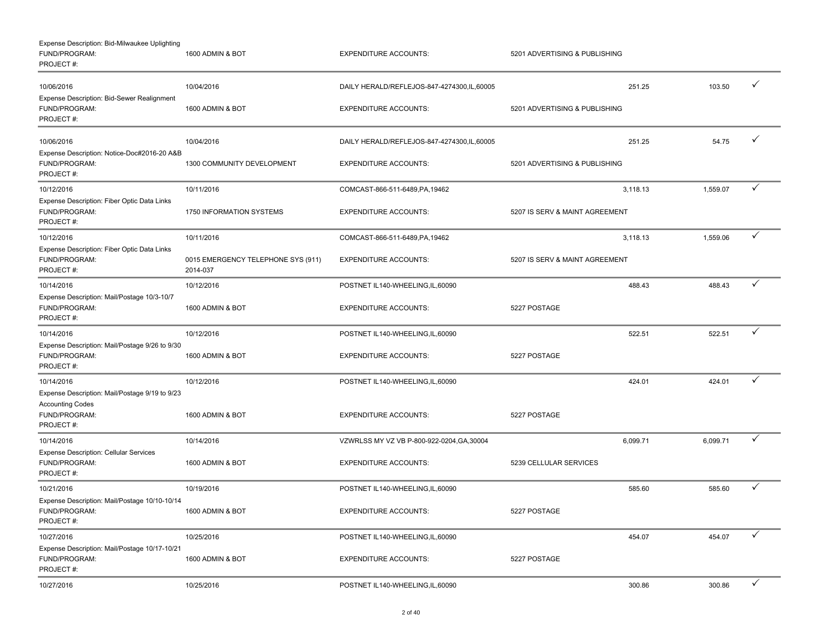| Expense Description: Bid-Milwaukee Uplighting<br>FUND/PROGRAM:<br>PROJECT#:  | 1600 ADMIN & BOT                               | <b>EXPENDITURE ACCOUNTS:</b>               | 5201 ADVERTISING & PUBLISHING  |          |              |
|------------------------------------------------------------------------------|------------------------------------------------|--------------------------------------------|--------------------------------|----------|--------------|
| 10/06/2016                                                                   | 10/04/2016                                     | DAILY HERALD/REFLEJOS-847-4274300,IL,60005 | 251.25                         | 103.50   | ✓            |
| Expense Description: Bid-Sewer Realignment<br>FUND/PROGRAM:<br>PROJECT#:     | 1600 ADMIN & BOT                               | <b>EXPENDITURE ACCOUNTS:</b>               | 5201 ADVERTISING & PUBLISHING  |          |              |
| 10/06/2016                                                                   | 10/04/2016                                     | DAILY HERALD/REFLEJOS-847-4274300,IL,60005 | 251.25                         | 54.75    | ✓            |
| Expense Description: Notice-Doc#2016-20 A&B<br>FUND/PROGRAM:<br>PROJECT#:    | 1300 COMMUNITY DEVELOPMENT                     | <b>EXPENDITURE ACCOUNTS:</b>               | 5201 ADVERTISING & PUBLISHING  |          |              |
| 10/12/2016                                                                   | 10/11/2016                                     | COMCAST-866-511-6489, PA, 19462            | 3,118.13                       | 1,559.07 | ✓            |
| Expense Description: Fiber Optic Data Links<br>FUND/PROGRAM:<br>PROJECT#:    | 1750 INFORMATION SYSTEMS                       | <b>EXPENDITURE ACCOUNTS:</b>               | 5207 IS SERV & MAINT AGREEMENT |          |              |
| 10/12/2016                                                                   | 10/11/2016                                     | COMCAST-866-511-6489, PA, 19462            | 3,118.13                       | 1,559.06 | $\checkmark$ |
| Expense Description: Fiber Optic Data Links<br>FUND/PROGRAM:<br>PROJECT#:    | 0015 EMERGENCY TELEPHONE SYS (911)<br>2014-037 | <b>EXPENDITURE ACCOUNTS:</b>               | 5207 IS SERV & MAINT AGREEMENT |          |              |
| 10/14/2016                                                                   | 10/12/2016                                     | POSTNET IL140-WHEELING, IL, 60090          | 488.43                         | 488.43   | ✓            |
| Expense Description: Mail/Postage 10/3-10/7<br>FUND/PROGRAM:<br>PROJECT#:    | 1600 ADMIN & BOT                               | <b>EXPENDITURE ACCOUNTS:</b>               | 5227 POSTAGE                   |          |              |
| 10/14/2016                                                                   | 10/12/2016                                     | POSTNET IL140-WHEELING, IL, 60090          | 522.51                         | 522.51   | ✓            |
| Expense Description: Mail/Postage 9/26 to 9/30<br>FUND/PROGRAM:<br>PROJECT#: | 1600 ADMIN & BOT                               | <b>EXPENDITURE ACCOUNTS:</b>               | 5227 POSTAGE                   |          |              |
| 10/14/2016                                                                   | 10/12/2016                                     | POSTNET IL140-WHEELING, IL, 60090          | 424.01                         | 424.01   | ✓            |
| Expense Description: Mail/Postage 9/19 to 9/23<br><b>Accounting Codes</b>    |                                                |                                            |                                |          |              |
| FUND/PROGRAM:<br>PROJECT#:                                                   | 1600 ADMIN & BOT                               | <b>EXPENDITURE ACCOUNTS:</b>               | 5227 POSTAGE                   |          |              |
| 10/14/2016                                                                   | 10/14/2016                                     | VZWRLSS MY VZ VB P-800-922-0204, GA, 30004 | 6,099.71                       | 6,099.71 | ✓            |
| <b>Expense Description: Cellular Services</b><br>FUND/PROGRAM:<br>PROJECT#:  | 1600 ADMIN & BOT                               | <b>EXPENDITURE ACCOUNTS:</b>               | 5239 CELLULAR SERVICES         |          |              |
| 10/21/2016                                                                   | 10/19/2016                                     | POSTNET IL140-WHEELING,IL,60090            | 585.60                         | 585.60   | ✓            |
| Expense Description: Mail/Postage 10/10-10/14<br>FUND/PROGRAM:<br>PROJECT#:  | 1600 ADMIN & BOT                               | <b>EXPENDITURE ACCOUNTS:</b>               | 5227 POSTAGE                   |          |              |
| 10/27/2016                                                                   | 10/25/2016                                     | POSTNET IL140-WHEELING, IL, 60090          | 454.07                         | 454.07   | $\checkmark$ |
| Expense Description: Mail/Postage 10/17-10/21<br>FUND/PROGRAM:<br>PROJECT#:  | 1600 ADMIN & BOT                               | <b>EXPENDITURE ACCOUNTS:</b>               | 5227 POSTAGE                   |          |              |
| 10/27/2016                                                                   | 10/25/2016                                     | POSTNET IL140-WHEELING,IL,60090            | 300.86                         | 300.86   | $\checkmark$ |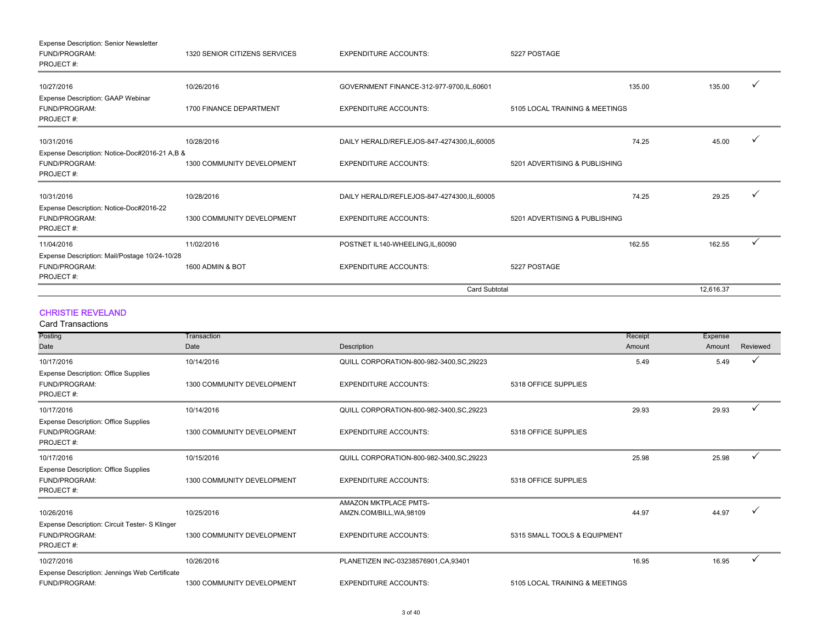| Expense Description: Senior Newsletter        |                               |                                              |                                |        |           |   |
|-----------------------------------------------|-------------------------------|----------------------------------------------|--------------------------------|--------|-----------|---|
| FUND/PROGRAM:                                 | 1320 SENIOR CITIZENS SERVICES | <b>EXPENDITURE ACCOUNTS:</b>                 | 5227 POSTAGE                   |        |           |   |
| PROJECT#:                                     |                               |                                              |                                |        |           |   |
| 10/27/2016                                    | 10/26/2016                    | GOVERNMENT FINANCE-312-977-9700, IL, 60601   |                                | 135.00 | 135.00    |   |
| <b>Expense Description: GAAP Webinar</b>      |                               |                                              |                                |        |           |   |
| FUND/PROGRAM:                                 | 1700 FINANCE DEPARTMENT       | <b>EXPENDITURE ACCOUNTS:</b>                 | 5105 LOCAL TRAINING & MEETINGS |        |           |   |
| PROJECT#:                                     |                               |                                              |                                |        |           |   |
| 10/31/2016                                    | 10/28/2016                    | DAILY HERALD/REFLEJOS-847-4274300,IL,60005   |                                | 74.25  | 45.00     |   |
| Expense Description: Notice-Doc#2016-21 A,B & |                               |                                              |                                |        |           |   |
| FUND/PROGRAM:                                 | 1300 COMMUNITY DEVELOPMENT    | <b>EXPENDITURE ACCOUNTS:</b>                 | 5201 ADVERTISING & PUBLISHING  |        |           |   |
| PROJECT#:                                     |                               |                                              |                                |        |           |   |
| 10/31/2016                                    | 10/28/2016                    | DAILY HERALD/REFLEJOS-847-4274300, IL, 60005 |                                | 74.25  | 29.25     |   |
| Expense Description: Notice-Doc#2016-22       |                               |                                              |                                |        |           |   |
| FUND/PROGRAM:                                 | 1300 COMMUNITY DEVELOPMENT    | <b>EXPENDITURE ACCOUNTS:</b>                 | 5201 ADVERTISING & PUBLISHING  |        |           |   |
| PROJECT#:                                     |                               |                                              |                                |        |           |   |
| 11/04/2016                                    | 11/02/2016                    | POSTNET IL140-WHEELING, IL, 60090            |                                | 162.55 | 162.55    | ✓ |
| Expense Description: Mail/Postage 10/24-10/28 |                               |                                              |                                |        |           |   |
| FUND/PROGRAM:                                 | 1600 ADMIN & BOT              | <b>EXPENDITURE ACCOUNTS:</b>                 | 5227 POSTAGE                   |        |           |   |
| PROJECT#:                                     |                               |                                              |                                |        |           |   |
|                                               |                               | <b>Card Subtotal</b>                         |                                |        | 12.616.37 |   |

#### CHRISTIE REVELAND Card Transaction

| Card Transactions                              |                            |                                           |                                |         |         |          |
|------------------------------------------------|----------------------------|-------------------------------------------|--------------------------------|---------|---------|----------|
| Posting                                        | Transaction                |                                           |                                | Receipt | Expense |          |
| Date                                           | Date                       | Description                               |                                | Amount  | Amount  | Reviewed |
| 10/17/2016                                     | 10/14/2016                 | QUILL CORPORATION-800-982-3400, SC, 29223 |                                | 5.49    | 5.49    |          |
| <b>Expense Description: Office Supplies</b>    |                            |                                           |                                |         |         |          |
| FUND/PROGRAM:                                  | 1300 COMMUNITY DEVELOPMENT | <b>EXPENDITURE ACCOUNTS:</b>              | 5318 OFFICE SUPPLIES           |         |         |          |
| PROJECT#:                                      |                            |                                           |                                |         |         |          |
| 10/17/2016                                     | 10/14/2016                 | QUILL CORPORATION-800-982-3400, SC, 29223 |                                | 29.93   | 29.93   |          |
| <b>Expense Description: Office Supplies</b>    |                            |                                           |                                |         |         |          |
| FUND/PROGRAM:                                  | 1300 COMMUNITY DEVELOPMENT | <b>EXPENDITURE ACCOUNTS:</b>              | 5318 OFFICE SUPPLIES           |         |         |          |
| PROJECT#:                                      |                            |                                           |                                |         |         |          |
| 10/17/2016                                     | 10/15/2016                 | QUILL CORPORATION-800-982-3400, SC, 29223 |                                | 25.98   | 25.98   | ✓        |
| <b>Expense Description: Office Supplies</b>    |                            |                                           |                                |         |         |          |
| FUND/PROGRAM:                                  | 1300 COMMUNITY DEVELOPMENT | <b>EXPENDITURE ACCOUNTS:</b>              | 5318 OFFICE SUPPLIES           |         |         |          |
| PROJECT#:                                      |                            |                                           |                                |         |         |          |
|                                                |                            | AMAZON MKTPLACE PMTS-                     |                                |         |         |          |
| 10/26/2016                                     | 10/25/2016                 | AMZN.COM/BILL, WA, 98109                  |                                | 44.97   | 44.97   |          |
| Expense Description: Circuit Tester- S Klinger |                            |                                           |                                |         |         |          |
| FUND/PROGRAM:                                  | 1300 COMMUNITY DEVELOPMENT | <b>EXPENDITURE ACCOUNTS:</b>              | 5315 SMALL TOOLS & EQUIPMENT   |         |         |          |
| PROJECT#:                                      |                            |                                           |                                |         |         |          |
| 10/27/2016                                     | 10/26/2016                 | PLANETIZEN INC-03238576901, CA, 93401     |                                | 16.95   | 16.95   |          |
| Expense Description: Jennings Web Certificate  |                            |                                           |                                |         |         |          |
| FUND/PROGRAM:                                  | 1300 COMMUNITY DEVELOPMENT | <b>EXPENDITURE ACCOUNTS:</b>              | 5105 LOCAL TRAINING & MEETINGS |         |         |          |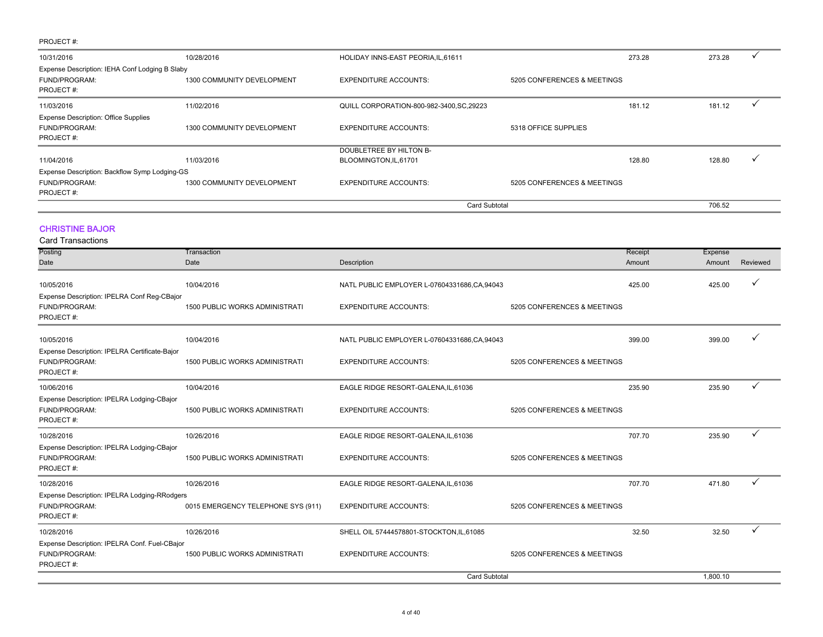| 10/31/2016                                     | 10/28/2016                 | HOLIDAY INNS-EAST PEORIA, IL, 61611       |                             | 273.28 | 273.28 |  |
|------------------------------------------------|----------------------------|-------------------------------------------|-----------------------------|--------|--------|--|
| Expense Description: IEHA Conf Lodging B Slaby |                            |                                           |                             |        |        |  |
| FUND/PROGRAM:                                  | 1300 COMMUNITY DEVELOPMENT | <b>EXPENDITURE ACCOUNTS:</b>              | 5205 CONFERENCES & MEETINGS |        |        |  |
| PROJECT#:                                      |                            |                                           |                             |        |        |  |
| 11/03/2016                                     | 11/02/2016                 | QUILL CORPORATION-800-982-3400, SC, 29223 |                             | 181.12 | 181.12 |  |
| <b>Expense Description: Office Supplies</b>    |                            |                                           |                             |        |        |  |
| FUND/PROGRAM:                                  | 1300 COMMUNITY DEVELOPMENT | <b>EXPENDITURE ACCOUNTS:</b>              | 5318 OFFICE SUPPLIES        |        |        |  |
| PROJECT#:                                      |                            |                                           |                             |        |        |  |
|                                                |                            | DOUBLETREE BY HILTON B-                   |                             |        |        |  |
| 11/04/2016                                     | 11/03/2016                 | BLOOMINGTON, IL, 61701                    |                             | 128.80 | 128.80 |  |
| Expense Description: Backflow Symp Lodging-GS  |                            |                                           |                             |        |        |  |
| FUND/PROGRAM:                                  | 1300 COMMUNITY DEVELOPMENT | <b>EXPENDITURE ACCOUNTS:</b>              | 5205 CONFERENCES & MEETINGS |        |        |  |
| PROJECT#:                                      |                            |                                           |                             |        |        |  |
|                                                |                            | <b>Card Subtotal</b>                      |                             |        | 706.52 |  |

#### CHRISTINE BAJOR

| <b>Card Transactions</b>                      |                                       |                                               |                             |         |          |              |
|-----------------------------------------------|---------------------------------------|-----------------------------------------------|-----------------------------|---------|----------|--------------|
| Posting                                       | Transaction                           |                                               |                             | Receipt | Expense  |              |
| Date                                          | Date                                  | Description                                   |                             | Amount  | Amount   | Reviewed     |
| 10/05/2016                                    | 10/04/2016                            | NATL PUBLIC EMPLOYER L-07604331686, CA, 94043 |                             | 425.00  | 425.00   |              |
| Expense Description: IPELRA Conf Reg-CBajor   |                                       |                                               |                             |         |          |              |
| FUND/PROGRAM:                                 | 1500 PUBLIC WORKS ADMINISTRATI        | <b>EXPENDITURE ACCOUNTS:</b>                  | 5205 CONFERENCES & MEETINGS |         |          |              |
| PROJECT#:                                     |                                       |                                               |                             |         |          |              |
| 10/05/2016                                    | 10/04/2016                            | NATL PUBLIC EMPLOYER L-07604331686, CA, 94043 |                             | 399.00  | 399.00   |              |
| Expense Description: IPELRA Certificate-Bajor |                                       |                                               |                             |         |          |              |
| FUND/PROGRAM:                                 | <b>1500 PUBLIC WORKS ADMINISTRATI</b> | <b>EXPENDITURE ACCOUNTS:</b>                  | 5205 CONFERENCES & MEETINGS |         |          |              |
| PROJECT#:                                     |                                       |                                               |                             |         |          |              |
| 10/06/2016                                    | 10/04/2016                            | EAGLE RIDGE RESORT-GALENA, IL, 61036          |                             | 235.90  | 235.90   | ✓            |
| Expense Description: IPELRA Lodging-CBajor    |                                       |                                               |                             |         |          |              |
| FUND/PROGRAM:                                 | <b>1500 PUBLIC WORKS ADMINISTRATI</b> | <b>EXPENDITURE ACCOUNTS:</b>                  | 5205 CONFERENCES & MEETINGS |         |          |              |
| PROJECT#:                                     |                                       |                                               |                             |         |          |              |
| 10/28/2016                                    | 10/26/2016                            | EAGLE RIDGE RESORT-GALENA, IL, 61036          |                             | 707.70  | 235.90   |              |
| Expense Description: IPELRA Lodging-CBajor    |                                       |                                               |                             |         |          |              |
| FUND/PROGRAM:                                 | 1500 PUBLIC WORKS ADMINISTRATI        | <b>EXPENDITURE ACCOUNTS:</b>                  | 5205 CONFERENCES & MEETINGS |         |          |              |
| PROJECT#:                                     |                                       |                                               |                             |         |          |              |
| 10/28/2016                                    | 10/26/2016                            | EAGLE RIDGE RESORT-GALENA, IL, 61036          |                             | 707.70  | 471.80   | $\checkmark$ |
| Expense Description: IPELRA Lodging-RRodgers  |                                       |                                               |                             |         |          |              |
| FUND/PROGRAM:                                 | 0015 EMERGENCY TELEPHONE SYS (911)    | <b>EXPENDITURE ACCOUNTS:</b>                  | 5205 CONFERENCES & MEETINGS |         |          |              |
| PROJECT#:                                     |                                       |                                               |                             |         |          |              |
| 10/28/2016                                    | 10/26/2016                            | SHELL OIL 57444578801-STOCKTON, IL, 61085     |                             | 32.50   | 32.50    | $\checkmark$ |
| Expense Description: IPELRA Conf. Fuel-CBajor |                                       |                                               |                             |         |          |              |
| FUND/PROGRAM:<br>PROJECT#:                    | <b>1500 PUBLIC WORKS ADMINISTRATI</b> | <b>EXPENDITURE ACCOUNTS:</b>                  | 5205 CONFERENCES & MEETINGS |         |          |              |
|                                               |                                       | <b>Card Subtotal</b>                          |                             |         | 1.800.10 |              |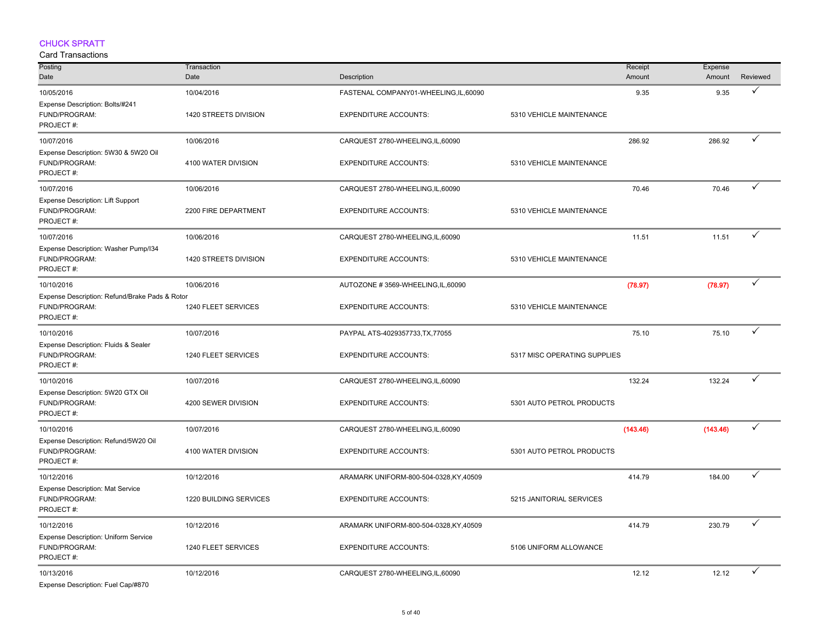#### CHUCK SPRATT

| Posting                                                                      | Transaction            |                                       |                              | Receipt<br>Expense   |              |
|------------------------------------------------------------------------------|------------------------|---------------------------------------|------------------------------|----------------------|--------------|
| Date                                                                         | Date                   | Description                           |                              | Amount<br>Amount     | Reviewed     |
| 10/05/2016                                                                   | 10/04/2016             | FASTENAL COMPANY01-WHEELING,IL,60090  |                              | 9.35<br>9.35         | ✓            |
| Expense Description: Bolts/#241<br>FUND/PROGRAM:<br>PROJECT#:                | 1420 STREETS DIVISION  | <b>EXPENDITURE ACCOUNTS:</b>          | 5310 VEHICLE MAINTENANCE     |                      |              |
| 10/07/2016                                                                   | 10/06/2016             | CARQUEST 2780-WHEELING, IL, 60090     |                              | 286.92<br>286.92     | ✓            |
| Expense Description: 5W30 & 5W20 Oil<br>FUND/PROGRAM:<br>PROJECT#:           | 4100 WATER DIVISION    | <b>EXPENDITURE ACCOUNTS:</b>          | 5310 VEHICLE MAINTENANCE     |                      |              |
| 10/07/2016                                                                   | 10/06/2016             | CARQUEST 2780-WHEELING, IL, 60090     |                              | 70.46<br>70.46       | ✓            |
| Expense Description: Lift Support<br>FUND/PROGRAM:<br>PROJECT#:              | 2200 FIRE DEPARTMENT   | <b>EXPENDITURE ACCOUNTS:</b>          | 5310 VEHICLE MAINTENANCE     |                      |              |
| 10/07/2016                                                                   | 10/06/2016             | CARQUEST 2780-WHEELING, IL, 60090     |                              | 11.51<br>11.51       | $\checkmark$ |
| Expense Description: Washer Pump/I34<br>FUND/PROGRAM:<br>PROJECT#:           | 1420 STREETS DIVISION  | <b>EXPENDITURE ACCOUNTS:</b>          | 5310 VEHICLE MAINTENANCE     |                      |              |
| 10/10/2016                                                                   | 10/06/2016             | AUTOZONE #3569-WHEELING,IL,60090      |                              | (78.97)<br>(78.97)   | $\checkmark$ |
| Expense Description: Refund/Brake Pads & Rotor<br>FUND/PROGRAM:<br>PROJECT#: | 1240 FLEET SERVICES    | <b>EXPENDITURE ACCOUNTS:</b>          | 5310 VEHICLE MAINTENANCE     |                      |              |
| 10/10/2016                                                                   | 10/07/2016             | PAYPAL ATS-4029357733, TX, 77055      |                              | 75.10<br>75.10       | ✓            |
| Expense Description: Fluids & Sealer<br>FUND/PROGRAM:<br>PROJECT#:           | 1240 FLEET SERVICES    | <b>EXPENDITURE ACCOUNTS:</b>          | 5317 MISC OPERATING SUPPLIES |                      |              |
| 10/10/2016                                                                   | 10/07/2016             | CARQUEST 2780-WHEELING, IL, 60090     |                              | 132.24<br>132.24     | ✓            |
| Expense Description: 5W20 GTX Oil<br>FUND/PROGRAM:<br>PROJECT#:              | 4200 SEWER DIVISION    | <b>EXPENDITURE ACCOUNTS:</b>          | 5301 AUTO PETROL PRODUCTS    |                      |              |
| 10/10/2016                                                                   | 10/07/2016             | CARQUEST 2780-WHEELING, IL, 60090     |                              | (143.46)<br>(143.46) | $\checkmark$ |
| Expense Description: Refund/5W20 Oil<br>FUND/PROGRAM:<br>PROJECT#:           | 4100 WATER DIVISION    | <b>EXPENDITURE ACCOUNTS:</b>          | 5301 AUTO PETROL PRODUCTS    |                      |              |
| 10/12/2016                                                                   | 10/12/2016             | ARAMARK UNIFORM-800-504-0328,KY,40509 |                              | 184.00<br>414.79     | ✓            |
| Expense Description: Mat Service<br>FUND/PROGRAM:<br>PROJECT#:               | 1220 BUILDING SERVICES | <b>EXPENDITURE ACCOUNTS:</b>          | 5215 JANITORIAL SERVICES     |                      |              |
| 10/12/2016                                                                   | 10/12/2016             | ARAMARK UNIFORM-800-504-0328,KY,40509 |                              | 230.79<br>414.79     | ✓            |
| Expense Description: Uniform Service<br>FUND/PROGRAM:<br>PROJECT#:           | 1240 FLEET SERVICES    | <b>EXPENDITURE ACCOUNTS:</b>          | 5106 UNIFORM ALLOWANCE       |                      |              |
| 10/13/2016<br>Expense Description: Fuel Cap/#870                             | 10/12/2016             | CARQUEST 2780-WHEELING, IL, 60090     |                              | 12.12<br>12.12       | ✓            |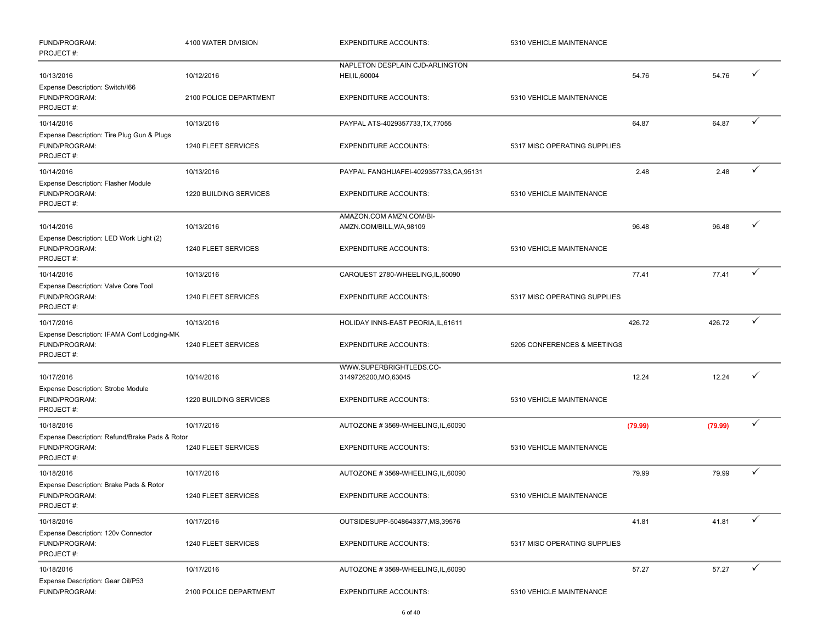| FUND/PROGRAM:<br>PROJECT#:                                                   | 4100 WATER DIVISION    | <b>EXPENDITURE ACCOUNTS:</b>                        | 5310 VEHICLE MAINTENANCE     |         |         |              |
|------------------------------------------------------------------------------|------------------------|-----------------------------------------------------|------------------------------|---------|---------|--------------|
| 10/13/2016                                                                   | 10/12/2016             | NAPLETON DESPLAIN CJD-ARLINGTON<br>HEI, IL, 60004   |                              | 54.76   | 54.76   | ✓            |
| Expense Description: Switch/I66<br>FUND/PROGRAM:<br>PROJECT#:                | 2100 POLICE DEPARTMENT | <b>EXPENDITURE ACCOUNTS:</b>                        | 5310 VEHICLE MAINTENANCE     |         |         |              |
| 10/14/2016                                                                   | 10/13/2016             | PAYPAL ATS-4029357733, TX, 77055                    |                              | 64.87   | 64.87   | $\checkmark$ |
| Expense Description: Tire Plug Gun & Plugs<br>FUND/PROGRAM:<br>PROJECT#:     | 1240 FLEET SERVICES    | <b>EXPENDITURE ACCOUNTS:</b>                        | 5317 MISC OPERATING SUPPLIES |         |         |              |
| 10/14/2016                                                                   | 10/13/2016             | PAYPAL FANGHUAFEI-4029357733,CA,95131               |                              | 2.48    | 2.48    | ✓            |
| Expense Description: Flasher Module<br>FUND/PROGRAM:<br>PROJECT#:            | 1220 BUILDING SERVICES | <b>EXPENDITURE ACCOUNTS:</b>                        | 5310 VEHICLE MAINTENANCE     |         |         |              |
| 10/14/2016                                                                   | 10/13/2016             | AMAZON.COM AMZN.COM/BI-<br>AMZN.COM/BILL, WA, 98109 |                              | 96.48   | 96.48   |              |
| Expense Description: LED Work Light (2)<br>FUND/PROGRAM:<br>PROJECT#:        | 1240 FLEET SERVICES    | <b>EXPENDITURE ACCOUNTS:</b>                        | 5310 VEHICLE MAINTENANCE     |         |         |              |
| 10/14/2016                                                                   | 10/13/2016             | CARQUEST 2780-WHEELING, IL, 60090                   |                              | 77.41   | 77.41   | ✓            |
| Expense Description: Valve Core Tool<br>FUND/PROGRAM:<br>PROJECT#:           | 1240 FLEET SERVICES    | <b>EXPENDITURE ACCOUNTS:</b>                        | 5317 MISC OPERATING SUPPLIES |         |         |              |
| 10/17/2016                                                                   | 10/13/2016             | HOLIDAY INNS-EAST PEORIA, IL, 61611                 |                              | 426.72  | 426.72  | ✓            |
| Expense Description: IFAMA Conf Lodging-MK<br>FUND/PROGRAM:<br>PROJECT#:     | 1240 FLEET SERVICES    | <b>EXPENDITURE ACCOUNTS:</b>                        | 5205 CONFERENCES & MEETINGS  |         |         |              |
| 10/17/2016                                                                   | 10/14/2016             | WWW.SUPERBRIGHTLEDS.CO-<br>3149726200, MO, 63045    |                              | 12.24   | 12.24   |              |
| Expense Description: Strobe Module<br>FUND/PROGRAM:<br>PROJECT#:             | 1220 BUILDING SERVICES | <b>EXPENDITURE ACCOUNTS:</b>                        | 5310 VEHICLE MAINTENANCE     |         |         |              |
| 10/18/2016                                                                   | 10/17/2016             | AUTOZONE #3569-WHEELING, IL, 60090                  |                              | (79.99) | (79.99) | ✓            |
| Expense Description: Refund/Brake Pads & Rotor<br>FUND/PROGRAM:<br>PROJECT#: | 1240 FLEET SERVICES    | <b>EXPENDITURE ACCOUNTS:</b>                        | 5310 VEHICLE MAINTENANCE     |         |         |              |
| 10/18/2016                                                                   | 10/17/2016             | AUTOZONE #3569-WHEELING,IL,60090                    |                              | 79.99   | 79.99   | $\checkmark$ |
| Expense Description: Brake Pads & Rotor<br>FUND/PROGRAM:<br>PROJECT#:        | 1240 FLEET SERVICES    | <b>EXPENDITURE ACCOUNTS:</b>                        | 5310 VEHICLE MAINTENANCE     |         |         |              |
| 10/18/2016                                                                   | 10/17/2016             | OUTSIDESUPP-5048643377, MS, 39576                   |                              | 41.81   | 41.81   |              |
| Expense Description: 120v Connector<br>FUND/PROGRAM:<br>PROJECT#:            | 1240 FLEET SERVICES    | <b>EXPENDITURE ACCOUNTS:</b>                        | 5317 MISC OPERATING SUPPLIES |         |         |              |
| 10/18/2016                                                                   | 10/17/2016             | AUTOZONE #3569-WHEELING,IL,60090                    |                              | 57.27   | 57.27   |              |
| Expense Description: Gear Oil/P53<br>FUND/PROGRAM:                           | 2100 POLICE DEPARTMENT | <b>EXPENDITURE ACCOUNTS:</b>                        | 5310 VEHICLE MAINTENANCE     |         |         |              |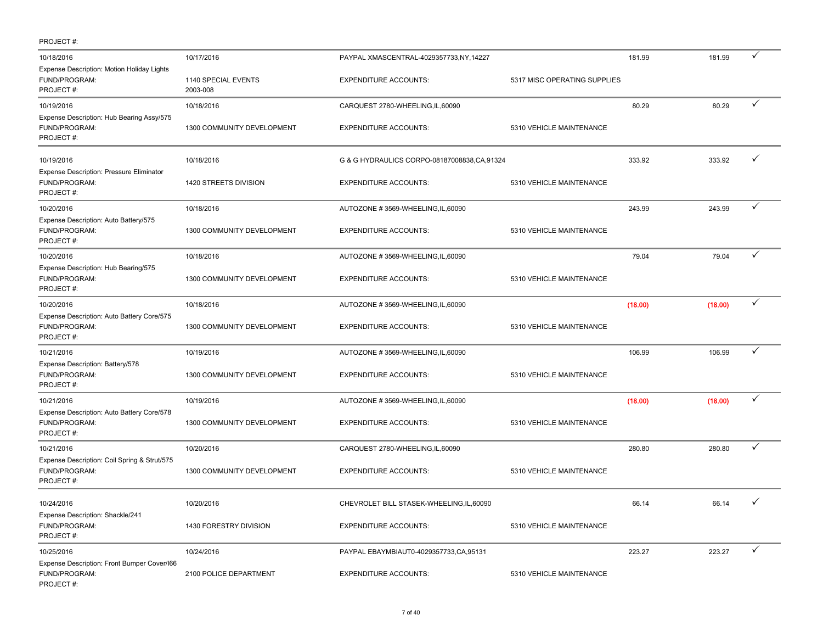| PROJECT#:                                                                  |                                 |                                             |                              |         |         |              |
|----------------------------------------------------------------------------|---------------------------------|---------------------------------------------|------------------------------|---------|---------|--------------|
| 10/18/2016                                                                 | 10/17/2016                      | PAYPAL XMASCENTRAL-4029357733,NY,14227      |                              | 181.99  | 181.99  | ✓            |
| Expense Description: Motion Holiday Lights<br>FUND/PROGRAM:<br>PROJECT#:   | 1140 SPECIAL EVENTS<br>2003-008 | <b>EXPENDITURE ACCOUNTS:</b>                | 5317 MISC OPERATING SUPPLIES |         |         |              |
| 10/19/2016                                                                 | 10/18/2016                      | CARQUEST 2780-WHEELING, IL, 60090           |                              | 80.29   | 80.29   | ✓            |
| Expense Description: Hub Bearing Assy/575<br>FUND/PROGRAM:<br>PROJECT#:    | 1300 COMMUNITY DEVELOPMENT      | <b>EXPENDITURE ACCOUNTS:</b>                | 5310 VEHICLE MAINTENANCE     |         |         |              |
| 10/19/2016                                                                 | 10/18/2016                      | G & G HYDRAULICS CORPO-08187008838.CA.91324 |                              | 333.92  | 333.92  | ✓            |
| Expense Description: Pressure Eliminator<br>FUND/PROGRAM:<br>PROJECT#:     | 1420 STREETS DIVISION           | <b>EXPENDITURE ACCOUNTS:</b>                | 5310 VEHICLE MAINTENANCE     |         |         |              |
| 10/20/2016                                                                 | 10/18/2016                      | AUTOZONE #3569-WHEELING, IL, 60090          |                              | 243.99  | 243.99  | ✓            |
| Expense Description: Auto Battery/575<br>FUND/PROGRAM:<br>PROJECT#:        | 1300 COMMUNITY DEVELOPMENT      | <b>EXPENDITURE ACCOUNTS:</b>                | 5310 VEHICLE MAINTENANCE     |         |         |              |
| 10/20/2016                                                                 | 10/18/2016                      | AUTOZONE #3569-WHEELING, IL, 60090          |                              | 79.04   | 79.04   | ✓            |
| Expense Description: Hub Bearing/575<br>FUND/PROGRAM:<br>PROJECT#:         | 1300 COMMUNITY DEVELOPMENT      | <b>EXPENDITURE ACCOUNTS:</b>                | 5310 VEHICLE MAINTENANCE     |         |         |              |
| 10/20/2016                                                                 | 10/18/2016                      | AUTOZONE #3569-WHEELING, IL, 60090          |                              | (18.00) | (18.00) | ✓            |
| Expense Description: Auto Battery Core/575<br>FUND/PROGRAM:<br>PROJECT#:   | 1300 COMMUNITY DEVELOPMENT      | <b>EXPENDITURE ACCOUNTS:</b>                | 5310 VEHICLE MAINTENANCE     |         |         |              |
| 10/21/2016                                                                 | 10/19/2016                      | AUTOZONE #3569-WHEELING, IL, 60090          |                              | 106.99  | 106.99  | ✓            |
| Expense Description: Battery/578<br>FUND/PROGRAM:<br>PROJECT#:             | 1300 COMMUNITY DEVELOPMENT      | <b>EXPENDITURE ACCOUNTS:</b>                | 5310 VEHICLE MAINTENANCE     |         |         |              |
| 10/21/2016                                                                 | 10/19/2016                      | AUTOZONE #3569-WHEELING, IL, 60090          |                              | (18.00) | (18.00) | ✓            |
| Expense Description: Auto Battery Core/578<br>FUND/PROGRAM:<br>PROJECT#:   | 1300 COMMUNITY DEVELOPMENT      | <b>EXPENDITURE ACCOUNTS:</b>                | 5310 VEHICLE MAINTENANCE     |         |         |              |
| 10/21/2016                                                                 | 10/20/2016                      | CARQUEST 2780-WHEELING, IL, 60090           |                              | 280.80  | 280.80  | ✓            |
| Expense Description: Coil Spring & Strut/575<br>FUND/PROGRAM:<br>PROJECT#: | 1300 COMMUNITY DEVELOPMENT      | <b>EXPENDITURE ACCOUNTS:</b>                | 5310 VEHICLE MAINTENANCE     |         |         |              |
| 10/24/2016                                                                 | 10/20/2016                      | CHEVROLET BILL STASEK-WHEELING, IL, 60090   |                              | 66.14   | 66.14   |              |
| Expense Description: Shackle/241<br>FUND/PROGRAM:<br>PROJECT#:             | 1430 FORESTRY DIVISION          | <b>EXPENDITURE ACCOUNTS:</b>                | 5310 VEHICLE MAINTENANCE     |         |         |              |
| 10/25/2016                                                                 | 10/24/2016                      | PAYPAL EBAYMBIAUT0-4029357733,CA,95131      |                              | 223.27  | 223.27  | $\checkmark$ |
| Expense Description: Front Bumper Cover/166<br>FUND/PROGRAM:<br>PROJECT#:  | 2100 POLICE DEPARTMENT          | <b>EXPENDITURE ACCOUNTS:</b>                | 5310 VEHICLE MAINTENANCE     |         |         |              |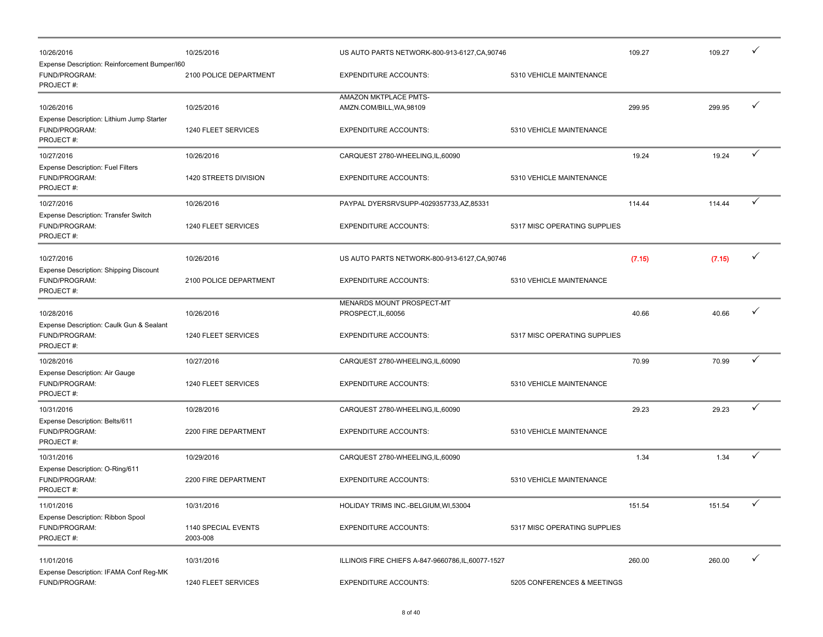| 10/26/2016                                                                  | 10/25/2016                      | US AUTO PARTS NETWORK-800-913-6127, CA, 90746      |                              | 109.27 | 109.27 | ✓ |
|-----------------------------------------------------------------------------|---------------------------------|----------------------------------------------------|------------------------------|--------|--------|---|
| Expense Description: Reinforcement Bumper/I60<br>FUND/PROGRAM:<br>PROJECT#: | 2100 POLICE DEPARTMENT          | <b>EXPENDITURE ACCOUNTS:</b>                       | 5310 VEHICLE MAINTENANCE     |        |        |   |
| 10/26/2016                                                                  | 10/25/2016                      | AMAZON MKTPLACE PMTS-<br>AMZN.COM/BILL, WA, 98109  |                              | 299.95 | 299.95 | ✓ |
| Expense Description: Lithium Jump Starter<br>FUND/PROGRAM:<br>PROJECT#:     | 1240 FLEET SERVICES             | <b>EXPENDITURE ACCOUNTS:</b>                       | 5310 VEHICLE MAINTENANCE     |        |        |   |
| 10/27/2016                                                                  | 10/26/2016                      | CARQUEST 2780-WHEELING, IL, 60090                  |                              | 19.24  | 19.24  | ✓ |
| <b>Expense Description: Fuel Filters</b><br>FUND/PROGRAM:<br>PROJECT#:      | 1420 STREETS DIVISION           | <b>EXPENDITURE ACCOUNTS:</b>                       | 5310 VEHICLE MAINTENANCE     |        |        |   |
| 10/27/2016                                                                  | 10/26/2016                      | PAYPAL DYERSRVSUPP-4029357733,AZ,85331             |                              | 114.44 | 114.44 | ✓ |
| Expense Description: Transfer Switch<br>FUND/PROGRAM:<br>PROJECT#:          | 1240 FLEET SERVICES             | <b>EXPENDITURE ACCOUNTS:</b>                       | 5317 MISC OPERATING SUPPLIES |        |        |   |
| 10/27/2016                                                                  | 10/26/2016                      | US AUTO PARTS NETWORK-800-913-6127, CA, 90746      |                              | (7.15) | (7.15) | ✓ |
| <b>Expense Description: Shipping Discount</b><br>FUND/PROGRAM:<br>PROJECT#: | 2100 POLICE DEPARTMENT          | <b>EXPENDITURE ACCOUNTS:</b>                       | 5310 VEHICLE MAINTENANCE     |        |        |   |
| 10/28/2016<br>Expense Description: Caulk Gun & Sealant                      | 10/26/2016                      | MENARDS MOUNT PROSPECT-MT<br>PROSPECT, IL, 60056   |                              | 40.66  | 40.66  |   |
| FUND/PROGRAM:<br>PROJECT#:                                                  | 1240 FLEET SERVICES             | <b>EXPENDITURE ACCOUNTS:</b>                       | 5317 MISC OPERATING SUPPLIES |        |        |   |
| 10/28/2016                                                                  | 10/27/2016                      | CARQUEST 2780-WHEELING, IL, 60090                  |                              | 70.99  | 70.99  | ✓ |
| Expense Description: Air Gauge<br>FUND/PROGRAM:<br>PROJECT#:                | 1240 FLEET SERVICES             | <b>EXPENDITURE ACCOUNTS:</b>                       | 5310 VEHICLE MAINTENANCE     |        |        |   |
| 10/31/2016                                                                  | 10/28/2016                      | CARQUEST 2780-WHEELING, IL, 60090                  |                              | 29.23  | 29.23  | ✓ |
| Expense Description: Belts/611<br>FUND/PROGRAM:<br>PROJECT#:                | 2200 FIRE DEPARTMENT            | <b>EXPENDITURE ACCOUNTS:</b>                       | 5310 VEHICLE MAINTENANCE     |        |        |   |
| 10/31/2016                                                                  | 10/29/2016                      | CARQUEST 2780-WHEELING, IL, 60090                  |                              | 1.34   | 1.34   | ✓ |
| Expense Description: O-Ring/611<br>FUND/PROGRAM:<br>PROJECT#:               | 2200 FIRE DEPARTMENT            | <b>EXPENDITURE ACCOUNTS:</b>                       | 5310 VEHICLE MAINTENANCE     |        |        |   |
| 11/01/2016                                                                  | 10/31/2016                      | HOLIDAY TRIMS INC.-BELGIUM, WI, 53004              |                              | 151.54 | 151.54 | ✓ |
| Expense Description: Ribbon Spool<br>FUND/PROGRAM:<br>PROJECT#:             | 1140 SPECIAL EVENTS<br>2003-008 | <b>EXPENDITURE ACCOUNTS:</b>                       | 5317 MISC OPERATING SUPPLIES |        |        |   |
| 11/01/2016<br>Expense Description: IFAMA Conf Reg-MK                        | 10/31/2016                      | ILLINOIS FIRE CHIEFS A-847-9660786, IL, 60077-1527 |                              | 260.00 | 260.00 | ✓ |
| FUND/PROGRAM:                                                               | 1240 FLEET SERVICES             | <b>EXPENDITURE ACCOUNTS:</b>                       | 5205 CONFERENCES & MEETINGS  |        |        |   |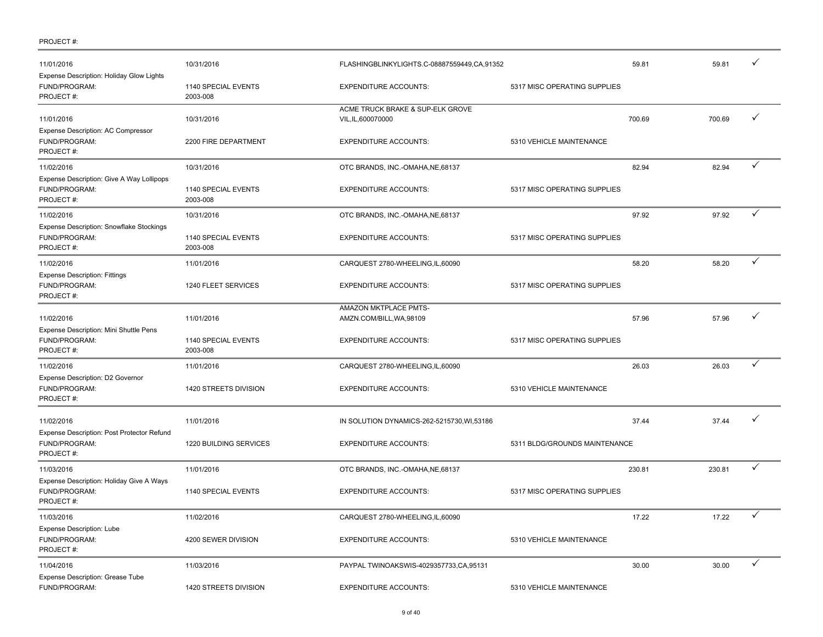| 11/01/2016<br>Expense Description: Holiday Glow Lights                  | 10/31/2016                      | FLASHINGBLINKYLIGHTS.C-08887559449,CA,91352            |                               | 59.81<br>59.81 |              |
|-------------------------------------------------------------------------|---------------------------------|--------------------------------------------------------|-------------------------------|----------------|--------------|
| FUND/PROGRAM:<br>PROJECT#:                                              | 1140 SPECIAL EVENTS<br>2003-008 | <b>EXPENDITURE ACCOUNTS:</b>                           | 5317 MISC OPERATING SUPPLIES  |                |              |
| 11/01/2016<br>Expense Description: AC Compressor                        | 10/31/2016                      | ACME TRUCK BRAKE & SUP-ELK GROVE<br>VIL, IL, 600070000 | 700.69                        | 700.69         | $\checkmark$ |
| FUND/PROGRAM:<br>PROJECT#:                                              | 2200 FIRE DEPARTMENT            | <b>EXPENDITURE ACCOUNTS:</b>                           | 5310 VEHICLE MAINTENANCE      |                |              |
| 11/02/2016                                                              | 10/31/2016                      | OTC BRANDS, INC.-OMAHA, NE, 68137                      |                               | 82.94<br>82.94 | ✓            |
| Expense Description: Give A Way Lollipops<br>FUND/PROGRAM:<br>PROJECT#: | 1140 SPECIAL EVENTS<br>2003-008 | <b>EXPENDITURE ACCOUNTS:</b>                           | 5317 MISC OPERATING SUPPLIES  |                |              |
| 11/02/2016                                                              | 10/31/2016                      | OTC BRANDS, INC.-OMAHA, NE, 68137                      |                               | 97.92<br>97.92 | ✓            |
| Expense Description: Snowflake Stockings<br>FUND/PROGRAM:<br>PROJECT#:  | 1140 SPECIAL EVENTS<br>2003-008 | <b>EXPENDITURE ACCOUNTS:</b>                           | 5317 MISC OPERATING SUPPLIES  |                |              |
| 11/02/2016                                                              | 11/01/2016                      | CARQUEST 2780-WHEELING,IL,60090                        |                               | 58.20<br>58.20 | ✓            |
| <b>Expense Description: Fittings</b><br>FUND/PROGRAM:<br>PROJECT#:      | 1240 FLEET SERVICES             | <b>EXPENDITURE ACCOUNTS:</b>                           | 5317 MISC OPERATING SUPPLIES  |                |              |
| 11/02/2016<br>Expense Description: Mini Shuttle Pens                    | 11/01/2016                      | AMAZON MKTPLACE PMTS-<br>AMZN.COM/BILL, WA, 98109      |                               | 57.96<br>57.96 | ✓            |
| FUND/PROGRAM:<br>PROJECT#:                                              | 1140 SPECIAL EVENTS<br>2003-008 | <b>EXPENDITURE ACCOUNTS:</b>                           | 5317 MISC OPERATING SUPPLIES  |                |              |
| 11/02/2016                                                              | 11/01/2016                      | CARQUEST 2780-WHEELING, IL, 60090                      |                               | 26.03<br>26.03 | ✓            |
| Expense Description: D2 Governor<br>FUND/PROGRAM:<br>PROJECT#:          | 1420 STREETS DIVISION           | <b>EXPENDITURE ACCOUNTS:</b>                           | 5310 VEHICLE MAINTENANCE      |                |              |
| 11/02/2016<br>Expense Description: Post Protector Refund                | 11/01/2016                      | IN SOLUTION DYNAMICS-262-5215730, WI,53186             |                               | 37.44<br>37.44 | ✓            |
| FUND/PROGRAM:<br>PROJECT#:                                              | 1220 BUILDING SERVICES          | <b>EXPENDITURE ACCOUNTS:</b>                           | 5311 BLDG/GROUNDS MAINTENANCE |                |              |
| 11/03/2016                                                              | 11/01/2016                      | OTC BRANDS, INC.-OMAHA, NE, 68137                      | 230.81                        | 230.81         | ✓            |
| Expense Description: Holiday Give A Ways<br>FUND/PROGRAM:<br>PROJECT#:  | 1140 SPECIAL EVENTS             | <b>EXPENDITURE ACCOUNTS:</b>                           | 5317 MISC OPERATING SUPPLIES  |                |              |
| 11/03/2016                                                              | 11/02/2016                      | CARQUEST 2780-WHEELING, IL, 60090                      |                               | 17.22<br>17.22 | ✓            |
| Expense Description: Lube<br>FUND/PROGRAM:<br>PROJECT#:                 | 4200 SEWER DIVISION             | <b>EXPENDITURE ACCOUNTS:</b>                           | 5310 VEHICLE MAINTENANCE      |                |              |
| 11/04/2016                                                              | 11/03/2016                      | PAYPAL TWINOAKSWIS-4029357733,CA,95131                 |                               | 30.00<br>30.00 | ✓            |
| Expense Description: Grease Tube<br>FUND/PROGRAM:                       | 1420 STREETS DIVISION           | <b>EXPENDITURE ACCOUNTS:</b>                           | 5310 VEHICLE MAINTENANCE      |                |              |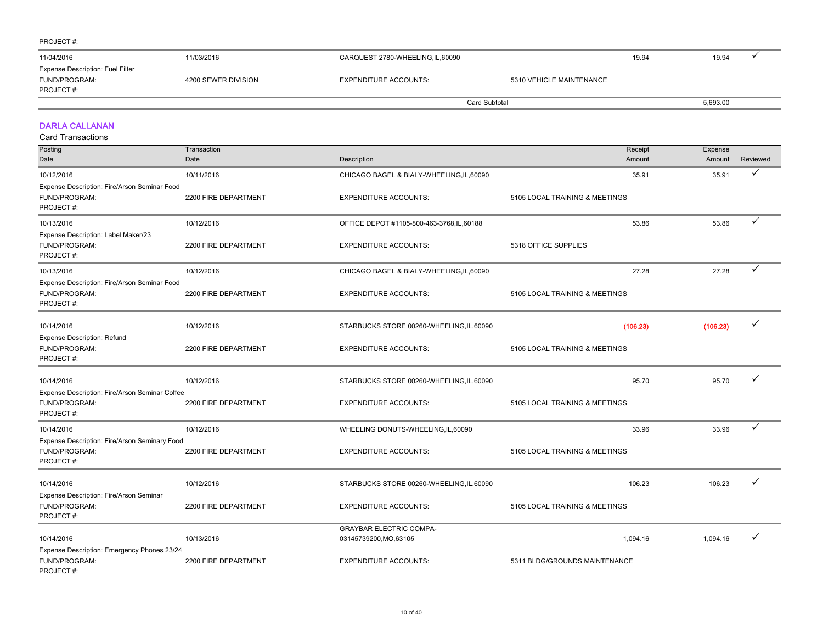| 11/04/2016                                                     | 11/03/2016          | CARQUEST 2780-WHEELING, IL, 60090 |                          | 19.94 | 19.94    |  |
|----------------------------------------------------------------|---------------------|-----------------------------------|--------------------------|-------|----------|--|
| Expense Description: Fuel Filter<br>FUND/PROGRAM:<br>PROJECT#: | 4200 SEWER DIVISION | <b>EXPENDITURE ACCOUNTS:</b>      | 5310 VEHICLE MAINTENANCE |       |          |  |
|                                                                |                     |                                   | Card Subtotal            |       | 5,693.00 |  |

#### DARLA CALLANAN

| Posting                                                                      | Transaction          |                                            | Receipt                        | Expense  |          |
|------------------------------------------------------------------------------|----------------------|--------------------------------------------|--------------------------------|----------|----------|
| Date                                                                         | Date                 | Description                                | Amount                         | Amount   | Reviewed |
| 10/12/2016                                                                   | 10/11/2016           | CHICAGO BAGEL & BIALY-WHEELING, IL, 60090  | 35.91                          | 35.91    | ✓        |
| Expense Description: Fire/Arson Seminar Food<br>FUND/PROGRAM:<br>PROJECT#:   | 2200 FIRE DEPARTMENT | <b>EXPENDITURE ACCOUNTS:</b>               | 5105 LOCAL TRAINING & MEETINGS |          |          |
| 10/13/2016                                                                   | 10/12/2016           | OFFICE DEPOT #1105-800-463-3768, IL, 60188 | 53.86                          | 53.86    | ✓        |
| Expense Description: Label Maker/23<br>FUND/PROGRAM:<br>PROJECT#:            | 2200 FIRE DEPARTMENT | <b>EXPENDITURE ACCOUNTS:</b>               | 5318 OFFICE SUPPLIES           |          |          |
| 10/13/2016                                                                   | 10/12/2016           | CHICAGO BAGEL & BIALY-WHEELING, IL, 60090  | 27.28                          | 27.28    |          |
| Expense Description: Fire/Arson Seminar Food<br>FUND/PROGRAM:<br>PROJECT#:   | 2200 FIRE DEPARTMENT | <b>EXPENDITURE ACCOUNTS:</b>               | 5105 LOCAL TRAINING & MEETINGS |          |          |
| 10/14/2016                                                                   | 10/12/2016           | STARBUCKS STORE 00260-WHEELING,IL,60090    | (106.23)                       | (106.23) | ✓        |
| <b>Expense Description: Refund</b><br>FUND/PROGRAM:<br>PROJECT#:             | 2200 FIRE DEPARTMENT | <b>EXPENDITURE ACCOUNTS:</b>               | 5105 LOCAL TRAINING & MEETINGS |          |          |
| 10/14/2016                                                                   | 10/12/2016           | STARBUCKS STORE 00260-WHEELING, IL, 60090  | 95.70                          | 95.70    |          |
| Expense Description: Fire/Arson Seminar Coffee<br>FUND/PROGRAM:<br>PROJECT#: | 2200 FIRE DEPARTMENT | <b>EXPENDITURE ACCOUNTS:</b>               | 5105 LOCAL TRAINING & MEETINGS |          |          |
| 10/14/2016                                                                   | 10/12/2016           | WHEELING DONUTS-WHEELING, IL, 60090        | 33.96                          | 33.96    | ✓        |
| Expense Description: Fire/Arson Seminary Food<br>FUND/PROGRAM:<br>PROJECT#:  | 2200 FIRE DEPARTMENT | <b>EXPENDITURE ACCOUNTS:</b>               | 5105 LOCAL TRAINING & MEETINGS |          |          |
| 10/14/2016                                                                   | 10/12/2016           | STARBUCKS STORE 00260-WHEELING, IL, 60090  | 106.23                         | 106.23   |          |
| Expense Description: Fire/Arson Seminar<br>FUND/PROGRAM:<br>PROJECT#:        | 2200 FIRE DEPARTMENT | <b>EXPENDITURE ACCOUNTS:</b>               | 5105 LOCAL TRAINING & MEETINGS |          |          |
|                                                                              |                      | <b>GRAYBAR ELECTRIC COMPA-</b>             |                                |          | ✓        |
| 10/14/2016<br>Expense Description: Emergency Phones 23/24                    | 10/13/2016           | 03145739200, MO, 63105                     | 1.094.16                       | 1,094.16 |          |
| FUND/PROGRAM:<br>PROJECT#:                                                   | 2200 FIRE DEPARTMENT | <b>EXPENDITURE ACCOUNTS:</b>               | 5311 BLDG/GROUNDS MAINTENANCE  |          |          |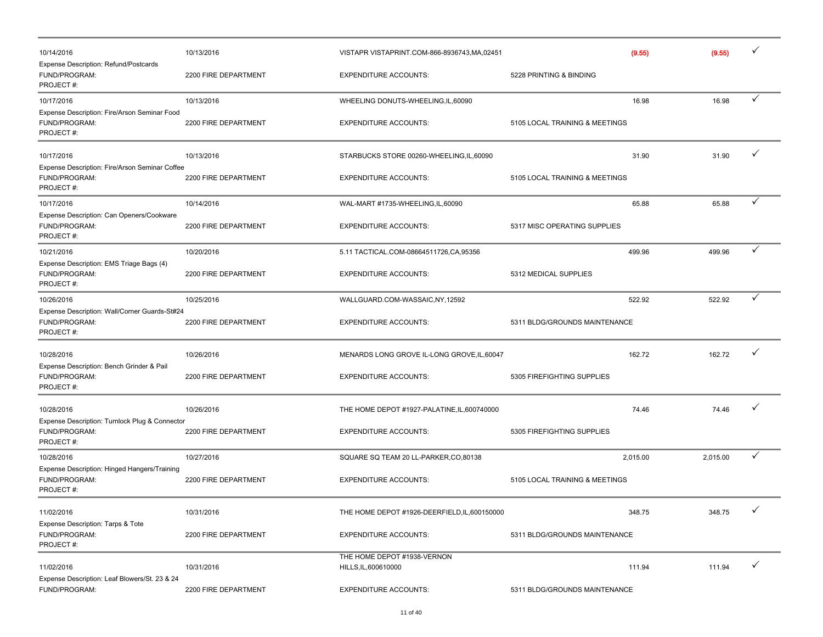| 10/14/2016                                                                   | 10/13/2016           | VISTAPR VISTAPRINT.COM-866-8936743,MA,02451         |                                | (9.55)   | (9.55)   |              |
|------------------------------------------------------------------------------|----------------------|-----------------------------------------------------|--------------------------------|----------|----------|--------------|
| Expense Description: Refund/Postcards<br>FUND/PROGRAM:<br>PROJECT#:          | 2200 FIRE DEPARTMENT | <b>EXPENDITURE ACCOUNTS:</b>                        | 5228 PRINTING & BINDING        |          |          |              |
| 10/17/2016                                                                   | 10/13/2016           | WHEELING DONUTS-WHEELING, IL, 60090                 |                                | 16.98    | 16.98    | ✓            |
| Expense Description: Fire/Arson Seminar Food<br>FUND/PROGRAM:<br>PROJECT#:   | 2200 FIRE DEPARTMENT | <b>EXPENDITURE ACCOUNTS:</b>                        | 5105 LOCAL TRAINING & MEETINGS |          |          |              |
| 10/17/2016                                                                   | 10/13/2016           | STARBUCKS STORE 00260-WHEELING,IL,60090             |                                | 31.90    | 31.90    | ✓            |
| Expense Description: Fire/Arson Seminar Coffee<br>FUND/PROGRAM:<br>PROJECT#: | 2200 FIRE DEPARTMENT | <b>EXPENDITURE ACCOUNTS:</b>                        | 5105 LOCAL TRAINING & MEETINGS |          |          |              |
| 10/17/2016                                                                   | 10/14/2016           | WAL-MART #1735-WHEELING, IL, 60090                  |                                | 65.88    | 65.88    | ✓            |
| Expense Description: Can Openers/Cookware<br>FUND/PROGRAM:<br>PROJECT#:      | 2200 FIRE DEPARTMENT | <b>EXPENDITURE ACCOUNTS:</b>                        | 5317 MISC OPERATING SUPPLIES   |          |          |              |
| 10/21/2016                                                                   | 10/20/2016           | 5.11 TACTICAL.COM-08664511726,CA,95356              |                                | 499.96   | 499.96   | ✓            |
| Expense Description: EMS Triage Bags (4)<br>FUND/PROGRAM:<br>PROJECT#:       | 2200 FIRE DEPARTMENT | <b>EXPENDITURE ACCOUNTS:</b>                        | 5312 MEDICAL SUPPLIES          |          |          |              |
| 10/26/2016                                                                   | 10/25/2016           | WALLGUARD.COM-WASSAIC,NY,12592                      |                                | 522.92   | 522.92   | ✓            |
| Expense Description: Wall/Corner Guards-St#24<br>FUND/PROGRAM:<br>PROJECT#:  | 2200 FIRE DEPARTMENT | <b>EXPENDITURE ACCOUNTS:</b>                        | 5311 BLDG/GROUNDS MAINTENANCE  |          |          |              |
| 10/28/2016                                                                   | 10/26/2016           | MENARDS LONG GROVE IL-LONG GROVE, IL, 60047         |                                | 162.72   | 162.72   | ✓            |
| Expense Description: Bench Grinder & Pail<br>FUND/PROGRAM:<br>PROJECT#:      | 2200 FIRE DEPARTMENT | <b>EXPENDITURE ACCOUNTS:</b>                        | 5305 FIREFIGHTING SUPPLIES     |          |          |              |
| 10/28/2016                                                                   | 10/26/2016           | THE HOME DEPOT #1927-PALATINE, IL, 600740000        |                                | 74.46    | 74.46    |              |
| Expense Description: Turnlock Plug & Connector<br>FUND/PROGRAM:<br>PROJECT#: | 2200 FIRE DEPARTMENT | <b>EXPENDITURE ACCOUNTS:</b>                        | 5305 FIREFIGHTING SUPPLIES     |          |          |              |
| 10/28/2016                                                                   | 10/27/2016           | SQUARE SQ TEAM 20 LL-PARKER, CO, 80138              |                                | 2,015.00 | 2,015.00 | ✓            |
| Expense Description: Hinged Hangers/Training<br>FUND/PROGRAM:<br>PROJECT#:   | 2200 FIRE DEPARTMENT | <b>EXPENDITURE ACCOUNTS:</b>                        | 5105 LOCAL TRAINING & MEETINGS |          |          |              |
| 11/02/2016                                                                   | 10/31/2016           | THE HOME DEPOT #1926-DEERFIELD, IL, 600150000       |                                | 348.75   | 348.75   | ✓            |
| Expense Description: Tarps & Tote<br>FUND/PROGRAM:<br>PROJECT#:              | 2200 FIRE DEPARTMENT | <b>EXPENDITURE ACCOUNTS:</b>                        | 5311 BLDG/GROUNDS MAINTENANCE  |          |          |              |
| 11/02/2016                                                                   | 10/31/2016           | THE HOME DEPOT #1938-VERNON<br>HILLS, IL, 600610000 |                                | 111.94   | 111.94   | $\checkmark$ |
| Expense Description: Leaf Blowers/St. 23 & 24<br>FUND/PROGRAM:               | 2200 FIRE DEPARTMENT | <b>EXPENDITURE ACCOUNTS:</b>                        | 5311 BLDG/GROUNDS MAINTENANCE  |          |          |              |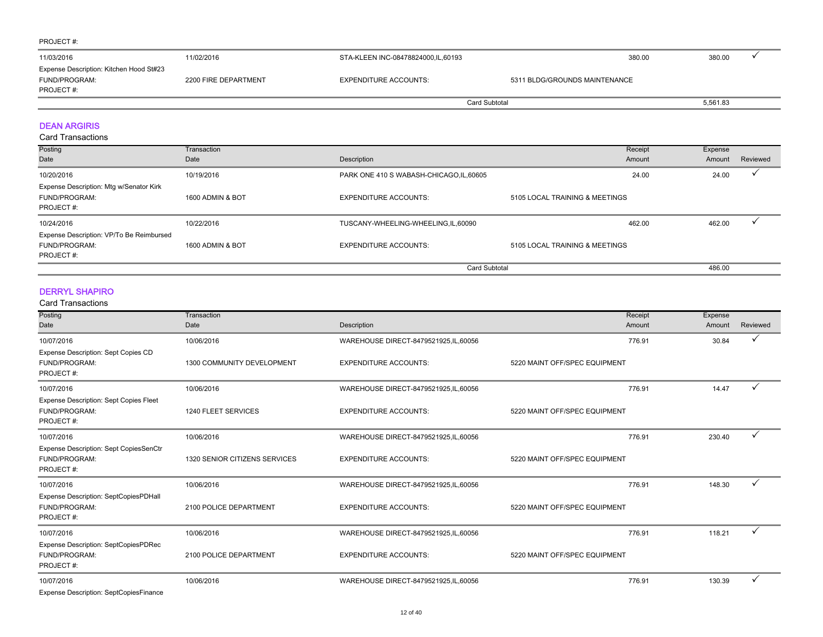| 11/03/2016                                                             | 11/02/2016           | STA-KLEEN INC-08478824000,IL,60193 | 380.00                        | 380.00   |
|------------------------------------------------------------------------|----------------------|------------------------------------|-------------------------------|----------|
| Expense Description: Kitchen Hood St#23<br>FUND/PROGRAM:<br>PROJECT #: | 2200 FIRE DEPARTMENT | <b>EXPENDITURE ACCOUNTS:</b>       | 5311 BLDG/GROUNDS MAINTENANCE |          |
|                                                                        |                      |                                    | Card Subtotal                 | 5,561.83 |

#### DEAN ARGIRIS

Card Transactions

| Posting                                  | Transaction      |                                          | Receipt                        | Expense |          |
|------------------------------------------|------------------|------------------------------------------|--------------------------------|---------|----------|
| Date                                     | Date             | Description                              | Amount                         | Amount  | Reviewed |
| 10/20/2016                               | 10/19/2016       | PARK ONE 410 S WABASH-CHICAGO, IL, 60605 | 24.00                          | 24.00   |          |
| Expense Description: Mtg w/Senator Kirk  |                  |                                          |                                |         |          |
| FUND/PROGRAM:                            | 1600 ADMIN & BOT | <b>EXPENDITURE ACCOUNTS:</b>             | 5105 LOCAL TRAINING & MEETINGS |         |          |
| PROJECT#:                                |                  |                                          |                                |         |          |
| 10/24/2016                               | 10/22/2016       | TUSCANY-WHEELING-WHEELING,IL,60090       | 462.00                         | 462.00  |          |
| Expense Description: VP/To Be Reimbursed |                  |                                          |                                |         |          |
| FUND/PROGRAM:                            | 1600 ADMIN & BOT | <b>EXPENDITURE ACCOUNTS:</b>             | 5105 LOCAL TRAINING & MEETINGS |         |          |
| PROJECT#:                                |                  |                                          |                                |         |          |
|                                          |                  | <b>Card Subtotal</b>                     |                                | 486.00  |          |

#### DERRYL SHAPIRO

#### Card Transactions

| Posting                                                                     | Transaction                   |                                        | Receipt                       | Expense |              |
|-----------------------------------------------------------------------------|-------------------------------|----------------------------------------|-------------------------------|---------|--------------|
| Date                                                                        | Date                          | Description                            | Amount                        | Amount  | Reviewed     |
| 10/07/2016                                                                  | 10/06/2016                    | WAREHOUSE DIRECT-8479521925, IL, 60056 | 776.91                        | 30.84   | ✓            |
| Expense Description: Sept Copies CD<br>FUND/PROGRAM:<br>PROJECT#:           | 1300 COMMUNITY DEVELOPMENT    | <b>EXPENDITURE ACCOUNTS:</b>           | 5220 MAINT OFF/SPEC EQUIPMENT |         |              |
| 10/07/2016                                                                  | 10/06/2016                    | WAREHOUSE DIRECT-8479521925, IL, 60056 | 776.91                        | 14.47   | $\checkmark$ |
| <b>Expense Description: Sept Copies Fleet</b><br>FUND/PROGRAM:<br>PROJECT#: | 1240 FLEET SERVICES           | <b>EXPENDITURE ACCOUNTS:</b>           | 5220 MAINT OFF/SPEC EQUIPMENT |         |              |
| 10/07/2016                                                                  | 10/06/2016                    | WAREHOUSE DIRECT-8479521925, IL, 60056 | 776.91                        | 230.40  | ✓            |
| <b>Expense Description: Sept CopiesSenCtr</b><br>FUND/PROGRAM:<br>PROJECT#: | 1320 SENIOR CITIZENS SERVICES | <b>EXPENDITURE ACCOUNTS:</b>           | 5220 MAINT OFF/SPEC EQUIPMENT |         |              |
| 10/07/2016                                                                  | 10/06/2016                    | WAREHOUSE DIRECT-8479521925,IL,60056   | 776.91                        | 148.30  | ✓            |
| Expense Description: SeptCopiesPDHall<br>FUND/PROGRAM:<br>PROJECT#:         | 2100 POLICE DEPARTMENT        | <b>EXPENDITURE ACCOUNTS:</b>           | 5220 MAINT OFF/SPEC EQUIPMENT |         |              |
| 10/07/2016                                                                  | 10/06/2016                    | WAREHOUSE DIRECT-8479521925, IL, 60056 | 776.91                        | 118.21  | ✓            |
| Expense Description: SeptCopiesPDRec<br>FUND/PROGRAM:<br>PROJECT#:          | 2100 POLICE DEPARTMENT        | <b>EXPENDITURE ACCOUNTS:</b>           | 5220 MAINT OFF/SPEC EQUIPMENT |         |              |
| 10/07/2016                                                                  | 10/06/2016                    | WAREHOUSE DIRECT-8479521925, IL, 60056 | 776.91                        | 130.39  | ✓            |
| Evannon Deparintion: CantCanicoEinanon                                      |                               |                                        |                               |         |              |

Expense Description: SeptCopiesFinance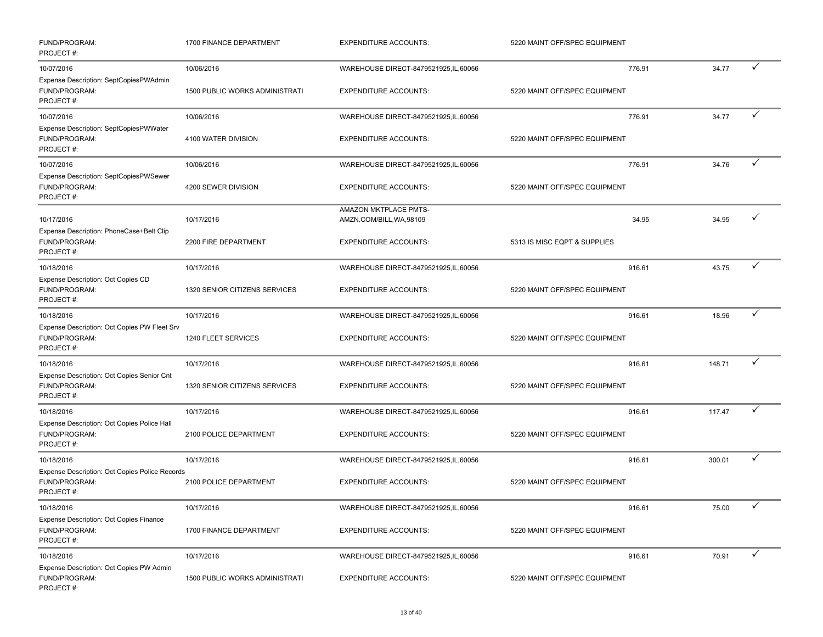| FUND/PROGRAM:<br>PROJECT#:                                                                 | 1700 FINANCE DEPARTMENT                      | <b>EXPENDITURE ACCOUNTS:</b>                                                      | 5220 MAINT OFF/SPEC EQUIPMENT           |        |   |
|--------------------------------------------------------------------------------------------|----------------------------------------------|-----------------------------------------------------------------------------------|-----------------------------------------|--------|---|
| 10/07/2016<br>Expense Description: SeptCopiesPWAdmin<br>FUND/PROGRAM:<br>PROJECT#:         | 10/06/2016<br>1500 PUBLIC WORKS ADMINISTRATI | WAREHOUSE DIRECT-8479521925, IL, 60056<br><b>EXPENDITURE ACCOUNTS:</b>            | 776.91<br>5220 MAINT OFF/SPEC EQUIPMENT | 34.77  | ✓ |
| 10/07/2016<br>Expense Description: SeptCopiesPWWater<br>FUND/PROGRAM:<br>PROJECT#:         | 10/06/2016<br>4100 WATER DIVISION            | WAREHOUSE DIRECT-8479521925,IL,60056<br><b>EXPENDITURE ACCOUNTS:</b>              | 776.91<br>5220 MAINT OFF/SPEC EQUIPMENT | 34.77  | ✓ |
| 10/07/2016<br>Expense Description: SeptCopiesPWSewer<br>FUND/PROGRAM:<br>PROJECT#:         | 10/06/2016<br>4200 SEWER DIVISION            | WAREHOUSE DIRECT-8479521925, IL, 60056<br><b>EXPENDITURE ACCOUNTS:</b>            | 776.91<br>5220 MAINT OFF/SPEC EQUIPMENT | 34.76  | ✓ |
| 10/17/2016<br>Expense Description: PhoneCase+Belt Clip<br>FUND/PROGRAM:<br>PROJECT#:       | 10/17/2016<br>2200 FIRE DEPARTMENT           | AMAZON MKTPLACE PMTS-<br>AMZN.COM/BILL, WA, 98109<br><b>EXPENDITURE ACCOUNTS:</b> | 34.95<br>5313 IS MISC EQPT & SUPPLIES   | 34.95  | ✓ |
| 10/18/2016<br>Expense Description: Oct Copies CD<br>FUND/PROGRAM:<br>PROJECT#:             | 10/17/2016<br>1320 SENIOR CITIZENS SERVICES  | WAREHOUSE DIRECT-8479521925, IL, 60056<br><b>EXPENDITURE ACCOUNTS:</b>            | 916.61<br>5220 MAINT OFF/SPEC EQUIPMENT | 43.75  | ✓ |
| 10/18/2016<br>Expense Description: Oct Copies PW Fleet Srv<br>FUND/PROGRAM:<br>PROJECT#:   | 10/17/2016<br>1240 FLEET SERVICES            | WAREHOUSE DIRECT-8479521925,IL,60056<br><b>EXPENDITURE ACCOUNTS:</b>              | 916.61<br>5220 MAINT OFF/SPEC EQUIPMENT | 18.96  | ✓ |
| 10/18/2016<br>Expense Description: Oct Copies Senior Cnt<br>FUND/PROGRAM:<br>PROJECT#:     | 10/17/2016<br>1320 SENIOR CITIZENS SERVICES  | WAREHOUSE DIRECT-8479521925, IL, 60056<br><b>EXPENDITURE ACCOUNTS:</b>            | 916.61<br>5220 MAINT OFF/SPEC EQUIPMENT | 148.71 |   |
| 10/18/2016<br>Expense Description: Oct Copies Police Hall<br>FUND/PROGRAM:<br>PROJECT#:    | 10/17/2016<br>2100 POLICE DEPARTMENT         | WAREHOUSE DIRECT-8479521925, IL, 60056<br><b>EXPENDITURE ACCOUNTS:</b>            | 916.61<br>5220 MAINT OFF/SPEC EQUIPMENT | 117.47 |   |
| 10/18/2016<br>Expense Description: Oct Copies Police Records<br>FUND/PROGRAM:<br>PROJECT#: | 10/17/2016<br>2100 POLICE DEPARTMENT         | WAREHOUSE DIRECT-8479521925,IL,60056<br><b>EXPENDITURE ACCOUNTS:</b>              | 916.61<br>5220 MAINT OFF/SPEC EQUIPMENT | 300.01 | ✓ |
| 10/18/2016<br>Expense Description: Oct Copies Finance<br>FUND/PROGRAM:<br>PROJECT#:        | 10/17/2016<br>1700 FINANCE DEPARTMENT        | WAREHOUSE DIRECT-8479521925,IL,60056<br><b>EXPENDITURE ACCOUNTS:</b>              | 916.61<br>5220 MAINT OFF/SPEC EQUIPMENT | 75.00  | ✓ |
| 10/18/2016<br>Expense Description: Oct Copies PW Admin<br>FUND/PROGRAM:<br>PROJECT#:       | 10/17/2016<br>1500 PUBLIC WORKS ADMINISTRATI | WAREHOUSE DIRECT-8479521925,IL,60056<br><b>EXPENDITURE ACCOUNTS:</b>              | 916.61<br>5220 MAINT OFF/SPEC EQUIPMENT | 70.91  | ✓ |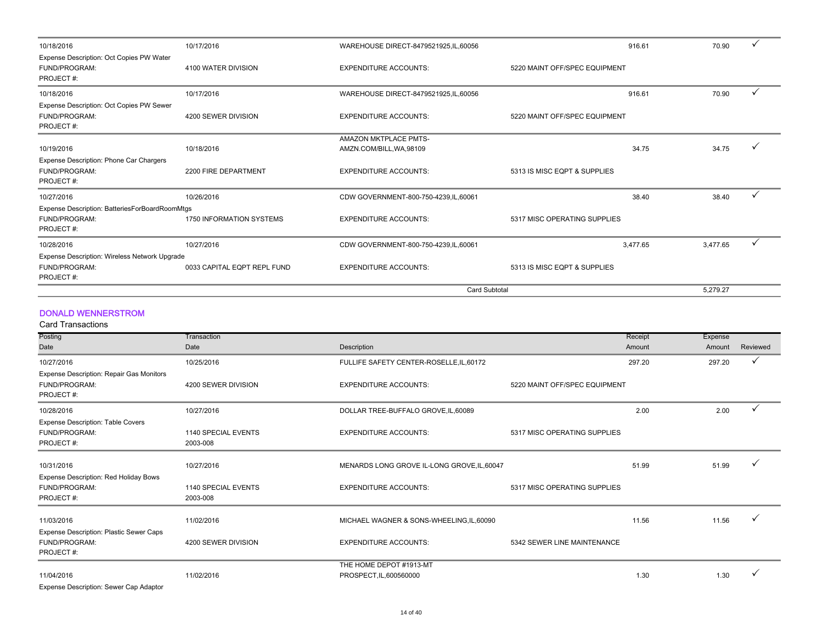| 10/18/2016                                                             | 10/17/2016                  | WAREHOUSE DIRECT-8479521925, IL, 60056 | 916.61                        | 70.90    |  |
|------------------------------------------------------------------------|-----------------------------|----------------------------------------|-------------------------------|----------|--|
| Expense Description: Oct Copies PW Water<br>FUND/PROGRAM:<br>PROJECT#: | 4100 WATER DIVISION         | <b>EXPENDITURE ACCOUNTS:</b>           | 5220 MAINT OFF/SPEC EQUIPMENT |          |  |
| 10/18/2016                                                             | 10/17/2016                  | WAREHOUSE DIRECT-8479521925, IL, 60056 | 916.61                        | 70.90    |  |
| Expense Description: Oct Copies PW Sewer<br>FUND/PROGRAM:<br>PROJECT#: | 4200 SEWER DIVISION         | <b>EXPENDITURE ACCOUNTS:</b>           | 5220 MAINT OFF/SPEC EQUIPMENT |          |  |
|                                                                        |                             | <b>AMAZON MKTPLACE PMTS-</b>           |                               |          |  |
| 10/19/2016                                                             | 10/18/2016                  | AMZN.COM/BILL, WA, 98109               | 34.75                         | 34.75    |  |
| Expense Description: Phone Car Chargers<br>FUND/PROGRAM:<br>PROJECT#:  | 2200 FIRE DEPARTMENT        | <b>EXPENDITURE ACCOUNTS:</b>           | 5313 IS MISC EQPT & SUPPLIES  |          |  |
| 10/27/2016                                                             | 10/26/2016                  | CDW GOVERNMENT-800-750-4239, IL, 60061 | 38.40                         | 38.40    |  |
| Expense Description: BatteriesForBoardRoomMtgs                         |                             |                                        |                               |          |  |
| FUND/PROGRAM:<br>PROJECT#:                                             | 1750 INFORMATION SYSTEMS    | <b>EXPENDITURE ACCOUNTS:</b>           | 5317 MISC OPERATING SUPPLIES  |          |  |
| 10/28/2016                                                             | 10/27/2016                  | CDW GOVERNMENT-800-750-4239, IL, 60061 | 3.477.65                      | 3.477.65 |  |
| Expense Description: Wireless Network Upgrade                          |                             |                                        |                               |          |  |
| FUND/PROGRAM:<br>PROJECT#:                                             | 0033 CAPITAL EQPT REPL FUND | <b>EXPENDITURE ACCOUNTS:</b>           | 5313 IS MISC EQPT & SUPPLIES  |          |  |
|                                                                        |                             | <b>Card Subtotal</b>                   |                               | 5.279.27 |  |

#### DONALD WENNERSTROM

Card Transactions

| Posting                                                                | Transaction                     |                                                    |                               | Receipt<br>Expense |              |
|------------------------------------------------------------------------|---------------------------------|----------------------------------------------------|-------------------------------|--------------------|--------------|
| Date                                                                   | Date                            | Description                                        |                               | Amount<br>Amount   | Reviewed     |
| 10/27/2016                                                             | 10/25/2016                      | FULLIFE SAFETY CENTER-ROSELLE, IL, 60172           |                               | 297.20<br>297.20   | $\checkmark$ |
| Expense Description: Repair Gas Monitors<br>FUND/PROGRAM:<br>PROJECT#: | 4200 SEWER DIVISION             | <b>EXPENDITURE ACCOUNTS:</b>                       | 5220 MAINT OFF/SPEC EQUIPMENT |                    |              |
| 10/28/2016                                                             | 10/27/2016                      | DOLLAR TREE-BUFFALO GROVE.IL.60089                 |                               | 2.00<br>2.00       |              |
| <b>Expense Description: Table Covers</b><br>FUND/PROGRAM:<br>PROJECT#: | 1140 SPECIAL EVENTS<br>2003-008 | <b>EXPENDITURE ACCOUNTS:</b>                       | 5317 MISC OPERATING SUPPLIES  |                    |              |
| 10/31/2016                                                             | 10/27/2016                      | MENARDS LONG GROVE IL-LONG GROVE, IL, 60047        |                               | 51.99<br>51.99     |              |
| Expense Description: Red Holiday Bows<br>FUND/PROGRAM:<br>PROJECT#:    | 1140 SPECIAL EVENTS<br>2003-008 | <b>EXPENDITURE ACCOUNTS:</b>                       | 5317 MISC OPERATING SUPPLIES  |                    |              |
| 11/03/2016                                                             | 11/02/2016                      | MICHAEL WAGNER & SONS-WHEELING, IL, 60090          |                               | 11.56<br>11.56     |              |
| Expense Description: Plastic Sewer Caps<br>FUND/PROGRAM:<br>PROJECT#:  | 4200 SEWER DIVISION             | <b>EXPENDITURE ACCOUNTS:</b>                       | 5342 SEWER LINE MAINTENANCE   |                    |              |
| 11/04/2016<br>Expanse Description: Sewer Cap Adaptor                   | 11/02/2016                      | THE HOME DEPOT #1913-MT<br>PROSPECT, IL, 600560000 |                               | 1.30<br>1.30       |              |

Expense Description: Sewer Cap Adaptor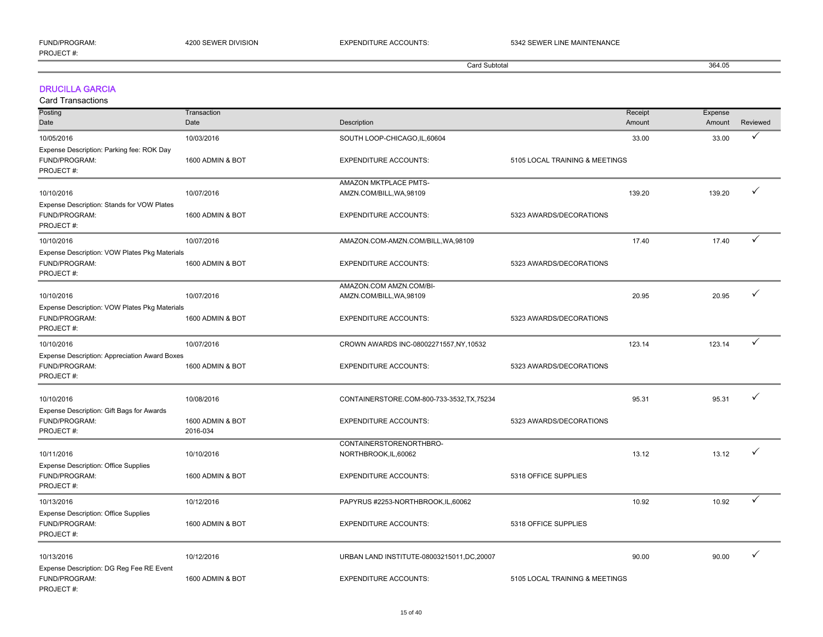| ELIND/PPOC<br>PROJECT#: |              | <b><i>REMAINTENANCE</i></b> |        |
|-------------------------|--------------|-----------------------------|--------|
|                         | ard Subtotal |                             | 364.05 |
|                         |              |                             |        |

#### DRUCILLA GARCIA

Card Transactions

PROJECT #:

| Posting                                       | Transaction      |                                             | Receipt                        | Expense |              |
|-----------------------------------------------|------------------|---------------------------------------------|--------------------------------|---------|--------------|
| Date                                          | Date             | Description                                 | Amount                         | Amount  | Reviewed     |
| 10/05/2016                                    | 10/03/2016       | SOUTH LOOP-CHICAGO, IL, 60604               | 33.00                          | 33.00   | ✓            |
| Expense Description: Parking fee: ROK Day     |                  |                                             |                                |         |              |
| FUND/PROGRAM:                                 | 1600 ADMIN & BOT | <b>EXPENDITURE ACCOUNTS:</b>                | 5105 LOCAL TRAINING & MEETINGS |         |              |
| PROJECT#:                                     |                  |                                             |                                |         |              |
|                                               |                  | AMAZON MKTPLACE PMTS-                       |                                |         |              |
| 10/10/2016                                    | 10/07/2016       | AMZN.COM/BILL, WA, 98109                    | 139.20                         | 139.20  | $\checkmark$ |
| Expense Description: Stands for VOW Plates    |                  |                                             |                                |         |              |
| FUND/PROGRAM:                                 | 1600 ADMIN & BOT | <b>EXPENDITURE ACCOUNTS:</b>                | 5323 AWARDS/DECORATIONS        |         |              |
| PROJECT#:                                     |                  |                                             |                                |         |              |
| 10/10/2016                                    | 10/07/2016       | AMAZON.COM-AMZN.COM/BILL, WA, 98109         | 17.40                          | 17.40   | ✓            |
| Expense Description: VOW Plates Pkg Materials |                  |                                             |                                |         |              |
| FUND/PROGRAM:                                 | 1600 ADMIN & BOT | <b>EXPENDITURE ACCOUNTS:</b>                | 5323 AWARDS/DECORATIONS        |         |              |
| PROJECT#:                                     |                  |                                             |                                |         |              |
|                                               |                  | AMAZON.COM AMZN.COM/BI-                     |                                |         |              |
| 10/10/2016                                    | 10/07/2016       | AMZN.COM/BILL, WA, 98109                    | 20.95                          | 20.95   | ✓            |
| Expense Description: VOW Plates Pkg Materials |                  |                                             |                                |         |              |
| FUND/PROGRAM:                                 | 1600 ADMIN & BOT | <b>EXPENDITURE ACCOUNTS:</b>                | 5323 AWARDS/DECORATIONS        |         |              |
| PROJECT#:                                     |                  |                                             |                                |         |              |
| 10/10/2016                                    | 10/07/2016       | CROWN AWARDS INC-08002271557, NY, 10532     | 123.14                         | 123.14  | $\checkmark$ |
| Expense Description: Appreciation Award Boxes |                  |                                             |                                |         |              |
| FUND/PROGRAM:                                 | 1600 ADMIN & BOT | <b>EXPENDITURE ACCOUNTS:</b>                | 5323 AWARDS/DECORATIONS        |         |              |
| PROJECT#:                                     |                  |                                             |                                |         |              |
|                                               |                  |                                             |                                |         |              |
| 10/10/2016                                    | 10/08/2016       | CONTAINERSTORE.COM-800-733-3532, TX, 75234  | 95.31                          | 95.31   | ✓            |
| Expense Description: Gift Bags for Awards     |                  |                                             |                                |         |              |
| FUND/PROGRAM:                                 | 1600 ADMIN & BOT | <b>EXPENDITURE ACCOUNTS:</b>                | 5323 AWARDS/DECORATIONS        |         |              |
| PROJECT#:                                     | 2016-034         |                                             |                                |         |              |
|                                               |                  | CONTAINERSTORENORTHBRO-                     |                                |         |              |
| 10/11/2016                                    | 10/10/2016       | NORTHBROOK, IL, 60062                       | 13.12                          | 13.12   | ✓            |
| <b>Expense Description: Office Supplies</b>   |                  |                                             |                                |         |              |
| FUND/PROGRAM:                                 | 1600 ADMIN & BOT | <b>EXPENDITURE ACCOUNTS:</b>                | 5318 OFFICE SUPPLIES           |         |              |
| PROJECT#:                                     |                  |                                             |                                |         |              |
| 10/13/2016                                    | 10/12/2016       | PAPYRUS #2253-NORTHBROOK,IL,60062           | 10.92                          | 10.92   | $\checkmark$ |
| <b>Expense Description: Office Supplies</b>   |                  |                                             |                                |         |              |
| FUND/PROGRAM:                                 | 1600 ADMIN & BOT | <b>EXPENDITURE ACCOUNTS:</b>                | 5318 OFFICE SUPPLIES           |         |              |
| PROJECT#:                                     |                  |                                             |                                |         |              |
|                                               |                  |                                             |                                |         |              |
| 10/13/2016                                    | 10/12/2016       | URBAN LAND INSTITUTE-08003215011, DC, 20007 | 90.00                          | 90.00   | ✓            |
| Expense Description: DG Reg Fee RE Event      |                  |                                             |                                |         |              |
| FUND/PROGRAM:                                 | 1600 ADMIN & BOT | <b>EXPENDITURE ACCOUNTS:</b>                | 5105 LOCAL TRAINING & MEETINGS |         |              |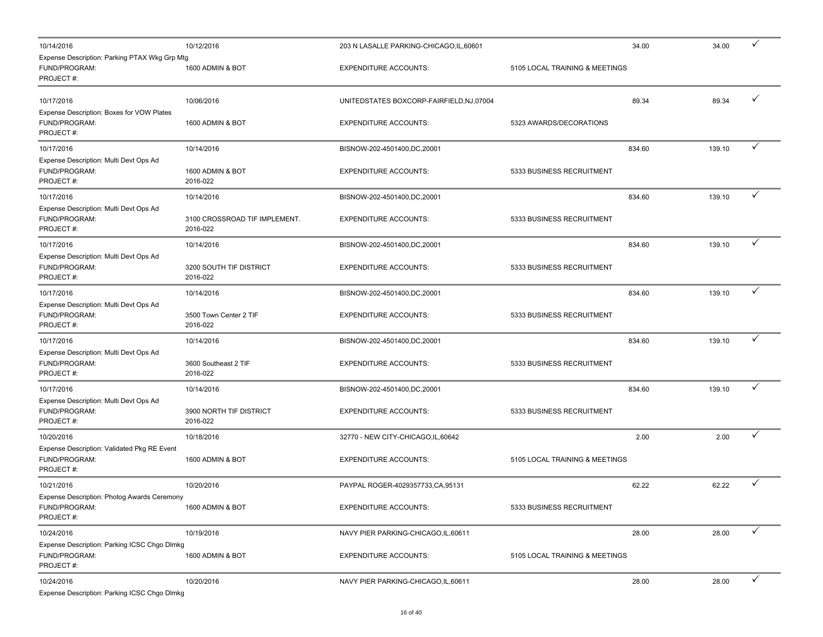| 10/14/2016                                                                  | 10/12/2016                                | 203 N LASALLE PARKING-CHICAGO, IL, 60601  | 34.00                          | 34.00  | ✓            |
|-----------------------------------------------------------------------------|-------------------------------------------|-------------------------------------------|--------------------------------|--------|--------------|
| Expense Description: Parking PTAX Wkg Grp Mtg<br>FUND/PROGRAM:<br>PROJECT#: | 1600 ADMIN & BOT                          | <b>EXPENDITURE ACCOUNTS:</b>              | 5105 LOCAL TRAINING & MEETINGS |        |              |
| 10/17/2016                                                                  | 10/06/2016                                | UNITEDSTATES BOXCORP-FAIRFIELD, NJ, 07004 | 89.34                          | 89.34  | ✓            |
| Expense Description: Boxes for VOW Plates<br>FUND/PROGRAM:<br>PROJECT#:     | 1600 ADMIN & BOT                          | <b>EXPENDITURE ACCOUNTS:</b>              | 5323 AWARDS/DECORATIONS        |        |              |
| 10/17/2016                                                                  | 10/14/2016                                | BISNOW-202-4501400,DC,20001               | 834.60                         | 139.10 | ✓            |
| Expense Description: Multi Devt Ops Ad<br>FUND/PROGRAM:<br>PROJECT#:        | 1600 ADMIN & BOT<br>2016-022              | <b>EXPENDITURE ACCOUNTS:</b>              | 5333 BUSINESS RECRUITMENT      |        |              |
| 10/17/2016                                                                  | 10/14/2016                                | BISNOW-202-4501400,DC,20001               | 834.60                         | 139.10 | ✓            |
| Expense Description: Multi Devt Ops Ad<br>FUND/PROGRAM:<br>PROJECT#:        | 3100 CROSSROAD TIF IMPLEMENT.<br>2016-022 | <b>EXPENDITURE ACCOUNTS:</b>              | 5333 BUSINESS RECRUITMENT      |        |              |
| 10/17/2016                                                                  | 10/14/2016                                | BISNOW-202-4501400,DC,20001               | 834.60                         | 139.10 | ✓            |
| Expense Description: Multi Devt Ops Ad<br>FUND/PROGRAM:<br>PROJECT#:        | 3200 SOUTH TIF DISTRICT<br>2016-022       | <b>EXPENDITURE ACCOUNTS:</b>              | 5333 BUSINESS RECRUITMENT      |        |              |
| 10/17/2016                                                                  | 10/14/2016                                | BISNOW-202-4501400,DC,20001               | 834.60                         | 139.10 | ✓            |
| Expense Description: Multi Devt Ops Ad<br>FUND/PROGRAM:<br>PROJECT#:        | 3500 Town Center 2 TIF<br>2016-022        | <b>EXPENDITURE ACCOUNTS:</b>              | 5333 BUSINESS RECRUITMENT      |        |              |
| 10/17/2016                                                                  | 10/14/2016                                | BISNOW-202-4501400,DC,20001               | 834.60                         | 139.10 | ✓            |
| Expense Description: Multi Devt Ops Ad<br>FUND/PROGRAM:<br>PROJECT#:        | 3600 Southeast 2 TIF<br>2016-022          | <b>EXPENDITURE ACCOUNTS:</b>              | 5333 BUSINESS RECRUITMENT      |        |              |
| 10/17/2016                                                                  | 10/14/2016                                | BISNOW-202-4501400,DC,20001               | 834.60                         | 139.10 | ✓            |
| Expense Description: Multi Devt Ops Ad<br>FUND/PROGRAM:<br>PROJECT#:        | 3900 NORTH TIF DISTRICT<br>2016-022       | <b>EXPENDITURE ACCOUNTS:</b>              | 5333 BUSINESS RECRUITMENT      |        |              |
| 10/20/2016                                                                  | 10/18/2016                                | 32770 - NEW CITY-CHICAGO, IL, 60642       | 2.00                           | 2.00   | ✓            |
| Expense Description: Validated Pkg RE Event<br>FUND/PROGRAM:<br>PROJECT#:   | 1600 ADMIN & BOT                          | <b>EXPENDITURE ACCOUNTS:</b>              | 5105 LOCAL TRAINING & MEETINGS |        |              |
| 10/21/2016                                                                  | 10/20/2016                                | PAYPAL ROGER-4029357733, CA, 95131        | 62.22                          | 62.22  |              |
| Expense Description: Photog Awards Ceremony<br>FUND/PROGRAM:<br>PROJECT#:   | 1600 ADMIN & BOT                          | <b>EXPENDITURE ACCOUNTS:</b>              | 5333 BUSINESS RECRUITMENT      |        |              |
| 10/24/2016                                                                  | 10/19/2016                                | NAVY PIER PARKING-CHICAGO, IL, 60611      | 28.00                          | 28.00  | ✓            |
| Expense Description: Parking ICSC Chgo Dlmkg<br>FUND/PROGRAM:<br>PROJECT#:  | 1600 ADMIN & BOT                          | <b>EXPENDITURE ACCOUNTS:</b>              | 5105 LOCAL TRAINING & MEETINGS |        |              |
| 10/24/2016<br>Expense Description: Parking ICSC Chgo Dlmkg                  | 10/20/2016                                | NAVY PIER PARKING-CHICAGO, IL, 60611      | 28.00                          | 28.00  | $\checkmark$ |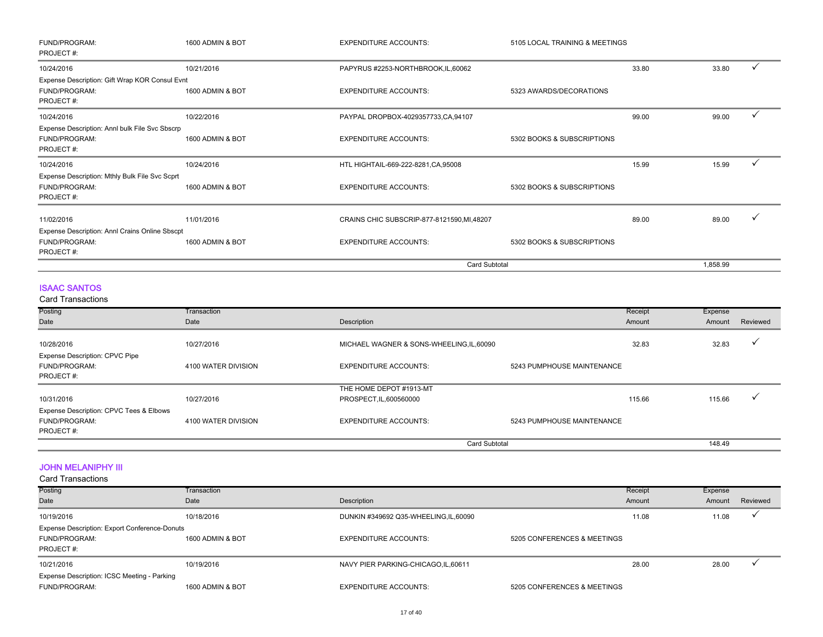| FUND/PROGRAM:<br>PROJECT#:                     | 1600 ADMIN & BOT | <b>EXPENDITURE ACCOUNTS:</b>                | 5105 LOCAL TRAINING & MEETINGS |       |          |  |
|------------------------------------------------|------------------|---------------------------------------------|--------------------------------|-------|----------|--|
| 10/24/2016                                     | 10/21/2016       | PAPYRUS #2253-NORTHBROOK, IL, 60062         |                                | 33.80 | 33.80    |  |
| Expense Description: Gift Wrap KOR Consul Evnt |                  |                                             |                                |       |          |  |
| FUND/PROGRAM:                                  | 1600 ADMIN & BOT | <b>EXPENDITURE ACCOUNTS:</b>                | 5323 AWARDS/DECORATIONS        |       |          |  |
| PROJECT#:                                      |                  |                                             |                                |       |          |  |
| 10/24/2016                                     | 10/22/2016       | PAYPAL DROPBOX-4029357733,CA,94107          |                                | 99.00 | 99.00    |  |
| Expense Description: Annl bulk File Svc Sbscrp |                  |                                             |                                |       |          |  |
| FUND/PROGRAM:                                  | 1600 ADMIN & BOT | <b>EXPENDITURE ACCOUNTS:</b>                | 5302 BOOKS & SUBSCRIPTIONS     |       |          |  |
| PROJECT#:                                      |                  |                                             |                                |       |          |  |
| 10/24/2016                                     | 10/24/2016       | HTL HIGHTAIL-669-222-8281, CA, 95008        |                                | 15.99 | 15.99    |  |
| Expense Description: Mthly Bulk File Svc Scprt |                  |                                             |                                |       |          |  |
| FUND/PROGRAM:                                  | 1600 ADMIN & BOT | <b>EXPENDITURE ACCOUNTS:</b>                | 5302 BOOKS & SUBSCRIPTIONS     |       |          |  |
| PROJECT#:                                      |                  |                                             |                                |       |          |  |
| 11/02/2016                                     | 11/01/2016       | CRAINS CHIC SUBSCRIP-877-8121590, MI, 48207 |                                | 89.00 | 89.00    |  |
| Expense Description: Annl Crains Online Sbscpt |                  |                                             |                                |       |          |  |
| FUND/PROGRAM:                                  | 1600 ADMIN & BOT | <b>EXPENDITURE ACCOUNTS:</b>                | 5302 BOOKS & SUBSCRIPTIONS     |       |          |  |
| PROJECT#:                                      |                  |                                             |                                |       |          |  |
|                                                |                  |                                             | Card Subtotal                  |       | 1,858.99 |  |

#### ISAAC SANTOS

Card Transactions

| Posting                                 | Transaction         |                                         | Receipt                    | Expense |              |
|-----------------------------------------|---------------------|-----------------------------------------|----------------------------|---------|--------------|
| Date                                    | Date                | Description                             | Amount                     | Amount  | Reviewed     |
| 10/28/2016                              | 10/27/2016          | MICHAEL WAGNER & SONS-WHEELING,IL,60090 | 32.83                      | 32.83   | $\checkmark$ |
|                                         |                     |                                         |                            |         |              |
| Expense Description: CPVC Pipe          |                     |                                         |                            |         |              |
| FUND/PROGRAM:                           | 4100 WATER DIVISION | <b>EXPENDITURE ACCOUNTS:</b>            | 5243 PUMPHOUSE MAINTENANCE |         |              |
| PROJECT#:                               |                     |                                         |                            |         |              |
|                                         |                     | THE HOME DEPOT #1913-MT                 |                            |         |              |
| 10/31/2016                              | 10/27/2016          | PROSPECT, IL, 600560000                 | 115.66                     | 115.66  | ٧            |
| Expense Description: CPVC Tees & Elbows |                     |                                         |                            |         |              |
| FUND/PROGRAM:                           | 4100 WATER DIVISION | <b>EXPENDITURE ACCOUNTS:</b>            | 5243 PUMPHOUSE MAINTENANCE |         |              |
| PROJECT#:                               |                     |                                         |                            |         |              |
|                                         |                     |                                         | <b>Card Subtotal</b>       | 148.49  |              |

#### JOHN MELANIPHY III

| Posting<br>Date                                                                    | Transaction<br>Date | Description                          |                             | Receipt<br>Amount | Expense<br>Amount | Reviewed |
|------------------------------------------------------------------------------------|---------------------|--------------------------------------|-----------------------------|-------------------|-------------------|----------|
| 10/19/2016                                                                         | 10/18/2016          | DUNKIN #349692 Q35-WHEELING,IL,60090 |                             | 11.08             | 11.08             |          |
| <b>Expense Description: Export Conference-Donuts</b><br>FUND/PROGRAM:<br>PROJECT#: | 1600 ADMIN & BOT    | <b>EXPENDITURE ACCOUNTS:</b>         | 5205 CONFERENCES & MEETINGS |                   |                   |          |
| 10/21/2016                                                                         | 10/19/2016          | NAVY PIER PARKING-CHICAGO, IL, 60611 |                             | 28.00             | 28.00             |          |
| Expense Description: ICSC Meeting - Parking<br>FUND/PROGRAM:                       | 1600 ADMIN & BOT    | <b>EXPENDITURE ACCOUNTS:</b>         | 5205 CONFERENCES & MEETINGS |                   |                   |          |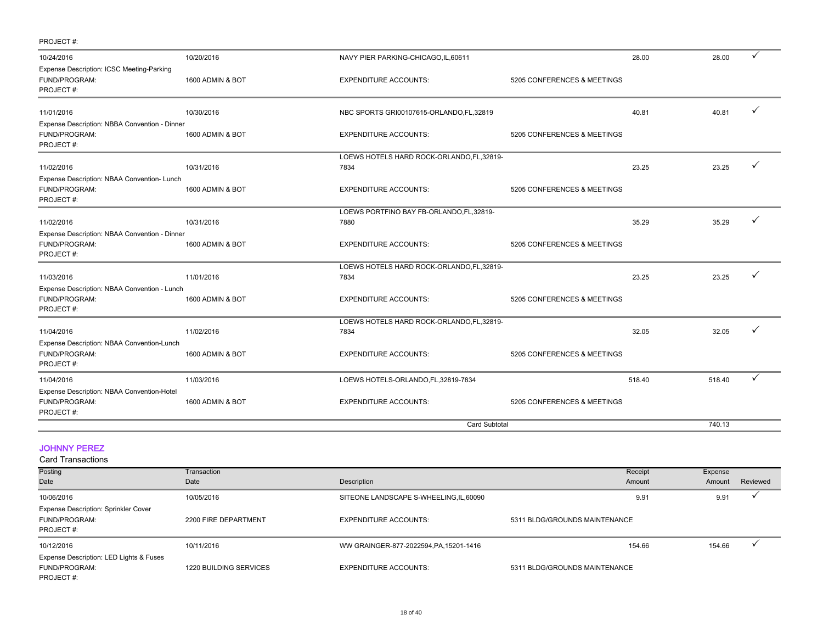| PROJECT#:                                     |                  |                                            |                             |        |        |  |
|-----------------------------------------------|------------------|--------------------------------------------|-----------------------------|--------|--------|--|
| 10/24/2016                                    | 10/20/2016       | NAVY PIER PARKING-CHICAGO, IL, 60611       |                             | 28.00  | 28.00  |  |
| Expense Description: ICSC Meeting-Parking     |                  |                                            |                             |        |        |  |
| FUND/PROGRAM:                                 | 1600 ADMIN & BOT | <b>EXPENDITURE ACCOUNTS:</b>               | 5205 CONFERENCES & MEETINGS |        |        |  |
| PROJECT#:                                     |                  |                                            |                             |        |        |  |
| 11/01/2016                                    | 10/30/2016       | NBC SPORTS GRI00107615-ORLANDO,FL,32819    |                             | 40.81  | 40.81  |  |
| Expense Description: NBBA Convention - Dinner |                  |                                            |                             |        |        |  |
| FUND/PROGRAM:                                 | 1600 ADMIN & BOT | <b>EXPENDITURE ACCOUNTS:</b>               | 5205 CONFERENCES & MEETINGS |        |        |  |
| PROJECT#:                                     |                  |                                            |                             |        |        |  |
|                                               |                  | LOEWS HOTELS HARD ROCK-ORLANDO,FL,32819-   |                             |        |        |  |
| 11/02/2016                                    | 10/31/2016       | 7834                                       |                             | 23.25  | 23.25  |  |
| Expense Description: NBAA Convention- Lunch   |                  |                                            |                             |        |        |  |
| FUND/PROGRAM:                                 | 1600 ADMIN & BOT | <b>EXPENDITURE ACCOUNTS:</b>               | 5205 CONFERENCES & MEETINGS |        |        |  |
| PROJECT#:                                     |                  |                                            |                             |        |        |  |
|                                               |                  | LOEWS PORTFINO BAY FB-ORLANDO,FL,32819-    |                             |        |        |  |
| 11/02/2016                                    | 10/31/2016       | 7880                                       |                             | 35.29  | 35.29  |  |
| Expense Description: NBAA Convention - Dinner |                  |                                            |                             |        |        |  |
| FUND/PROGRAM:                                 | 1600 ADMIN & BOT | <b>EXPENDITURE ACCOUNTS:</b>               | 5205 CONFERENCES & MEETINGS |        |        |  |
| PROJECT#:                                     |                  |                                            |                             |        |        |  |
|                                               |                  | LOEWS HOTELS HARD ROCK-ORLANDO,FL,32819-   |                             |        |        |  |
| 11/03/2016                                    | 11/01/2016       | 7834                                       |                             | 23.25  | 23.25  |  |
| Expense Description: NBAA Convention - Lunch  |                  |                                            |                             |        |        |  |
| FUND/PROGRAM:                                 | 1600 ADMIN & BOT | <b>EXPENDITURE ACCOUNTS:</b>               | 5205 CONFERENCES & MEETINGS |        |        |  |
| PROJECT#:                                     |                  |                                            |                             |        |        |  |
|                                               |                  | LOEWS HOTELS HARD ROCK-ORLANDO, FL, 32819- |                             |        |        |  |
| 11/04/2016                                    | 11/02/2016       | 7834                                       |                             | 32.05  | 32.05  |  |
| Expense Description: NBAA Convention-Lunch    |                  |                                            |                             |        |        |  |
| FUND/PROGRAM:                                 | 1600 ADMIN & BOT | <b>EXPENDITURE ACCOUNTS:</b>               | 5205 CONFERENCES & MEETINGS |        |        |  |
| PROJECT#:                                     |                  |                                            |                             |        |        |  |
| 11/04/2016                                    | 11/03/2016       | LOEWS HOTELS-ORLANDO,FL,32819-7834         |                             | 518.40 | 518.40 |  |
| Expense Description: NBAA Convention-Hotel    |                  |                                            |                             |        |        |  |
| FUND/PROGRAM:                                 | 1600 ADMIN & BOT | <b>EXPENDITURE ACCOUNTS:</b>               | 5205 CONFERENCES & MEETINGS |        |        |  |
| PROJECT#:                                     |                  |                                            |                             |        |        |  |
|                                               |                  | <b>Card Subtotal</b>                       |                             |        | 740.13 |  |

#### JOHNNY PEREZ

| Posting                                                               | Transaction            |                                         | Receipt                       | Expense |          |
|-----------------------------------------------------------------------|------------------------|-----------------------------------------|-------------------------------|---------|----------|
| Date                                                                  | Date                   | Description                             | Amount                        | Amount  | Reviewed |
| 10/06/2016                                                            | 10/05/2016             | SITEONE LANDSCAPE S-WHEELING, IL, 60090 | 9.91                          | 9.91    |          |
| Expense Description: Sprinkler Cover<br>FUND/PROGRAM:<br>PROJECT#:    | 2200 FIRE DEPARTMENT   | <b>EXPENDITURE ACCOUNTS:</b>            | 5311 BLDG/GROUNDS MAINTENANCE |         |          |
| 10/12/2016                                                            | 10/11/2016             | WW GRAINGER-877-2022594, PA, 15201-1416 | 154.66                        | 154.66  |          |
| Expense Description: LED Lights & Fuses<br>FUND/PROGRAM:<br>PROJECT#: | 1220 BUILDING SERVICES | <b>EXPENDITURE ACCOUNTS:</b>            | 5311 BLDG/GROUNDS MAINTENANCE |         |          |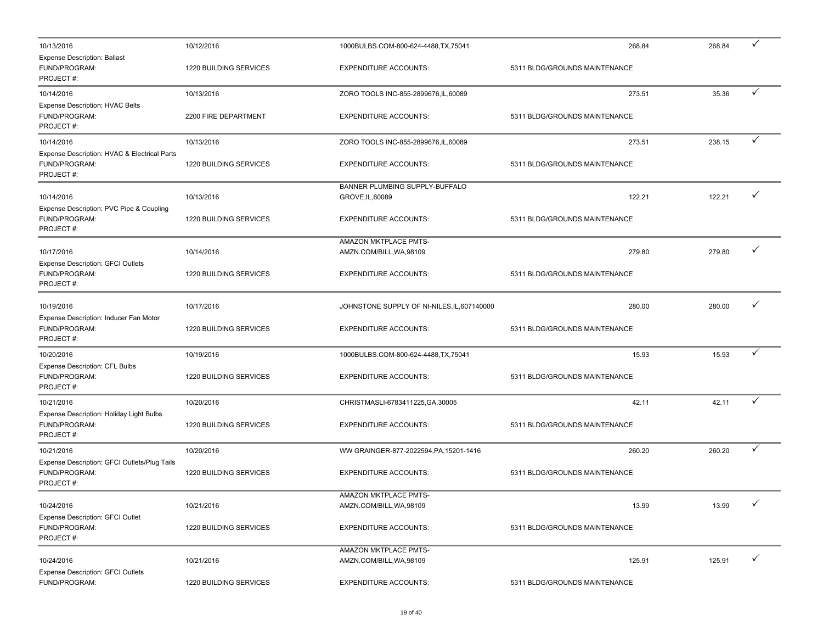| 10/13/2016                                                                    | 10/12/2016                           | 1000BULBS.COM-800-624-4488,TX,75041                      | 268.84                                  | 268.84 | ✓            |
|-------------------------------------------------------------------------------|--------------------------------------|----------------------------------------------------------|-----------------------------------------|--------|--------------|
| <b>Expense Description: Ballast</b><br>FUND/PROGRAM:<br>PROJECT#:             | 1220 BUILDING SERVICES               | <b>EXPENDITURE ACCOUNTS:</b>                             | 5311 BLDG/GROUNDS MAINTENANCE           |        |              |
| 10/14/2016                                                                    | 10/13/2016                           | ZORO TOOLS INC-855-2899676, IL, 60089                    | 273.51                                  | 35.36  | ✓            |
| Expense Description: HVAC Belts<br>FUND/PROGRAM:<br>PROJECT#:                 | 2200 FIRE DEPARTMENT                 | <b>EXPENDITURE ACCOUNTS:</b>                             | 5311 BLDG/GROUNDS MAINTENANCE           |        |              |
| 10/14/2016                                                                    | 10/13/2016                           | ZORO TOOLS INC-855-2899676,IL,60089                      | 273.51                                  | 238.15 | ✓            |
| Expense Description: HVAC & Electrical Parts<br>FUND/PROGRAM:<br>PROJECT#:    | 1220 BUILDING SERVICES               | <b>EXPENDITURE ACCOUNTS:</b>                             | 5311 BLDG/GROUNDS MAINTENANCE           |        |              |
| 10/14/2016                                                                    | 10/13/2016                           | BANNER PLUMBING SUPPLY-BUFFALO<br>GROVE, IL, 60089       | 122.21                                  | 122.21 | ✓            |
| Expense Description: PVC Pipe & Coupling<br>FUND/PROGRAM:<br>PROJECT#:        | 1220 BUILDING SERVICES               | <b>EXPENDITURE ACCOUNTS:</b>                             | 5311 BLDG/GROUNDS MAINTENANCE           |        |              |
|                                                                               |                                      | AMAZON MKTPLACE PMTS-                                    |                                         |        | ✓            |
| 10/17/2016<br>Expense Description: GFCI Outlets<br>FUND/PROGRAM:<br>PROJECT#: | 10/14/2016<br>1220 BUILDING SERVICES | AMZN.COM/BILL, WA, 98109<br><b>EXPENDITURE ACCOUNTS:</b> | 279.80<br>5311 BLDG/GROUNDS MAINTENANCE | 279.80 |              |
| 10/19/2016                                                                    | 10/17/2016                           | JOHNSTONE SUPPLY OF NI-NILES, IL, 607140000              | 280.00                                  | 280.00 | ✓            |
| Expense Description: Inducer Fan Motor<br>FUND/PROGRAM:<br>PROJECT#:          | 1220 BUILDING SERVICES               | <b>EXPENDITURE ACCOUNTS:</b>                             | 5311 BLDG/GROUNDS MAINTENANCE           |        |              |
| 10/20/2016                                                                    | 10/19/2016                           | 1000BULBS.COM-800-624-4488,TX,75041                      | 15.93                                   | 15.93  |              |
| Expense Description: CFL Bulbs<br>FUND/PROGRAM:<br>PROJECT#:                  | 1220 BUILDING SERVICES               | <b>EXPENDITURE ACCOUNTS:</b>                             | 5311 BLDG/GROUNDS MAINTENANCE           |        |              |
| 10/21/2016                                                                    | 10/20/2016                           | CHRISTMASLI-6783411225, GA, 30005                        | 42.11                                   | 42.11  | ✓            |
| Expense Description: Holiday Light Bulbs<br>FUND/PROGRAM:<br>PROJECT#:        | 1220 BUILDING SERVICES               | <b>EXPENDITURE ACCOUNTS:</b>                             | 5311 BLDG/GROUNDS MAINTENANCE           |        |              |
| 10/21/2016                                                                    | 10/20/2016                           | WW GRAINGER-877-2022594, PA, 15201-1416                  | 260.20                                  | 260.20 | ✓            |
| Expense Description: GFCI Outlets/Plug Tails<br>FUND/PROGRAM:<br>PROJECT#:    | 1220 BUILDING SERVICES               | <b>EXPENDITURE ACCOUNTS:</b>                             | 5311 BLDG/GROUNDS MAINTENANCE           |        |              |
|                                                                               |                                      | <b>AMAZON MKTPLACE PMTS-</b>                             |                                         |        | $\checkmark$ |
| 10/24/2016<br>Expense Description: GFCI Outlet                                | 10/21/2016                           | AMZN.COM/BILL, WA, 98109                                 | 13.99                                   | 13.99  |              |
| FUND/PROGRAM:<br>PROJECT#:                                                    | 1220 BUILDING SERVICES               | <b>EXPENDITURE ACCOUNTS:</b>                             | 5311 BLDG/GROUNDS MAINTENANCE           |        |              |
| 10/24/2016                                                                    | 10/21/2016                           | AMAZON MKTPLACE PMTS-<br>AMZN.COM/BILL, WA, 98109        | 125.91                                  | 125.91 | $\checkmark$ |
| <b>Expense Description: GFCI Outlets</b><br>FUND/PROGRAM:                     | 1220 BUILDING SERVICES               | <b>EXPENDITURE ACCOUNTS:</b>                             | 5311 BLDG/GROUNDS MAINTENANCE           |        |              |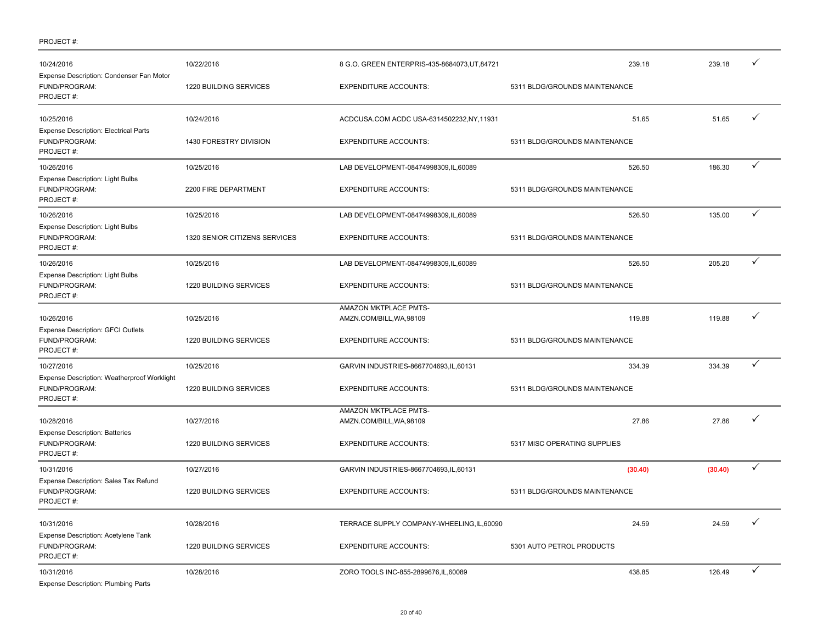| 10/24/2016                                                                 | 10/22/2016                    | 8 G.O. GREEN ENTERPRIS-435-8684073, UT, 84721     | 239.18                        | 239.18  |   |
|----------------------------------------------------------------------------|-------------------------------|---------------------------------------------------|-------------------------------|---------|---|
| Expense Description: Condenser Fan Motor<br>FUND/PROGRAM:<br>PROJECT#:     | 1220 BUILDING SERVICES        | <b>EXPENDITURE ACCOUNTS:</b>                      | 5311 BLDG/GROUNDS MAINTENANCE |         |   |
| 10/25/2016                                                                 | 10/24/2016                    | ACDCUSA.COM ACDC USA-6314502232, NY, 11931        | 51.65                         | 51.65   | ✓ |
| <b>Expense Description: Electrical Parts</b><br>FUND/PROGRAM:<br>PROJECT#: | 1430 FORESTRY DIVISION        | <b>EXPENDITURE ACCOUNTS:</b>                      | 5311 BLDG/GROUNDS MAINTENANCE |         |   |
| 10/26/2016                                                                 | 10/25/2016                    | LAB DEVELOPMENT-08474998309,IL,60089              | 526.50                        | 186.30  | ✓ |
| Expense Description: Light Bulbs<br>FUND/PROGRAM:<br>PROJECT#:             | 2200 FIRE DEPARTMENT          | <b>EXPENDITURE ACCOUNTS:</b>                      | 5311 BLDG/GROUNDS MAINTENANCE |         |   |
| 10/26/2016                                                                 | 10/25/2016                    | LAB DEVELOPMENT-08474998309,IL,60089              | 526.50                        | 135.00  | ✓ |
| <b>Expense Description: Light Bulbs</b><br>FUND/PROGRAM:<br>PROJECT#:      | 1320 SENIOR CITIZENS SERVICES | <b>EXPENDITURE ACCOUNTS:</b>                      | 5311 BLDG/GROUNDS MAINTENANCE |         |   |
| 10/26/2016                                                                 | 10/25/2016                    | LAB DEVELOPMENT-08474998309,IL,60089              | 526.50                        | 205.20  | ✓ |
| <b>Expense Description: Light Bulbs</b><br>FUND/PROGRAM:<br>PROJECT#:      | 1220 BUILDING SERVICES        | <b>EXPENDITURE ACCOUNTS:</b>                      | 5311 BLDG/GROUNDS MAINTENANCE |         |   |
| 10/26/2016<br>Expense Description: GFCI Outlets                            | 10/25/2016                    | AMAZON MKTPLACE PMTS-<br>AMZN.COM/BILL, WA, 98109 | 119.88                        | 119.88  |   |
| FUND/PROGRAM:<br>PROJECT#:                                                 | 1220 BUILDING SERVICES        | <b>EXPENDITURE ACCOUNTS:</b>                      | 5311 BLDG/GROUNDS MAINTENANCE |         |   |
| 10/27/2016                                                                 | 10/25/2016                    | GARVIN INDUSTRIES-8667704693,IL,60131             | 334.39                        | 334.39  | ✓ |
| Expense Description: Weatherproof Worklight<br>FUND/PROGRAM:<br>PROJECT#:  | 1220 BUILDING SERVICES        | <b>EXPENDITURE ACCOUNTS:</b>                      | 5311 BLDG/GROUNDS MAINTENANCE |         |   |
| 10/28/2016                                                                 | 10/27/2016                    | AMAZON MKTPLACE PMTS-<br>AMZN.COM/BILL, WA, 98109 | 27.86                         | 27.86   | ✓ |
| <b>Expense Description: Batteries</b><br>FUND/PROGRAM:<br>PROJECT#:        | 1220 BUILDING SERVICES        | <b>EXPENDITURE ACCOUNTS:</b>                      | 5317 MISC OPERATING SUPPLIES  |         |   |
| 10/31/2016                                                                 | 10/27/2016                    | GARVIN INDUSTRIES-8667704693,IL,60131             | (30.40)                       | (30.40) | ✓ |
| Expense Description: Sales Tax Refund<br>FUND/PROGRAM:<br>PROJECT#:        | 1220 BUILDING SERVICES        | <b>EXPENDITURE ACCOUNTS:</b>                      | 5311 BLDG/GROUNDS MAINTENANCE |         |   |
| 10/31/2016                                                                 | 10/28/2016                    | TERRACE SUPPLY COMPANY-WHEELING,IL,60090          | 24.59                         | 24.59   | ✓ |
| Expense Description: Acetylene Tank<br>FUND/PROGRAM:<br>PROJECT#:          | 1220 BUILDING SERVICES        | <b>EXPENDITURE ACCOUNTS:</b>                      | 5301 AUTO PETROL PRODUCTS     |         |   |
| 10/31/2016<br><b>Expense Description: Plumbing Parts</b>                   | 10/28/2016                    | ZORO TOOLS INC-855-2899676, IL, 60089             | 438.85                        | 126.49  | ✓ |

PROJECT #: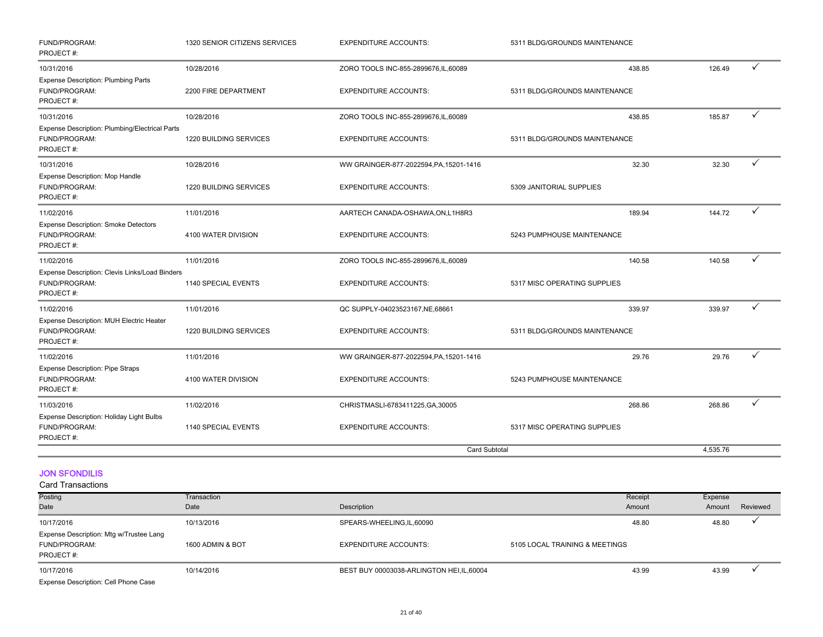| FUND/PROGRAM:<br>PROJECT#:                                                   | 1320 SENIOR CITIZENS SERVICES      | <b>EXPENDITURE ACCOUNTS:</b>                                          | 5311 BLDG/GROUNDS MAINTENANCE           |          |   |
|------------------------------------------------------------------------------|------------------------------------|-----------------------------------------------------------------------|-----------------------------------------|----------|---|
| 10/31/2016<br><b>Expense Description: Plumbing Parts</b><br>FUND/PROGRAM:    | 10/28/2016<br>2200 FIRE DEPARTMENT | ZORO TOOLS INC-855-2899676, IL, 60089<br><b>EXPENDITURE ACCOUNTS:</b> | 438.85<br>5311 BLDG/GROUNDS MAINTENANCE | 126.49   | ✓ |
| PROJECT#:                                                                    |                                    |                                                                       |                                         |          |   |
| 10/31/2016                                                                   | 10/28/2016                         | ZORO TOOLS INC-855-2899676, IL, 60089                                 | 438.85                                  | 185.87   | ✓ |
| Expense Description: Plumbing/Electrical Parts<br>FUND/PROGRAM:<br>PROJECT#: | 1220 BUILDING SERVICES             | <b>EXPENDITURE ACCOUNTS:</b>                                          | 5311 BLDG/GROUNDS MAINTENANCE           |          |   |
| 10/31/2016                                                                   | 10/28/2016                         | WW GRAINGER-877-2022594, PA, 15201-1416                               | 32.30                                   | 32.30    | ✓ |
| Expense Description: Mop Handle<br>FUND/PROGRAM:<br>PROJECT#:                | 1220 BUILDING SERVICES             | <b>EXPENDITURE ACCOUNTS:</b>                                          | 5309 JANITORIAL SUPPLIES                |          |   |
| 11/02/2016                                                                   | 11/01/2016                         | AARTECH CANADA-OSHAWA, ON, L1H8R3                                     | 189.94                                  | 144.72   | ✓ |
| <b>Expense Description: Smoke Detectors</b><br>FUND/PROGRAM:<br>PROJECT#:    | 4100 WATER DIVISION                | <b>EXPENDITURE ACCOUNTS:</b>                                          | 5243 PUMPHOUSE MAINTENANCE              |          |   |
| 11/02/2016                                                                   | 11/01/2016                         | ZORO TOOLS INC-855-2899676, IL, 60089                                 | 140.58                                  | 140.58   | ✓ |
| Expense Description: Clevis Links/Load Binders<br>FUND/PROGRAM:<br>PROJECT#: | 1140 SPECIAL EVENTS                | <b>EXPENDITURE ACCOUNTS:</b>                                          | 5317 MISC OPERATING SUPPLIES            |          |   |
| 11/02/2016                                                                   | 11/01/2016                         | QC SUPPLY-04023523167, NE, 68661                                      | 339.97                                  | 339.97   | ✓ |
| Expense Description: MUH Electric Heater<br>FUND/PROGRAM:<br>PROJECT#:       | 1220 BUILDING SERVICES             | <b>EXPENDITURE ACCOUNTS:</b>                                          | 5311 BLDG/GROUNDS MAINTENANCE           |          |   |
| 11/02/2016                                                                   | 11/01/2016                         | WW GRAINGER-877-2022594, PA, 15201-1416                               | 29.76                                   | 29.76    |   |
| Expense Description: Pipe Straps<br>FUND/PROGRAM:<br>PROJECT#:               | 4100 WATER DIVISION                | <b>EXPENDITURE ACCOUNTS:</b>                                          | 5243 PUMPHOUSE MAINTENANCE              |          |   |
| 11/03/2016                                                                   | 11/02/2016                         | CHRISTMASLI-6783411225, GA, 30005                                     | 268.86                                  | 268.86   | ✓ |
| Expense Description: Holiday Light Bulbs<br>FUND/PROGRAM:<br>PROJECT#:       | 1140 SPECIAL EVENTS                | <b>EXPENDITURE ACCOUNTS:</b>                                          | 5317 MISC OPERATING SUPPLIES            |          |   |
|                                                                              |                                    | <b>Card Subtotal</b>                                                  |                                         | 4,535.76 |   |

#### JON SFONDILIS

| Posting                                 | Transaction      |                                            | Receipt                        | Expense |          |
|-----------------------------------------|------------------|--------------------------------------------|--------------------------------|---------|----------|
| Date                                    | Date             | Description                                | Amount                         | Amount  | Reviewed |
| 10/17/2016                              | 10/13/2016       | SPEARS-WHEELING,IL,60090                   | 48.80                          | 48.80   |          |
| Expense Description: Mtg w/Trustee Lang |                  |                                            |                                |         |          |
| FUND/PROGRAM:                           | 1600 ADMIN & BOT | <b>EXPENDITURE ACCOUNTS:</b>               | 5105 LOCAL TRAINING & MEETINGS |         |          |
| PROJECT#:                               |                  |                                            |                                |         |          |
| 10/17/2016                              | 10/14/2016       | BEST BUY 00003038-ARLINGTON HEI, IL, 60004 | 43.99                          | 43.99   |          |
| Expense Description: Cell Phone Case    |                  |                                            |                                |         |          |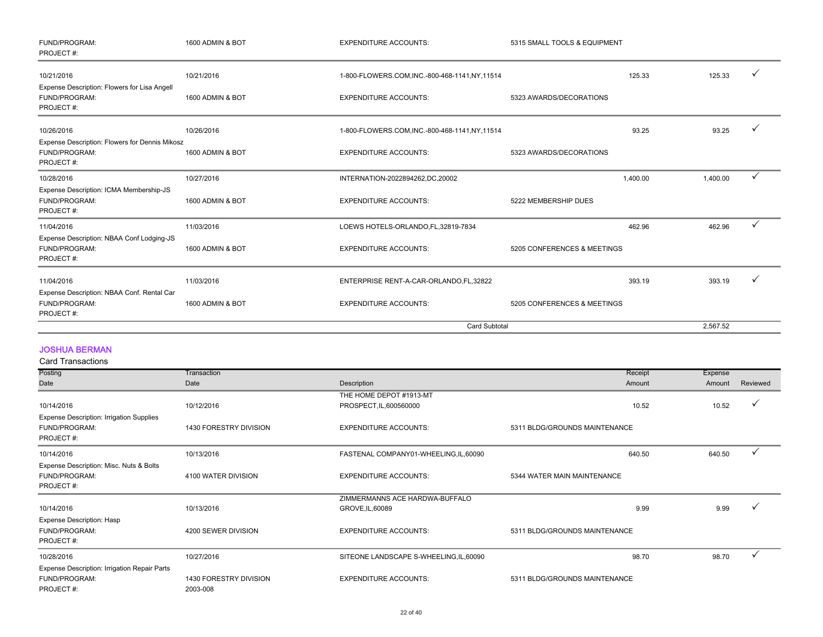| FUND/PROGRAM:<br>PROJECT#:                                                   | 1600 ADMIN & BOT | <b>EXPENDITURE ACCOUNTS:</b>                    | 5315 SMALL TOOLS & EQUIPMENT |          |   |
|------------------------------------------------------------------------------|------------------|-------------------------------------------------|------------------------------|----------|---|
| 10/21/2016                                                                   | 10/21/2016       | 1-800-FLOWERS.COM, INC.-800-468-1141, NY, 11514 | 125.33                       | 125.33   |   |
| Expense Description: Flowers for Lisa Angell<br>FUND/PROGRAM:<br>PROJECT#:   | 1600 ADMIN & BOT | <b>EXPENDITURE ACCOUNTS:</b>                    | 5323 AWARDS/DECORATIONS      |          |   |
| 10/26/2016                                                                   | 10/26/2016       | 1-800-FLOWERS.COM, INC.-800-468-1141, NY, 11514 | 93.25                        | 93.25    |   |
| Expense Description: Flowers for Dennis Mikosz<br>FUND/PROGRAM:<br>PROJECT#: | 1600 ADMIN & BOT | <b>EXPENDITURE ACCOUNTS:</b>                    | 5323 AWARDS/DECORATIONS      |          |   |
| 10/28/2016                                                                   | 10/27/2016       | INTERNATION-2022894262,DC,20002                 | 1,400.00                     | 1,400.00 | ✓ |
| Expense Description: ICMA Membership-JS<br>FUND/PROGRAM:<br>PROJECT#:        | 1600 ADMIN & BOT | <b>EXPENDITURE ACCOUNTS:</b>                    | 5222 MEMBERSHIP DUES         |          |   |
| 11/04/2016                                                                   | 11/03/2016       | LOEWS HOTELS-ORLANDO, FL, 32819-7834            | 462.96                       | 462.96   | ✓ |
| Expense Description: NBAA Conf Lodging-JS<br>FUND/PROGRAM:<br>PROJECT#:      | 1600 ADMIN & BOT | <b>EXPENDITURE ACCOUNTS:</b>                    | 5205 CONFERENCES & MEETINGS  |          |   |
| 11/04/2016                                                                   | 11/03/2016       | ENTERPRISE RENT-A-CAR-ORLANDO FL,32822          | 393.19                       | 393.19   | ✓ |
| Expense Description: NBAA Conf. Rental Car<br>FUND/PROGRAM:                  | 1600 ADMIN & BOT | <b>EXPENDITURE ACCOUNTS:</b>                    | 5205 CONFERENCES & MEETINGS  |          |   |
| PROJECT#:                                                                    |                  |                                                 |                              |          |   |
|                                                                              |                  |                                                 | <b>Card Subtotal</b>         | 2.567.52 |   |

#### JOSHUA BERMAN

| <b>Card Transactions</b>                                 |                        |                                         |                               |         |          |
|----------------------------------------------------------|------------------------|-----------------------------------------|-------------------------------|---------|----------|
| Posting                                                  | Transaction            |                                         | Receipt                       | Expense |          |
| Date                                                     | Date                   | Description                             | Amount                        | Amount  | Reviewed |
|                                                          |                        | THE HOME DEPOT #1913-MT                 |                               |         |          |
| 10/14/2016                                               | 10/12/2016             | PROSPECT, IL, 600560000                 | 10.52                         | 10.52   |          |
| <b>Expense Description: Irrigation Supplies</b>          |                        |                                         |                               |         |          |
| FUND/PROGRAM:                                            | 1430 FORESTRY DIVISION | <b>EXPENDITURE ACCOUNTS:</b>            | 5311 BLDG/GROUNDS MAINTENANCE |         |          |
| PROJECT#:                                                |                        |                                         |                               |         |          |
| 10/14/2016                                               | 10/13/2016             | FASTENAL COMPANY01-WHEELING,IL,60090    | 640.50                        | 640.50  |          |
| Expense Description: Misc. Nuts & Bolts<br>FUND/PROGRAM: | 4100 WATER DIVISION    | <b>EXPENDITURE ACCOUNTS:</b>            | 5344 WATER MAIN MAINTENANCE   |         |          |
| PROJECT#:                                                |                        |                                         |                               |         |          |
|                                                          |                        | ZIMMERMANNS ACE HARDWA-BUFFALO          |                               |         |          |
| 10/14/2016                                               | 10/13/2016             | GROVE, IL, 60089                        | 9.99                          | 9.99    |          |
| <b>Expense Description: Hasp</b>                         |                        |                                         |                               |         |          |
| FUND/PROGRAM:                                            | 4200 SEWER DIVISION    | <b>EXPENDITURE ACCOUNTS:</b>            | 5311 BLDG/GROUNDS MAINTENANCE |         |          |
| PROJECT#:                                                |                        |                                         |                               |         |          |
| 10/28/2016                                               | 10/27/2016             | SITEONE LANDSCAPE S-WHEELING, IL, 60090 | 98.70                         | 98.70   |          |
| Expense Description: Irrigation Repair Parts             |                        |                                         |                               |         |          |
| FUND/PROGRAM:                                            | 1430 FORESTRY DIVISION | <b>EXPENDITURE ACCOUNTS:</b>            | 5311 BLDG/GROUNDS MAINTENANCE |         |          |
| PROJECT#:                                                | 2003-008               |                                         |                               |         |          |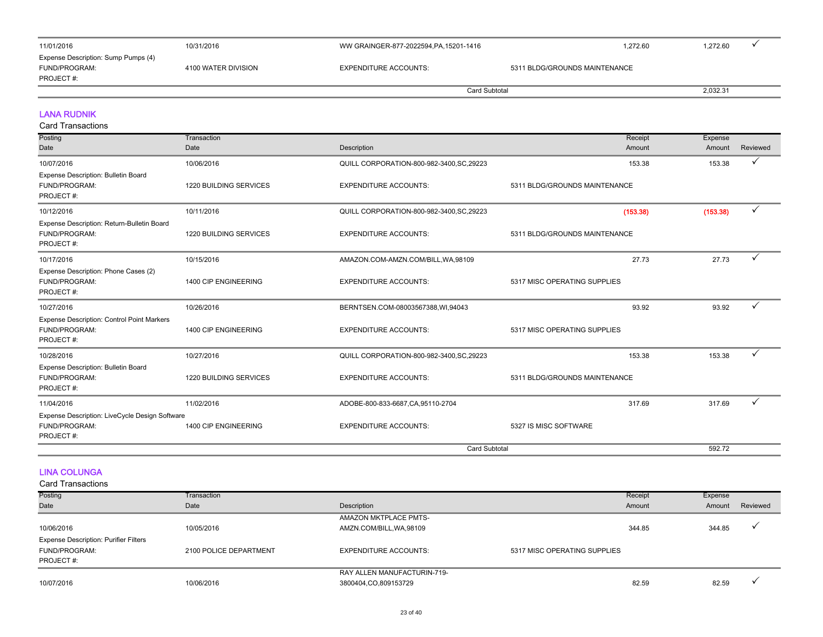| 11/01/2016                                                        | 10/31/2016          | WW GRAINGER-877-2022594, PA, 15201-1416 | 1.272.60                      | 1,272.60 |
|-------------------------------------------------------------------|---------------------|-----------------------------------------|-------------------------------|----------|
| Expense Description: Sump Pumps (4)<br>FUND/PROGRAM:<br>PROJECT#: | 4100 WATER DIVISION | EXPENDITURE ACCOUNTS:                   | 5311 BLDG/GROUNDS MAINTENANCE |          |
|                                                                   |                     |                                         | Card Subtotal                 |          |

#### LANA RUDNIK

Card Transactions

| Posting                                                                      | Transaction                   |                                           | Receipt                       | Expense  |              |
|------------------------------------------------------------------------------|-------------------------------|-------------------------------------------|-------------------------------|----------|--------------|
| Date                                                                         | Date                          | Description                               | Amount                        | Amount   | Reviewed     |
| 10/07/2016                                                                   | 10/06/2016                    | QUILL CORPORATION-800-982-3400, SC, 29223 | 153.38                        | 153.38   | ✓            |
| Expense Description: Bulletin Board<br>FUND/PROGRAM:<br>PROJECT#:            | 1220 BUILDING SERVICES        | <b>EXPENDITURE ACCOUNTS:</b>              | 5311 BLDG/GROUNDS MAINTENANCE |          |              |
| 10/12/2016                                                                   | 10/11/2016                    | QUILL CORPORATION-800-982-3400, SC, 29223 | (153.38)                      | (153.38) | ✓            |
| Expense Description: Return-Bulletin Board<br>FUND/PROGRAM:<br>PROJECT#:     | <b>1220 BUILDING SERVICES</b> | <b>EXPENDITURE ACCOUNTS:</b>              | 5311 BLDG/GROUNDS MAINTENANCE |          |              |
| 10/17/2016                                                                   | 10/15/2016                    | AMAZON.COM-AMZN.COM/BILL, WA, 98109       | 27.73                         | 27.73    | ✓            |
| Expense Description: Phone Cases (2)<br>FUND/PROGRAM:<br>PROJECT#:           | 1400 CIP ENGINEERING          | <b>EXPENDITURE ACCOUNTS:</b>              | 5317 MISC OPERATING SUPPLIES  |          |              |
| 10/27/2016                                                                   | 10/26/2016                    | BERNTSEN.COM-08003567388, WI,94043        | 93.92                         | 93.92    | ✓            |
| Expense Description: Control Point Markers<br>FUND/PROGRAM:<br>PROJECT#:     | 1400 CIP ENGINEERING          | <b>EXPENDITURE ACCOUNTS:</b>              | 5317 MISC OPERATING SUPPLIES  |          |              |
| 10/28/2016                                                                   | 10/27/2016                    | QUILL CORPORATION-800-982-3400, SC, 29223 | 153.38                        | 153.38   | ✓            |
| Expense Description: Bulletin Board<br>FUND/PROGRAM:<br>PROJECT#:            | <b>1220 BUILDING SERVICES</b> | <b>EXPENDITURE ACCOUNTS:</b>              | 5311 BLDG/GROUNDS MAINTENANCE |          |              |
| 11/04/2016                                                                   | 11/02/2016                    | ADOBE-800-833-6687, CA, 95110-2704        | 317.69                        | 317.69   | $\checkmark$ |
| Expense Description: LiveCycle Design Software<br>FUND/PROGRAM:<br>PROJECT#: | 1400 CIP ENGINEERING          | <b>EXPENDITURE ACCOUNTS:</b>              | 5327 IS MISC SOFTWARE         |          |              |
|                                                                              |                               | <b>Card Subtotal</b>                      |                               | 592.72   |              |

#### LINA COLUNGA

| Posting                                      | Transaction            |                              | Receipt                      | Expense |          |
|----------------------------------------------|------------------------|------------------------------|------------------------------|---------|----------|
| Date                                         | Date                   | Description                  | Amount                       | Amount  | Reviewed |
|                                              |                        | <b>AMAZON MKTPLACE PMTS-</b> |                              |         |          |
| 10/06/2016                                   | 10/05/2016             | AMZN.COM/BILL, WA, 98109     | 344.85                       | 344.85  |          |
| <b>Expense Description: Purifier Filters</b> |                        |                              |                              |         |          |
| FUND/PROGRAM:                                | 2100 POLICE DEPARTMENT | <b>EXPENDITURE ACCOUNTS:</b> | 5317 MISC OPERATING SUPPLIES |         |          |
| PROJECT#:                                    |                        |                              |                              |         |          |
|                                              |                        | RAY ALLEN MANUFACTURIN-719-  |                              |         |          |
| 10/07/2016                                   | 10/06/2016             | 3800404,CO,809153729         | 82.59                        | 82.59   |          |
|                                              |                        |                              |                              |         |          |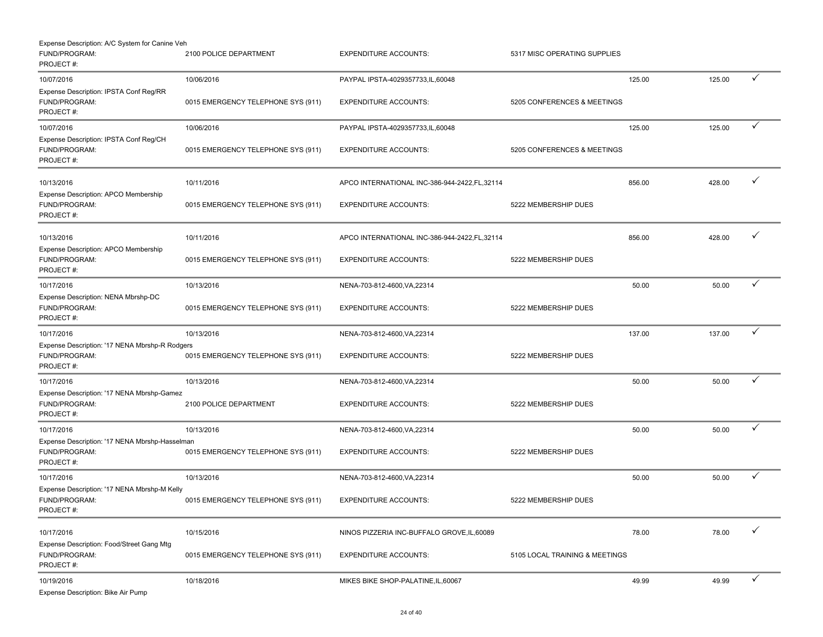| Expense Description: A/C System for Canine Veh                               |                                    |                                                |                                |        |        |              |
|------------------------------------------------------------------------------|------------------------------------|------------------------------------------------|--------------------------------|--------|--------|--------------|
| FUND/PROGRAM:<br>PROJECT#:                                                   | 2100 POLICE DEPARTMENT             | <b>EXPENDITURE ACCOUNTS:</b>                   | 5317 MISC OPERATING SUPPLIES   |        |        |              |
| 10/07/2016                                                                   | 10/06/2016                         | PAYPAL IPSTA-4029357733, IL, 60048             |                                | 125.00 | 125.00 | $\checkmark$ |
| Expense Description: IPSTA Conf Reg/RR<br>FUND/PROGRAM:<br>PROJECT#:         | 0015 EMERGENCY TELEPHONE SYS (911) | <b>EXPENDITURE ACCOUNTS:</b>                   | 5205 CONFERENCES & MEETINGS    |        |        |              |
| 10/07/2016                                                                   | 10/06/2016                         | PAYPAL IPSTA-4029357733, IL, 60048             |                                | 125.00 | 125.00 | ✓            |
| Expense Description: IPSTA Conf Reg/CH<br>FUND/PROGRAM:<br>PROJECT#:         | 0015 EMERGENCY TELEPHONE SYS (911) | <b>EXPENDITURE ACCOUNTS:</b>                   | 5205 CONFERENCES & MEETINGS    |        |        |              |
| 10/13/2016                                                                   | 10/11/2016                         | APCO INTERNATIONAL INC-386-944-2422.FL.32114   |                                | 856.00 | 428.00 | ✓            |
| Expense Description: APCO Membership<br>FUND/PROGRAM:<br>PROJECT#:           | 0015 EMERGENCY TELEPHONE SYS (911) | <b>EXPENDITURE ACCOUNTS:</b>                   | 5222 MEMBERSHIP DUES           |        |        |              |
| 10/13/2016                                                                   | 10/11/2016                         | APCO INTERNATIONAL INC-386-944-2422, FL, 32114 |                                | 856.00 | 428.00 |              |
| Expense Description: APCO Membership<br>FUND/PROGRAM:<br>PROJECT#:           | 0015 EMERGENCY TELEPHONE SYS (911) | <b>EXPENDITURE ACCOUNTS:</b>                   | 5222 MEMBERSHIP DUES           |        |        |              |
| 10/17/2016                                                                   | 10/13/2016                         | NENA-703-812-4600, VA, 22314                   |                                | 50.00  | 50.00  |              |
| Expense Description: NENA Mbrshp-DC<br>FUND/PROGRAM:<br>PROJECT#:            | 0015 EMERGENCY TELEPHONE SYS (911) | <b>EXPENDITURE ACCOUNTS:</b>                   | 5222 MEMBERSHIP DUES           |        |        |              |
| 10/17/2016                                                                   | 10/13/2016                         | NENA-703-812-4600, VA, 22314                   |                                | 137.00 | 137.00 | ✓            |
| Expense Description: '17 NENA Mbrshp-R Rodgers<br>FUND/PROGRAM:<br>PROJECT#: | 0015 EMERGENCY TELEPHONE SYS (911) | <b>EXPENDITURE ACCOUNTS:</b>                   | 5222 MEMBERSHIP DUES           |        |        |              |
| 10/17/2016                                                                   | 10/13/2016                         | NENA-703-812-4600, VA, 22314                   |                                | 50.00  | 50.00  |              |
| Expense Description: '17 NENA Mbrshp-Gamez<br>FUND/PROGRAM:<br>PROJECT#:     | 2100 POLICE DEPARTMENT             | <b>EXPENDITURE ACCOUNTS:</b>                   | 5222 MEMBERSHIP DUES           |        |        |              |
| 10/17/2016                                                                   | 10/13/2016                         | NENA-703-812-4600, VA, 22314                   |                                | 50.00  | 50.00  |              |
| Expense Description: '17 NENA Mbrshp-Hasselman<br>FUND/PROGRAM:<br>PROJECT#: | 0015 EMERGENCY TELEPHONE SYS (911) | <b>EXPENDITURE ACCOUNTS:</b>                   | 5222 MEMBERSHIP DUES           |        |        |              |
| 10/17/2016                                                                   | 10/13/2016                         | NENA-703-812-4600, VA, 22314                   |                                | 50.00  | 50.00  |              |
| Expense Description: '17 NENA Mbrshp-M Kelly<br>FUND/PROGRAM:<br>PROJECT#:   | 0015 EMERGENCY TELEPHONE SYS (911) | <b>EXPENDITURE ACCOUNTS:</b>                   | 5222 MEMBERSHIP DUES           |        |        |              |
| 10/17/2016                                                                   | 10/15/2016                         | NINOS PIZZERIA INC-BUFFALO GROVE, IL, 60089    |                                | 78.00  | 78.00  | ✓            |
| Expense Description: Food/Street Gang Mtg<br>FUND/PROGRAM:<br>PROJECT#:      | 0015 EMERGENCY TELEPHONE SYS (911) | <b>EXPENDITURE ACCOUNTS:</b>                   | 5105 LOCAL TRAINING & MEETINGS |        |        |              |
| 10/19/2016<br>Expense Description: Bike Air Pump                             | 10/18/2016                         | MIKES BIKE SHOP-PALATINE, IL, 60067            |                                | 49.99  | 49.99  | ✓            |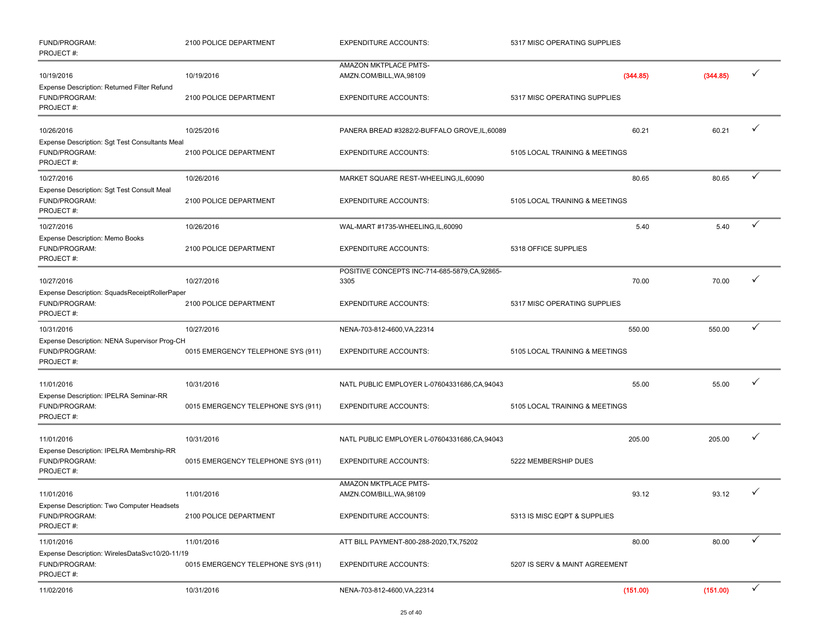| FUND/PROGRAM:<br>PROJECT#:                                                   | 2100 POLICE DEPARTMENT             | <b>EXPENDITURE ACCOUNTS:</b>                           | 5317 MISC OPERATING SUPPLIES   |          |              |
|------------------------------------------------------------------------------|------------------------------------|--------------------------------------------------------|--------------------------------|----------|--------------|
| 10/19/2016                                                                   | 10/19/2016                         | AMAZON MKTPLACE PMTS-<br>AMZN.COM/BILL, WA, 98109      | (344.85)                       | (344.85) | $\checkmark$ |
| Expense Description: Returned Filter Refund<br>FUND/PROGRAM:<br>PROJECT#:    | 2100 POLICE DEPARTMENT             | <b>EXPENDITURE ACCOUNTS:</b>                           | 5317 MISC OPERATING SUPPLIES   |          |              |
| 10/26/2016                                                                   | 10/25/2016                         | PANERA BREAD #3282/2-BUFFALO GROVE, IL, 60089          | 60.21                          | 60.21    | ✓            |
| Expense Description: Sgt Test Consultants Meal<br>FUND/PROGRAM:<br>PROJECT#: | 2100 POLICE DEPARTMENT             | <b>EXPENDITURE ACCOUNTS:</b>                           | 5105 LOCAL TRAINING & MEETINGS |          |              |
| 10/27/2016                                                                   | 10/26/2016                         | MARKET SQUARE REST-WHEELING, IL, 60090                 | 80.65                          | 80.65    |              |
| Expense Description: Sgt Test Consult Meal<br>FUND/PROGRAM:<br>PROJECT#:     | 2100 POLICE DEPARTMENT             | <b>EXPENDITURE ACCOUNTS:</b>                           | 5105 LOCAL TRAINING & MEETINGS |          |              |
| 10/27/2016                                                                   | 10/26/2016                         | WAL-MART #1735-WHEELING,IL,60090                       | 5.40                           | 5.40     |              |
| Expense Description: Memo Books<br>FUND/PROGRAM:<br>PROJECT#:                | 2100 POLICE DEPARTMENT             | <b>EXPENDITURE ACCOUNTS:</b>                           | 5318 OFFICE SUPPLIES           |          |              |
| 10/27/2016                                                                   | 10/27/2016                         | POSITIVE CONCEPTS INC-714-685-5879, CA, 92865-<br>3305 | 70.00                          | 70.00    |              |
| Expense Description: SquadsReceiptRollerPaper<br>FUND/PROGRAM:<br>PROJECT#:  | 2100 POLICE DEPARTMENT             | <b>EXPENDITURE ACCOUNTS:</b>                           | 5317 MISC OPERATING SUPPLIES   |          |              |
| 10/31/2016                                                                   | 10/27/2016                         | NENA-703-812-4600, VA, 22314                           | 550.00                         | 550.00   | ✓            |
| Expense Description: NENA Supervisor Prog-CH<br>FUND/PROGRAM:<br>PROJECT#:   | 0015 EMERGENCY TELEPHONE SYS (911) | <b>EXPENDITURE ACCOUNTS:</b>                           | 5105 LOCAL TRAINING & MEETINGS |          |              |
| 11/01/2016                                                                   | 10/31/2016                         | NATL PUBLIC EMPLOYER L-07604331686,CA,94043            | 55.00                          | 55.00    |              |
| Expense Description: IPELRA Seminar-RR<br>FUND/PROGRAM:<br>PROJECT#:         | 0015 EMERGENCY TELEPHONE SYS (911) | <b>EXPENDITURE ACCOUNTS:</b>                           | 5105 LOCAL TRAINING & MEETINGS |          |              |
| 11/01/2016                                                                   | 10/31/2016                         | NATL PUBLIC EMPLOYER L-07604331686, CA, 94043          | 205.00                         | 205.00   |              |
| Expense Description: IPELRA Membrship-RR<br>FUND/PROGRAM:<br>PROJECT#:       | 0015 EMERGENCY TELEPHONE SYS (911) | <b>EXPENDITURE ACCOUNTS:</b>                           | 5222 MEMBERSHIP DUES           |          |              |
| 11/01/2016                                                                   | 11/01/2016                         | AMAZON MKTPLACE PMTS-<br>AMZN.COM/BILL, WA, 98109      | 93.12                          | 93.12    |              |
| Expense Description: Two Computer Headsets<br>FUND/PROGRAM:<br>PROJECT#:     | 2100 POLICE DEPARTMENT             | <b>EXPENDITURE ACCOUNTS:</b>                           | 5313 IS MISC EQPT & SUPPLIES   |          |              |
| 11/01/2016                                                                   | 11/01/2016                         | ATT BILL PAYMENT-800-288-2020, TX, 75202               | 80.00                          | 80.00    | $\checkmark$ |
| Expense Description: WirelesDataSvc10/20-11/19<br>FUND/PROGRAM:<br>PROJECT#: | 0015 EMERGENCY TELEPHONE SYS (911) | <b>EXPENDITURE ACCOUNTS:</b>                           | 5207 IS SERV & MAINT AGREEMENT |          |              |
| 11/02/2016                                                                   | 10/31/2016                         | NENA-703-812-4600, VA, 22314                           | (151.00)                       | (151.00) | $\checkmark$ |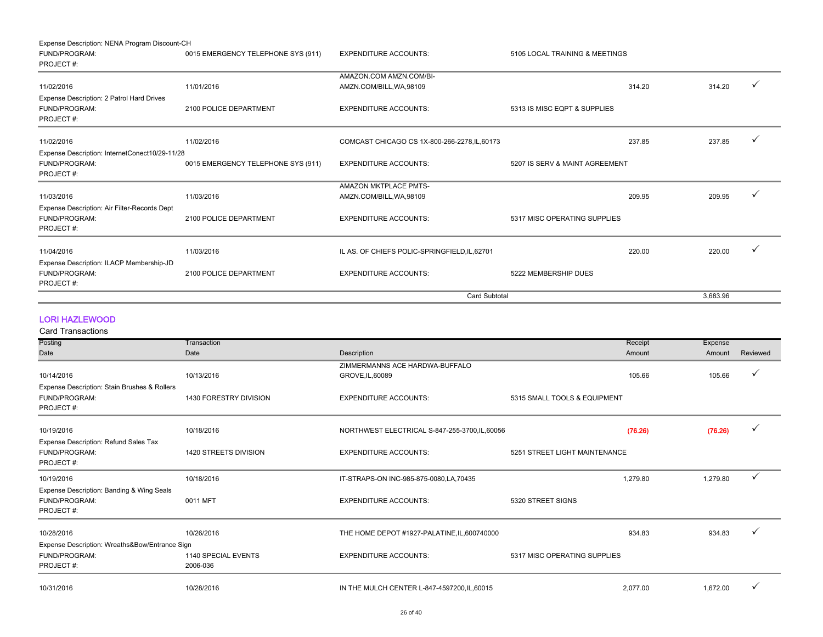| Expense Description: NENA Program Discount-CH  |                                    |                                               |                                |        |          |              |
|------------------------------------------------|------------------------------------|-----------------------------------------------|--------------------------------|--------|----------|--------------|
| FUND/PROGRAM:                                  | 0015 EMERGENCY TELEPHONE SYS (911) | <b>EXPENDITURE ACCOUNTS:</b>                  | 5105 LOCAL TRAINING & MEETINGS |        |          |              |
| PROJECT#:                                      |                                    |                                               |                                |        |          |              |
|                                                |                                    | AMAZON.COM AMZN.COM/BI-                       |                                |        |          |              |
| 11/02/2016                                     | 11/01/2016                         | AMZN.COM/BILL, WA, 98109                      |                                | 314.20 | 314.20   |              |
| Expense Description: 2 Patrol Hard Drives      |                                    |                                               |                                |        |          |              |
| FUND/PROGRAM:                                  | 2100 POLICE DEPARTMENT             | <b>EXPENDITURE ACCOUNTS:</b>                  | 5313 IS MISC EQPT & SUPPLIES   |        |          |              |
| PROJECT#:                                      |                                    |                                               |                                |        |          |              |
| 11/02/2016                                     | 11/02/2016                         | COMCAST CHICAGO CS 1X-800-266-2278, IL, 60173 |                                | 237.85 | 237.85   | $\checkmark$ |
| Expense Description: InternetConect10/29-11/28 |                                    |                                               |                                |        |          |              |
| FUND/PROGRAM:                                  | 0015 EMERGENCY TELEPHONE SYS (911) | <b>EXPENDITURE ACCOUNTS:</b>                  | 5207 IS SERV & MAINT AGREEMENT |        |          |              |
| PROJECT#:                                      |                                    |                                               |                                |        |          |              |
|                                                |                                    | <b>AMAZON MKTPLACE PMTS-</b>                  |                                |        |          |              |
| 11/03/2016                                     | 11/03/2016                         | AMZN.COM/BILL, WA, 98109                      |                                | 209.95 | 209.95   |              |
| Expense Description: Air Filter-Records Dept   |                                    |                                               |                                |        |          |              |
| FUND/PROGRAM:                                  | 2100 POLICE DEPARTMENT             | <b>EXPENDITURE ACCOUNTS:</b>                  | 5317 MISC OPERATING SUPPLIES   |        |          |              |
| PROJECT#:                                      |                                    |                                               |                                |        |          |              |
| 11/04/2016                                     | 11/03/2016                         | IL AS. OF CHIEFS POLIC-SPRINGFIELD, IL, 62701 |                                | 220.00 | 220.00   | $\checkmark$ |
| Expense Description: ILACP Membership-JD       |                                    |                                               |                                |        |          |              |
|                                                |                                    |                                               |                                |        |          |              |
| FUND/PROGRAM:<br>PROJECT#:                     | 2100 POLICE DEPARTMENT             | <b>EXPENDITURE ACCOUNTS:</b>                  | 5222 MEMBERSHIP DUES           |        |          |              |
|                                                |                                    | <b>Card Subtotal</b>                          |                                |        | 3.683.96 |              |

#### LORI HAZLEWOOD

| <b>Card Transactions</b>                       |                        |                                                |                               |          |          |              |
|------------------------------------------------|------------------------|------------------------------------------------|-------------------------------|----------|----------|--------------|
| Posting                                        | Transaction            |                                                |                               | Receipt  | Expense  |              |
| Date                                           | Date                   | Description                                    |                               | Amount   | Amount   | Reviewed     |
|                                                |                        | ZIMMERMANNS ACE HARDWA-BUFFALO                 |                               |          |          |              |
| 10/14/2016                                     | 10/13/2016             | GROVE, IL, 60089                               |                               | 105.66   | 105.66   | $\checkmark$ |
| Expense Description: Stain Brushes & Rollers   |                        |                                                |                               |          |          |              |
| FUND/PROGRAM:                                  | 1430 FORESTRY DIVISION | <b>EXPENDITURE ACCOUNTS:</b>                   | 5315 SMALL TOOLS & EQUIPMENT  |          |          |              |
| PROJECT#:                                      |                        |                                                |                               |          |          |              |
| 10/19/2016                                     | 10/18/2016             | NORTHWEST ELECTRICAL S-847-255-3700, IL, 60056 |                               | (76.26)  | (76.26)  | ✓            |
|                                                |                        |                                                |                               |          |          |              |
| Expense Description: Refund Sales Tax          | 1420 STREETS DIVISION  | <b>EXPENDITURE ACCOUNTS:</b>                   | 5251 STREET LIGHT MAINTENANCE |          |          |              |
| FUND/PROGRAM:<br>PROJECT#:                     |                        |                                                |                               |          |          |              |
|                                                |                        |                                                |                               |          |          |              |
| 10/19/2016                                     | 10/18/2016             | IT-STRAPS-ON INC-985-875-0080,LA,70435         |                               | 1,279.80 | 1,279.80 | $\checkmark$ |
| Expense Description: Banding & Wing Seals      |                        |                                                |                               |          |          |              |
| FUND/PROGRAM:                                  | 0011 MFT               | <b>EXPENDITURE ACCOUNTS:</b>                   | 5320 STREET SIGNS             |          |          |              |
| PROJECT#:                                      |                        |                                                |                               |          |          |              |
| 10/28/2016                                     | 10/26/2016             | THE HOME DEPOT #1927-PALATINE, IL, 600740000   |                               | 934.83   | 934.83   |              |
|                                                |                        |                                                |                               |          |          |              |
| Expense Description: Wreaths&Bow/Entrance Sign |                        |                                                |                               |          |          |              |
| FUND/PROGRAM:                                  | 1140 SPECIAL EVENTS    | <b>EXPENDITURE ACCOUNTS:</b>                   | 5317 MISC OPERATING SUPPLIES  |          |          |              |
| PROJECT#:                                      | 2006-036               |                                                |                               |          |          |              |
| 10/31/2016                                     | 10/28/2016             | IN THE MULCH CENTER L-847-4597200, IL, 60015   |                               | 2,077.00 | 1,672.00 | $\checkmark$ |
|                                                |                        |                                                |                               |          |          |              |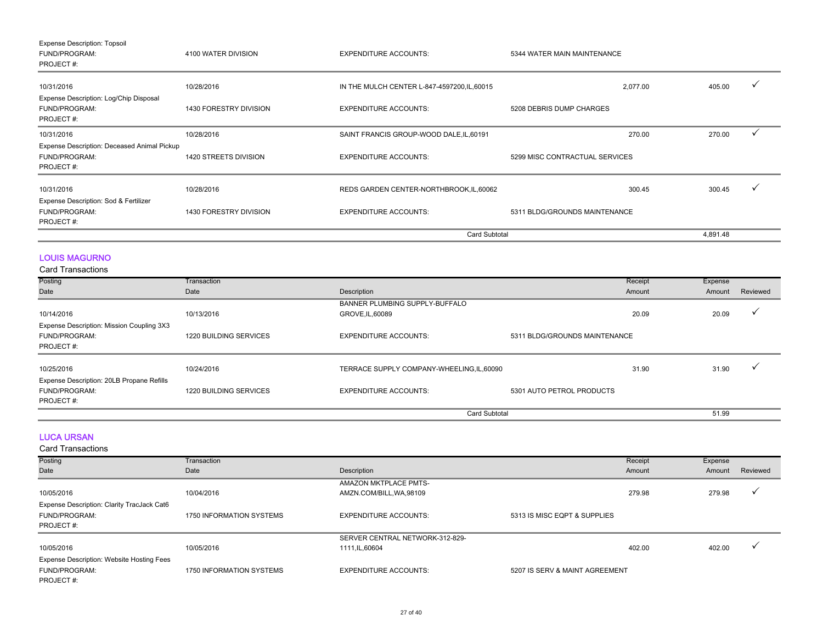| <b>Expense Description: Topsoil</b>         |                        |                                              |                                |          |  |
|---------------------------------------------|------------------------|----------------------------------------------|--------------------------------|----------|--|
| FUND/PROGRAM:<br>PROJECT#:                  | 4100 WATER DIVISION    | <b>EXPENDITURE ACCOUNTS:</b>                 | 5344 WATER MAIN MAINTENANCE    |          |  |
| 10/31/2016                                  | 10/28/2016             | IN THE MULCH CENTER L-847-4597200, IL, 60015 | 2,077.00                       | 405.00   |  |
| Expense Description: Log/Chip Disposal      |                        |                                              |                                |          |  |
| FUND/PROGRAM:<br>PROJECT#:                  | 1430 FORESTRY DIVISION | <b>EXPENDITURE ACCOUNTS:</b>                 | 5208 DEBRIS DUMP CHARGES       |          |  |
| 10/31/2016                                  | 10/28/2016             | SAINT FRANCIS GROUP-WOOD DALE, IL, 60191     | 270.00                         | 270.00   |  |
| Expense Description: Deceased Animal Pickup |                        |                                              |                                |          |  |
| FUND/PROGRAM:                               | 1420 STREETS DIVISION  | <b>EXPENDITURE ACCOUNTS:</b>                 | 5299 MISC CONTRACTUAL SERVICES |          |  |
| PROJECT#:                                   |                        |                                              |                                |          |  |
| 10/31/2016                                  | 10/28/2016             | REDS GARDEN CENTER-NORTHBROOK, IL, 60062     | 300.45                         | 300.45   |  |
| Expense Description: Sod & Fertilizer       |                        |                                              |                                |          |  |
| FUND/PROGRAM:                               | 1430 FORESTRY DIVISION | <b>EXPENDITURE ACCOUNTS:</b>                 | 5311 BLDG/GROUNDS MAINTENANCE  |          |  |
| PROJECT#:                                   |                        |                                              |                                |          |  |
|                                             |                        | <b>Card Subtotal</b>                         |                                | 4,891.48 |  |

#### LOUIS MAGURNO

Card Transactions

| Posting                                                                 | Transaction            |                                            | Receipt                       | Expense |          |
|-------------------------------------------------------------------------|------------------------|--------------------------------------------|-------------------------------|---------|----------|
| Date                                                                    | Date                   | Description                                | Amount                        | Amount  | Reviewed |
|                                                                         |                        | BANNER PLUMBING SUPPLY-BUFFALO             |                               |         |          |
| 10/14/2016                                                              | 10/13/2016             | GROVE, IL, 60089                           | 20.09                         | 20.09   |          |
| Expense Description: Mission Coupling 3X3<br>FUND/PROGRAM:<br>PROJECT#: | 1220 BUILDING SERVICES | <b>EXPENDITURE ACCOUNTS:</b>               | 5311 BLDG/GROUNDS MAINTENANCE |         |          |
| 10/25/2016                                                              | 10/24/2016             | TERRACE SUPPLY COMPANY-WHEELING, IL, 60090 | 31.90                         | 31.90   |          |
| Expense Description: 20LB Propane Refills                               |                        |                                            |                               |         |          |
| FUND/PROGRAM:                                                           | 1220 BUILDING SERVICES | <b>EXPENDITURE ACCOUNTS:</b>               | 5301 AUTO PETROL PRODUCTS     |         |          |
| PROJECT#:                                                               |                        |                                            |                               |         |          |
|                                                                         |                        |                                            | <b>Card Subtotal</b>          | 51.99   |          |

LUCA URSAN

| <b>Card Transactions</b>                   |                                 |                                 |                                |         |         |          |
|--------------------------------------------|---------------------------------|---------------------------------|--------------------------------|---------|---------|----------|
| Posting                                    | Transaction                     |                                 |                                | Receipt | Expense |          |
| Date                                       | Date                            | Description                     |                                | Amount  | Amount  | Reviewed |
|                                            |                                 | <b>AMAZON MKTPLACE PMTS-</b>    |                                |         |         |          |
| 10/05/2016                                 | 10/04/2016                      | AMZN.COM/BILL, WA, 98109        |                                | 279.98  | 279.98  |          |
| Expense Description: Clarity TracJack Cat6 |                                 |                                 |                                |         |         |          |
| FUND/PROGRAM:                              | <b>1750 INFORMATION SYSTEMS</b> | <b>EXPENDITURE ACCOUNTS:</b>    | 5313 IS MISC EQPT & SUPPLIES   |         |         |          |
| PROJECT#:                                  |                                 |                                 |                                |         |         |          |
|                                            |                                 | SERVER CENTRAL NETWORK-312-829- |                                |         |         |          |
| 10/05/2016                                 | 10/05/2016                      | 1111, IL, 60604                 |                                | 402.00  | 402.00  |          |
| Expense Description: Website Hosting Fees  |                                 |                                 |                                |         |         |          |
| FUND/PROGRAM:                              | 1750 INFORMATION SYSTEMS        | <b>EXPENDITURE ACCOUNTS:</b>    | 5207 IS SERV & MAINT AGREEMENT |         |         |          |
| PROJECT#:                                  |                                 |                                 |                                |         |         |          |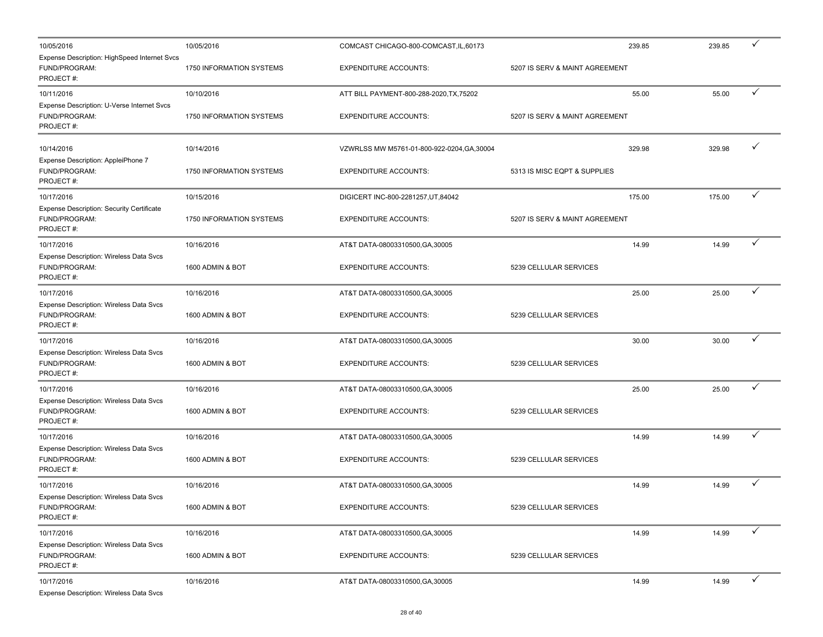| 10/05/2016                                                                     | 10/05/2016               | COMCAST CHICAGO-800-COMCAST, IL, 60173      | 239.85                         | 239.85 | ✓            |
|--------------------------------------------------------------------------------|--------------------------|---------------------------------------------|--------------------------------|--------|--------------|
| Expense Description: HighSpeed Internet Svcs<br>FUND/PROGRAM:<br>PROJECT#:     | 1750 INFORMATION SYSTEMS | <b>EXPENDITURE ACCOUNTS:</b>                | 5207 IS SERV & MAINT AGREEMENT |        |              |
| 10/11/2016                                                                     | 10/10/2016               | ATT BILL PAYMENT-800-288-2020, TX, 75202    | 55.00                          | 55.00  | ✓            |
| Expense Description: U-Verse Internet Svcs<br>FUND/PROGRAM:<br>PROJECT#:       | 1750 INFORMATION SYSTEMS | <b>EXPENDITURE ACCOUNTS:</b>                | 5207 IS SERV & MAINT AGREEMENT |        |              |
| 10/14/2016                                                                     | 10/14/2016               | VZWRLSS MW M5761-01-800-922-0204, GA, 30004 | 329.98                         | 329.98 |              |
| Expense Description: AppleiPhone 7<br>FUND/PROGRAM:<br>PROJECT#:               | 1750 INFORMATION SYSTEMS | <b>EXPENDITURE ACCOUNTS:</b>                | 5313 IS MISC EQPT & SUPPLIES   |        |              |
| 10/17/2016                                                                     | 10/15/2016               | DIGICERT INC-800-2281257, UT, 84042         | 175.00                         | 175.00 | ✓            |
| <b>Expense Description: Security Certificate</b><br>FUND/PROGRAM:<br>PROJECT#: | 1750 INFORMATION SYSTEMS | <b>EXPENDITURE ACCOUNTS:</b>                | 5207 IS SERV & MAINT AGREEMENT |        |              |
| 10/17/2016                                                                     | 10/16/2016               | AT&T DATA-08003310500, GA, 30005            | 14.99                          | 14.99  | ✓            |
| Expense Description: Wireless Data Svcs<br>FUND/PROGRAM:<br>PROJECT#:          | 1600 ADMIN & BOT         | <b>EXPENDITURE ACCOUNTS:</b>                | 5239 CELLULAR SERVICES         |        |              |
| 10/17/2016                                                                     | 10/16/2016               | AT&T DATA-08003310500, GA, 30005            | 25.00                          | 25.00  | ✓            |
| <b>Expense Description: Wireless Data Svcs</b><br>FUND/PROGRAM:<br>PROJECT#:   | 1600 ADMIN & BOT         | <b>EXPENDITURE ACCOUNTS:</b>                | 5239 CELLULAR SERVICES         |        |              |
| 10/17/2016                                                                     | 10/16/2016               | AT&T DATA-08003310500, GA, 30005            | 30.00                          | 30.00  |              |
| <b>Expense Description: Wireless Data Svcs</b><br>FUND/PROGRAM:<br>PROJECT#:   | 1600 ADMIN & BOT         | <b>EXPENDITURE ACCOUNTS:</b>                | 5239 CELLULAR SERVICES         |        |              |
| 10/17/2016                                                                     | 10/16/2016               | AT&T DATA-08003310500, GA, 30005            | 25.00                          | 25.00  | ✓            |
| Expense Description: Wireless Data Svcs<br>FUND/PROGRAM:<br>PROJECT#:          | 1600 ADMIN & BOT         | <b>EXPENDITURE ACCOUNTS:</b>                | 5239 CELLULAR SERVICES         |        |              |
| 10/17/2016                                                                     | 10/16/2016               | AT&T DATA-08003310500, GA, 30005            | 14.99                          | 14.99  | ✓            |
| Expense Description: Wireless Data Svcs<br>FUND/PROGRAM:<br>PROJECT#:          | 1600 ADMIN & BOT         | <b>EXPENDITURE ACCOUNTS:</b>                | 5239 CELLULAR SERVICES         |        |              |
| 10/17/2016                                                                     | 10/16/2016               | AT&T DATA-08003310500, GA, 30005            | 14.99                          | 14.99  |              |
| <b>Expense Description: Wireless Data Svcs</b><br>FUND/PROGRAM:<br>PROJECT#:   | 1600 ADMIN & BOT         | <b>EXPENDITURE ACCOUNTS:</b>                | 5239 CELLULAR SERVICES         |        |              |
| 10/17/2016                                                                     | 10/16/2016               | AT&T DATA-08003310500, GA, 30005            | 14.99                          | 14.99  | ✓            |
| Expense Description: Wireless Data Svcs<br>FUND/PROGRAM:<br>PROJECT#:          | 1600 ADMIN & BOT         | <b>EXPENDITURE ACCOUNTS:</b>                | 5239 CELLULAR SERVICES         |        |              |
| 10/17/2016                                                                     | 10/16/2016               | AT&T DATA-08003310500, GA, 30005            | 14.99                          | 14.99  | $\checkmark$ |
| ، ۱۸ انتخا                                                                     |                          |                                             |                                |        |              |

Expense Description: Wireless Data Svcs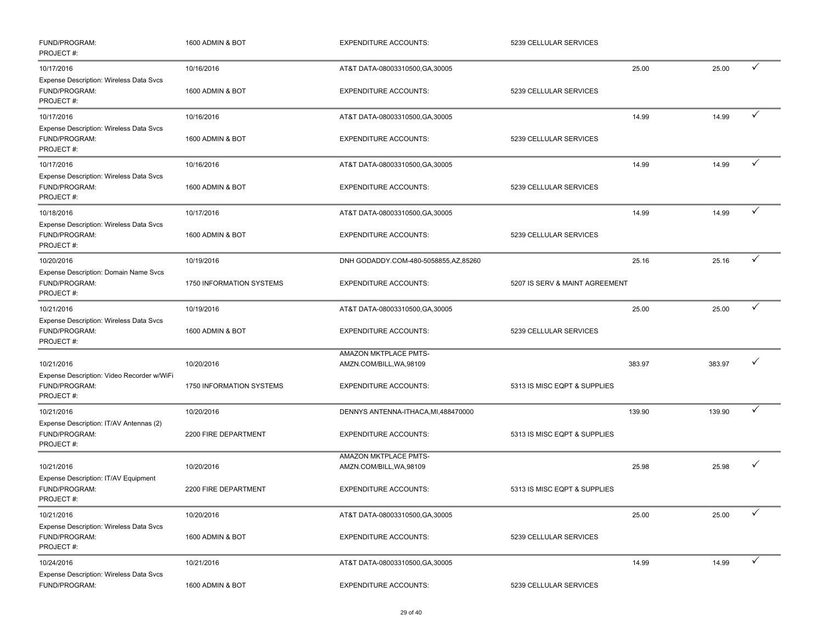| FUND/PROGRAM:<br>PROJECT#:                                                   | 1600 ADMIN & BOT                       | <b>EXPENDITURE ACCOUNTS:</b>                             | 5239 CELLULAR SERVICES         |        |        |              |
|------------------------------------------------------------------------------|----------------------------------------|----------------------------------------------------------|--------------------------------|--------|--------|--------------|
| 10/17/2016                                                                   | 10/16/2016                             | AT&T DATA-08003310500, GA, 30005                         |                                | 25.00  | 25.00  | ✓            |
| Expense Description: Wireless Data Svcs<br>FUND/PROGRAM:<br>PROJECT#:        | 1600 ADMIN & BOT                       | <b>EXPENDITURE ACCOUNTS:</b>                             | 5239 CELLULAR SERVICES         |        |        |              |
| 10/17/2016                                                                   | 10/16/2016                             | AT&T DATA-08003310500, GA, 30005                         |                                | 14.99  | 14.99  | ✓            |
| Expense Description: Wireless Data Svcs<br>FUND/PROGRAM:<br>PROJECT#:        | 1600 ADMIN & BOT                       | <b>EXPENDITURE ACCOUNTS:</b>                             | 5239 CELLULAR SERVICES         |        |        |              |
| 10/17/2016                                                                   | 10/16/2016                             | AT&T DATA-08003310500, GA, 30005                         |                                | 14.99  | 14.99  |              |
| Expense Description: Wireless Data Svcs<br>FUND/PROGRAM:<br>PROJECT#:        | 1600 ADMIN & BOT                       | <b>EXPENDITURE ACCOUNTS:</b>                             | 5239 CELLULAR SERVICES         |        |        |              |
| 10/18/2016                                                                   | 10/17/2016                             | AT&T DATA-08003310500, GA, 30005                         |                                | 14.99  | 14.99  | ✓            |
| Expense Description: Wireless Data Svcs<br>FUND/PROGRAM:<br>PROJECT#:        | 1600 ADMIN & BOT                       | <b>EXPENDITURE ACCOUNTS:</b>                             | 5239 CELLULAR SERVICES         |        |        |              |
| 10/20/2016                                                                   | 10/19/2016                             | DNH GODADDY.COM-480-5058855,AZ,85260                     |                                | 25.16  | 25.16  | ✓            |
| Expense Description: Domain Name Svcs<br>FUND/PROGRAM:<br>PROJECT#:          | <b>1750 INFORMATION SYSTEMS</b>        | <b>EXPENDITURE ACCOUNTS:</b>                             | 5207 IS SERV & MAINT AGREEMENT |        |        |              |
| 10/21/2016                                                                   | 10/19/2016                             | AT&T DATA-08003310500, GA, 30005                         |                                | 25.00  | 25.00  | ✓            |
| Expense Description: Wireless Data Svcs<br>FUND/PROGRAM:<br>PROJECT#:        | 1600 ADMIN & BOT                       | <b>EXPENDITURE ACCOUNTS:</b>                             | 5239 CELLULAR SERVICES         |        |        |              |
|                                                                              |                                        | AMAZON MKTPLACE PMTS-                                    |                                |        |        | ✓            |
| 10/21/2016<br>Expense Description: Video Recorder w/WiFi<br>FUND/PROGRAM:    | 10/20/2016<br>1750 INFORMATION SYSTEMS | AMZN.COM/BILL, WA, 98109<br><b>EXPENDITURE ACCOUNTS:</b> | 5313 IS MISC EQPT & SUPPLIES   | 383.97 | 383.97 |              |
| PROJECT#:                                                                    |                                        |                                                          |                                |        |        |              |
| 10/21/2016                                                                   | 10/20/2016                             | DENNYS ANTENNA-ITHACA, MI, 488470000                     |                                | 139.90 | 139.90 | ✓            |
| Expense Description: IT/AV Antennas (2)<br>FUND/PROGRAM:<br>PROJECT#:        | 2200 FIRE DEPARTMENT                   | <b>EXPENDITURE ACCOUNTS:</b>                             | 5313 IS MISC EQPT & SUPPLIES   |        |        |              |
| 10/21/2016                                                                   | 10/20/2016                             | AMAZON MKTPLACE PMTS-<br>AMZN.COM/BILL, WA, 98109        |                                | 25.98  | 25.98  | ✓            |
| Expense Description: IT/AV Equipment<br>FUND/PROGRAM:<br>PROJECT#:           | 2200 FIRE DEPARTMENT                   | <b>EXPENDITURE ACCOUNTS:</b>                             | 5313 IS MISC EQPT & SUPPLIES   |        |        |              |
| 10/21/2016                                                                   | 10/20/2016                             | AT&T DATA-08003310500, GA, 30005                         |                                | 25.00  | 25.00  | ✓            |
| <b>Expense Description: Wireless Data Svcs</b><br>FUND/PROGRAM:<br>PROJECT#: | 1600 ADMIN & BOT                       | <b>EXPENDITURE ACCOUNTS:</b>                             | 5239 CELLULAR SERVICES         |        |        |              |
| 10/24/2016                                                                   | 10/21/2016                             | AT&T DATA-08003310500, GA, 30005                         |                                | 14.99  | 14.99  | $\checkmark$ |
| Expense Description: Wireless Data Svcs<br>FUND/PROGRAM:                     | 1600 ADMIN & BOT                       | <b>EXPENDITURE ACCOUNTS:</b>                             | 5239 CELLULAR SERVICES         |        |        |              |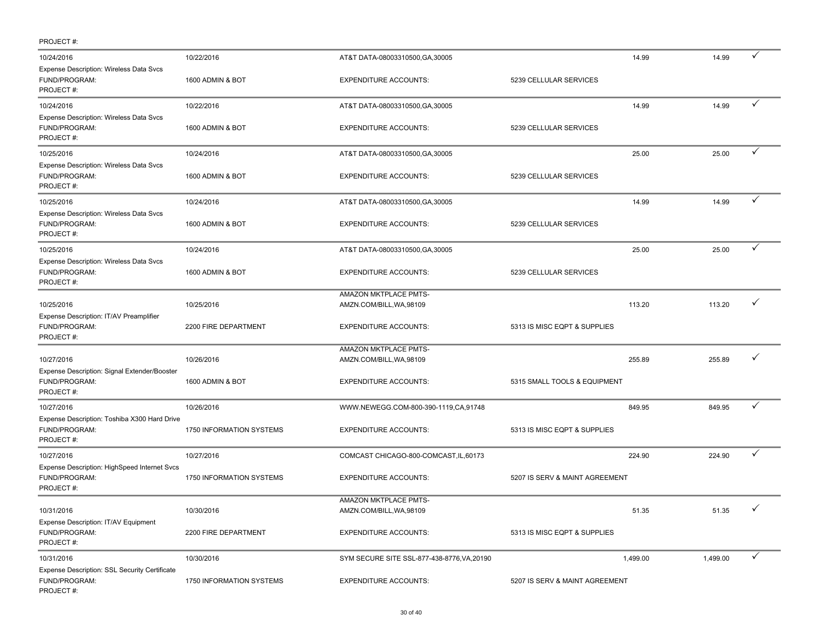| PROJECT#:                                                                           |                                    |                                                          |                                        |          |              |
|-------------------------------------------------------------------------------------|------------------------------------|----------------------------------------------------------|----------------------------------------|----------|--------------|
| 10/24/2016                                                                          | 10/22/2016                         | AT&T DATA-08003310500, GA, 30005                         | 14.99                                  | 14.99    | ✓            |
| Expense Description: Wireless Data Svcs<br>FUND/PROGRAM:<br>PROJECT#:               | 1600 ADMIN & BOT                   | <b>EXPENDITURE ACCOUNTS:</b>                             | 5239 CELLULAR SERVICES                 |          |              |
| 10/24/2016                                                                          | 10/22/2016                         | AT&T DATA-08003310500, GA, 30005                         | 14.99                                  | 14.99    |              |
| Expense Description: Wireless Data Svcs<br>FUND/PROGRAM:<br>PROJECT#:               | 1600 ADMIN & BOT                   | <b>EXPENDITURE ACCOUNTS:</b>                             | 5239 CELLULAR SERVICES                 |          |              |
| 10/25/2016                                                                          | 10/24/2016                         | AT&T DATA-08003310500, GA, 30005                         | 25.00                                  | 25.00    | ✓            |
| Expense Description: Wireless Data Svcs<br>FUND/PROGRAM:<br>PROJECT#:               | 1600 ADMIN & BOT                   | <b>EXPENDITURE ACCOUNTS:</b>                             | 5239 CELLULAR SERVICES                 |          |              |
| 10/25/2016                                                                          | 10/24/2016                         | AT&T DATA-08003310500, GA, 30005                         | 14.99                                  | 14.99    | ✓            |
| Expense Description: Wireless Data Svcs<br>FUND/PROGRAM:<br>PROJECT#:               | 1600 ADMIN & BOT                   | <b>EXPENDITURE ACCOUNTS:</b>                             | 5239 CELLULAR SERVICES                 |          |              |
| 10/25/2016                                                                          | 10/24/2016                         | AT&T DATA-08003310500, GA, 30005                         | 25.00                                  | 25.00    | ✓            |
| Expense Description: Wireless Data Svcs<br>FUND/PROGRAM:<br>PROJECT#:               | 1600 ADMIN & BOT                   | <b>EXPENDITURE ACCOUNTS:</b>                             | 5239 CELLULAR SERVICES                 |          |              |
|                                                                                     |                                    | AMAZON MKTPLACE PMTS-                                    |                                        |          |              |
| 10/25/2016<br>Expense Description: IT/AV Preamplifier<br>FUND/PROGRAM:<br>PROJECT#: | 10/25/2016<br>2200 FIRE DEPARTMENT | AMZN.COM/BILL, WA, 98109<br><b>EXPENDITURE ACCOUNTS:</b> | 113.20<br>5313 IS MISC EQPT & SUPPLIES | 113.20   |              |
| 10/27/2016                                                                          | 10/26/2016                         | AMAZON MKTPLACE PMTS-<br>AMZN.COM/BILL, WA, 98109        | 255.89                                 | 255.89   | ✓            |
| Expense Description: Signal Extender/Booster<br>FUND/PROGRAM:<br>PROJECT#:          | 1600 ADMIN & BOT                   | <b>EXPENDITURE ACCOUNTS:</b>                             | 5315 SMALL TOOLS & EQUIPMENT           |          |              |
| 10/27/2016                                                                          | 10/26/2016                         | WWW.NEWEGG.COM-800-390-1119,CA,91748                     | 849.95                                 | 849.95   | ✓            |
| Expense Description: Toshiba X300 Hard Drive<br>FUND/PROGRAM:<br>PROJECT#:          | 1750 INFORMATION SYSTEMS           | <b>EXPENDITURE ACCOUNTS:</b>                             | 5313 IS MISC EQPT & SUPPLIES           |          |              |
| 10/27/2016                                                                          | 10/27/2016                         | COMCAST CHICAGO-800-COMCAST, IL, 60173                   | 224.90                                 | 224.90   |              |
| Expense Description: HighSpeed Internet Svcs<br>FUND/PROGRAM:<br>PROJECT#:          | <b>1750 INFORMATION SYSTEMS</b>    | <b>EXPENDITURE ACCOUNTS:</b>                             | 5207 IS SERV & MAINT AGREEMENT         |          |              |
|                                                                                     |                                    | AMAZON MKTPLACE PMTS-                                    |                                        |          | $\checkmark$ |
| 10/31/2016<br>Expense Description: IT/AV Equipment<br>FUND/PROGRAM:<br>PROJECT#:    | 10/30/2016<br>2200 FIRE DEPARTMENT | AMZN.COM/BILL, WA, 98109<br><b>EXPENDITURE ACCOUNTS:</b> | 51.35<br>5313 IS MISC EQPT & SUPPLIES  | 51.35    |              |
| 10/31/2016                                                                          | 10/30/2016                         | SYM SECURE SITE SSL-877-438-8776, VA, 20190              | 1,499.00                               | 1,499.00 | ✓            |
| Expense Description: SSL Security Certificate<br>FUND/PROGRAM:<br>PROJECT#:         | 1750 INFORMATION SYSTEMS           | <b>EXPENDITURE ACCOUNTS:</b>                             | 5207 IS SERV & MAINT AGREEMENT         |          |              |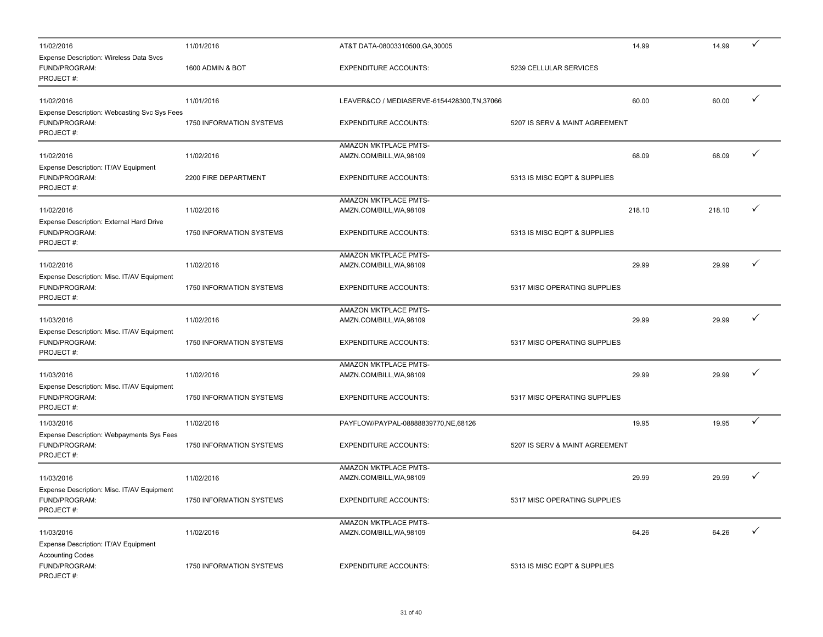| 11/02/2016                                                                                    | 11/01/2016                      | AT&T DATA-08003310500, GA, 30005             | 14.99                          | 14.99  | ✓ |
|-----------------------------------------------------------------------------------------------|---------------------------------|----------------------------------------------|--------------------------------|--------|---|
| Expense Description: Wireless Data Svcs<br>FUND/PROGRAM:<br>PROJECT#:                         | 1600 ADMIN & BOT                | <b>EXPENDITURE ACCOUNTS:</b>                 | 5239 CELLULAR SERVICES         |        |   |
| 11/02/2016                                                                                    | 11/01/2016                      | LEAVER&CO / MEDIASERVE-6154428300, TN, 37066 | 60.00                          | 60.00  | ✓ |
| Expense Description: Webcasting Svc Sys Fees<br>FUND/PROGRAM:<br>PROJECT#:                    | 1750 INFORMATION SYSTEMS        | <b>EXPENDITURE ACCOUNTS:</b>                 | 5207 IS SERV & MAINT AGREEMENT |        |   |
|                                                                                               |                                 | AMAZON MKTPLACE PMTS-                        |                                |        |   |
| 11/02/2016                                                                                    | 11/02/2016                      | AMZN.COM/BILL, WA, 98109                     | 68.09                          | 68.09  | ✓ |
| Expense Description: IT/AV Equipment<br>FUND/PROGRAM:<br>PROJECT#:                            | 2200 FIRE DEPARTMENT            | <b>EXPENDITURE ACCOUNTS:</b>                 | 5313 IS MISC EQPT & SUPPLIES   |        |   |
|                                                                                               |                                 | AMAZON MKTPLACE PMTS-                        |                                |        |   |
| 11/02/2016                                                                                    | 11/02/2016                      | AMZN.COM/BILL, WA, 98109                     | 218.10                         | 218.10 | ✓ |
| Expense Description: External Hard Drive<br>FUND/PROGRAM:<br>PROJECT#:                        | 1750 INFORMATION SYSTEMS        | <b>EXPENDITURE ACCOUNTS:</b>                 | 5313 IS MISC EQPT & SUPPLIES   |        |   |
|                                                                                               |                                 | AMAZON MKTPLACE PMTS-                        |                                |        |   |
| 11/02/2016                                                                                    | 11/02/2016                      | AMZN.COM/BILL, WA, 98109                     | 29.99                          | 29.99  | ✓ |
| Expense Description: Misc. IT/AV Equipment<br>FUND/PROGRAM:<br>PROJECT#:                      | <b>1750 INFORMATION SYSTEMS</b> | <b>EXPENDITURE ACCOUNTS:</b>                 | 5317 MISC OPERATING SUPPLIES   |        |   |
|                                                                                               |                                 | AMAZON MKTPLACE PMTS-                        |                                |        |   |
| 11/03/2016                                                                                    | 11/02/2016                      | AMZN.COM/BILL, WA, 98109                     | 29.99                          | 29.99  | ✓ |
| Expense Description: Misc. IT/AV Equipment<br>FUND/PROGRAM:<br>PROJECT#:                      | 1750 INFORMATION SYSTEMS        | <b>EXPENDITURE ACCOUNTS:</b>                 | 5317 MISC OPERATING SUPPLIES   |        |   |
|                                                                                               |                                 | AMAZON MKTPLACE PMTS-                        |                                |        |   |
| 11/03/2016                                                                                    | 11/02/2016                      | AMZN.COM/BILL, WA, 98109                     | 29.99                          | 29.99  |   |
| Expense Description: Misc. IT/AV Equipment<br>FUND/PROGRAM:<br>PROJECT#:                      | 1750 INFORMATION SYSTEMS        | <b>EXPENDITURE ACCOUNTS:</b>                 | 5317 MISC OPERATING SUPPLIES   |        |   |
| 11/03/2016                                                                                    | 11/02/2016                      | PAYFLOW/PAYPAL-08888839770,NE,68126          | 19.95                          | 19.95  | ✓ |
| Expense Description: Webpayments Sys Fees<br>FUND/PROGRAM:<br>PROJECT#:                       | 1750 INFORMATION SYSTEMS        | <b>EXPENDITURE ACCOUNTS:</b>                 | 5207 IS SERV & MAINT AGREEMENT |        |   |
|                                                                                               |                                 | AMAZON MKTPLACE PMTS-                        |                                |        |   |
| 11/03/2016                                                                                    | 11/02/2016                      | AMZN.COM/BILL, WA, 98109                     | 29.99                          | 29.99  |   |
| Expense Description: Misc. IT/AV Equipment<br>FUND/PROGRAM:<br>PROJECT#:                      | 1750 INFORMATION SYSTEMS        | <b>EXPENDITURE ACCOUNTS:</b>                 | 5317 MISC OPERATING SUPPLIES   |        |   |
|                                                                                               |                                 | AMAZON MKTPLACE PMTS-                        |                                |        |   |
| 11/03/2016                                                                                    | 11/02/2016                      | AMZN.COM/BILL, WA, 98109                     | 64.26                          | 64.26  | ✓ |
| Expense Description: IT/AV Equipment<br><b>Accounting Codes</b><br>FUND/PROGRAM:<br>PROJECT#: | 1750 INFORMATION SYSTEMS        | <b>EXPENDITURE ACCOUNTS:</b>                 | 5313 IS MISC EQPT & SUPPLIES   |        |   |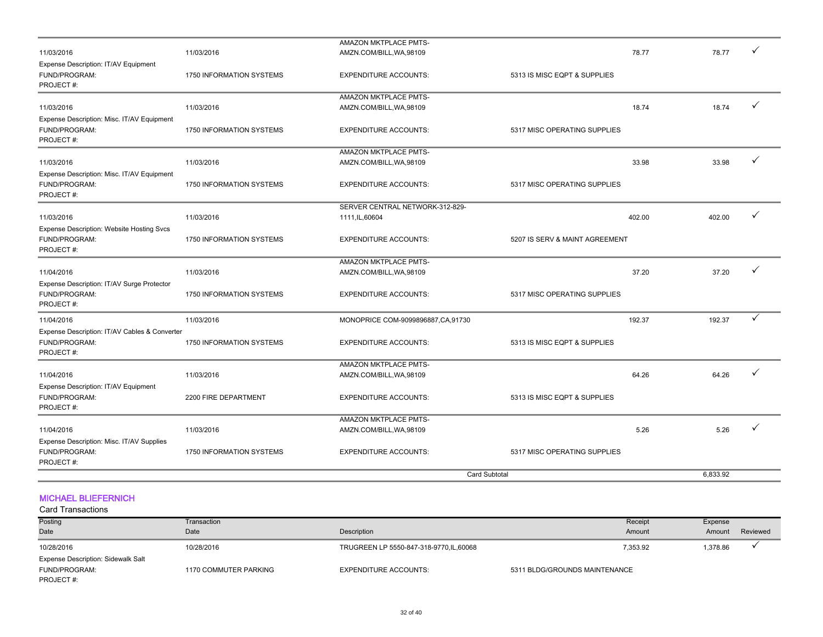|                                                                             |                          | <b>Card Subtotal</b>                                     |                                | 6.833.92 |   |
|-----------------------------------------------------------------------------|--------------------------|----------------------------------------------------------|--------------------------------|----------|---|
| Expense Description: Misc. IT/AV Supplies<br>FUND/PROGRAM:<br>PROJECT#:     | 1750 INFORMATION SYSTEMS | <b>EXPENDITURE ACCOUNTS:</b>                             | 5317 MISC OPERATING SUPPLIES   |          |   |
| 11/04/2016                                                                  | 11/03/2016               | AMZN.COM/BILL, WA, 98109                                 | 5.26                           | 5.26     | ✓ |
| FUND/PROGRAM:<br>PROJECT#:                                                  | 2200 FIRE DEPARTMENT     | <b>EXPENDITURE ACCOUNTS:</b><br>AMAZON MKTPLACE PMTS-    | 5313 IS MISC EQPT & SUPPLIES   |          |   |
| Expense Description: IT/AV Equipment                                        |                          |                                                          |                                |          |   |
| 11/04/2016                                                                  | 11/03/2016               | AMAZON MKTPLACE PMTS-<br>AMZN.COM/BILL, WA, 98109        | 64.26                          | 64.26    | ✓ |
| Expense Description: IT/AV Cables & Converter<br>FUND/PROGRAM:<br>PROJECT#: | 1750 INFORMATION SYSTEMS | <b>EXPENDITURE ACCOUNTS:</b>                             | 5313 IS MISC EQPT & SUPPLIES   |          |   |
| 11/04/2016                                                                  | 11/03/2016               | MONOPRICE COM-9099896887, CA, 91730                      | 192.37                         | 192.37   | ✓ |
| Expense Description: IT/AV Surge Protector<br>FUND/PROGRAM:<br>PROJECT#:    | 1750 INFORMATION SYSTEMS | <b>EXPENDITURE ACCOUNTS:</b>                             | 5317 MISC OPERATING SUPPLIES   |          |   |
| 11/04/2016                                                                  | 11/03/2016               | <b>AMAZON MKTPLACE PMTS-</b><br>AMZN.COM/BILL, WA, 98109 | 37.20                          | 37.20    | ✓ |
| Expense Description: Website Hosting Svcs<br>FUND/PROGRAM:<br>PROJECT#:     | 1750 INFORMATION SYSTEMS | <b>EXPENDITURE ACCOUNTS:</b>                             | 5207 IS SERV & MAINT AGREEMENT |          |   |
| 11/03/2016                                                                  | 11/03/2016               | SERVER CENTRAL NETWORK-312-829-<br>1111, IL, 60604       | 402.00                         | 402.00   |   |
| Expense Description: Misc. IT/AV Equipment<br>FUND/PROGRAM:<br>PROJECT#:    | 1750 INFORMATION SYSTEMS | <b>EXPENDITURE ACCOUNTS:</b>                             | 5317 MISC OPERATING SUPPLIES   |          |   |
| 11/03/2016                                                                  | 11/03/2016               | AMAZON MKTPLACE PMTS-<br>AMZN.COM/BILL, WA, 98109        | 33.98                          | 33.98    | ✓ |
| Expense Description: Misc. IT/AV Equipment<br>FUND/PROGRAM:<br>PROJECT#:    | 1750 INFORMATION SYSTEMS | <b>EXPENDITURE ACCOUNTS:</b>                             | 5317 MISC OPERATING SUPPLIES   |          |   |
| 11/03/2016                                                                  | 11/03/2016               | AMAZON MKTPLACE PMTS-<br>AMZN.COM/BILL, WA, 98109        | 18.74                          | 18.74    |   |
| Expense Description: IT/AV Equipment<br>FUND/PROGRAM:<br>PROJECT#:          | 1750 INFORMATION SYSTEMS | <b>EXPENDITURE ACCOUNTS:</b>                             | 5313 IS MISC EQPT & SUPPLIES   |          |   |
| 11/03/2016                                                                  | 11/03/2016               | AMAZON MKTPLACE PMTS-<br>AMZN.COM/BILL, WA, 98109        | 78.77                          | 78.77    |   |

#### MICHAEL BLIEFERNICH

| Posting<br>Date                           | Transaction<br>Date   | Description                            | Receipt<br>Amount             | Expense<br>Amount | Reviewed |
|-------------------------------------------|-----------------------|----------------------------------------|-------------------------------|-------------------|----------|
| 10/28/2016                                | 10/28/2016            | TRUGREEN LP 5550-847-318-9770,IL,60068 | 7,353.92                      | 1,378.86          |          |
| <b>Expense Description: Sidewalk Salt</b> |                       |                                        |                               |                   |          |
| FUND/PROGRAM:                             | 1170 COMMUTER PARKING | <b>EXPENDITURE ACCOUNTS:</b>           | 5311 BLDG/GROUNDS MAINTENANCE |                   |          |
| PROJECT#:                                 |                       |                                        |                               |                   |          |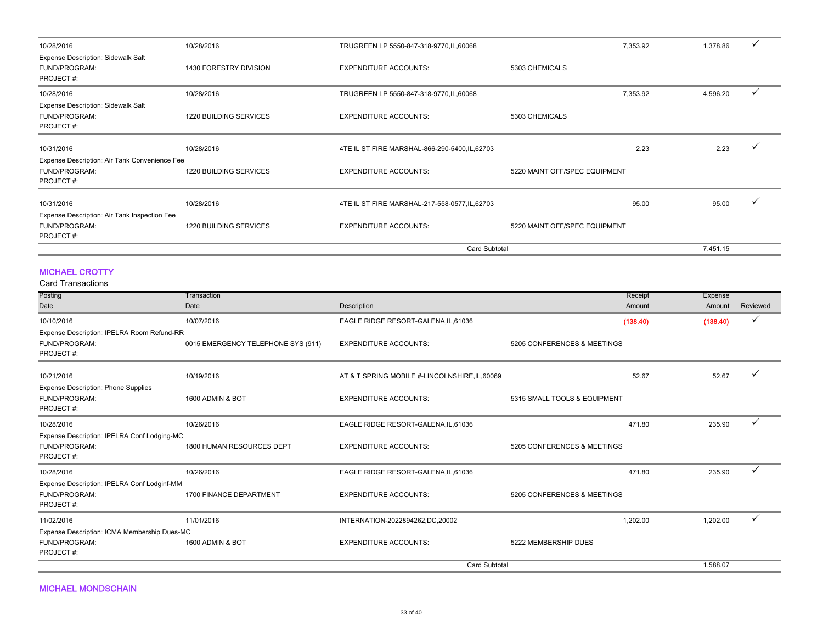| 10/28/2016                                                              | 10/28/2016             | TRUGREEN LP 5550-847-318-9770, IL, 60068       | 7,353.92                      | 1,378.86       |  |
|-------------------------------------------------------------------------|------------------------|------------------------------------------------|-------------------------------|----------------|--|
| <b>Expense Description: Sidewalk Salt</b><br>FUND/PROGRAM:<br>PROJECT#: | 1430 FORESTRY DIVISION | <b>EXPENDITURE ACCOUNTS:</b>                   | 5303 CHEMICALS                |                |  |
| 10/28/2016                                                              | 10/28/2016             | TRUGREEN LP 5550-847-318-9770, IL, 60068       | 7,353.92                      | 4,596.20       |  |
| <b>Expense Description: Sidewalk Salt</b><br>FUND/PROGRAM:<br>PROJECT#: | 1220 BUILDING SERVICES | <b>EXPENDITURE ACCOUNTS:</b>                   | 5303 CHEMICALS                |                |  |
| 10/31/2016                                                              | 10/28/2016             | 4TE IL ST FIRE MARSHAL-866-290-5400, IL, 62703 |                               | 2.23<br>2.23   |  |
| Expense Description: Air Tank Convenience Fee                           |                        |                                                |                               |                |  |
| FUND/PROGRAM:<br>PROJECT#:                                              | 1220 BUILDING SERVICES | <b>EXPENDITURE ACCOUNTS:</b>                   | 5220 MAINT OFF/SPEC EQUIPMENT |                |  |
| 10/31/2016                                                              | 10/28/2016             | 4TE IL ST FIRE MARSHAL-217-558-0577, IL, 62703 |                               | 95.00<br>95.00 |  |
| Expense Description: Air Tank Inspection Fee                            |                        |                                                |                               |                |  |
| FUND/PROGRAM:<br>PROJECT#:                                              | 1220 BUILDING SERVICES | <b>EXPENDITURE ACCOUNTS:</b>                   | 5220 MAINT OFF/SPEC EQUIPMENT |                |  |
|                                                                         |                        |                                                | <b>Card Subtotal</b>          | 7,451.15       |  |

#### MICHAEL CROTTY

| oara manoaoaono                                                           |                                    |                                                |                              |          |          |
|---------------------------------------------------------------------------|------------------------------------|------------------------------------------------|------------------------------|----------|----------|
| Posting                                                                   | Transaction                        |                                                | Receipt                      | Expense  |          |
| Date                                                                      | Date                               | Description                                    | Amount                       | Amount   | Reviewed |
| 10/10/2016                                                                | 10/07/2016                         | EAGLE RIDGE RESORT-GALENA, IL, 61036           | (138.40)                     | (138.40) | ✓        |
| Expense Description: IPELRA Room Refund-RR<br>FUND/PROGRAM:<br>PROJECT#:  | 0015 EMERGENCY TELEPHONE SYS (911) | <b>EXPENDITURE ACCOUNTS:</b>                   | 5205 CONFERENCES & MEETINGS  |          |          |
| 10/21/2016                                                                | 10/19/2016                         | AT & T SPRING MOBILE #-LINCOLNSHIRE, IL, 60069 | 52.67                        | 52.67    |          |
| <b>Expense Description: Phone Supplies</b><br>FUND/PROGRAM:<br>PROJECT#:  | 1600 ADMIN & BOT                   | <b>EXPENDITURE ACCOUNTS:</b>                   | 5315 SMALL TOOLS & EQUIPMENT |          |          |
| 10/28/2016                                                                | 10/26/2016                         | EAGLE RIDGE RESORT-GALENA, IL, 61036           | 471.80                       | 235.90   | ✓        |
| Expense Description: IPELRA Conf Lodging-MC<br>FUND/PROGRAM:<br>PROJECT#: | 1800 HUMAN RESOURCES DEPT          | <b>EXPENDITURE ACCOUNTS:</b>                   | 5205 CONFERENCES & MEETINGS  |          |          |
| 10/28/2016                                                                | 10/26/2016                         | EAGLE RIDGE RESORT-GALENA, IL, 61036           | 471.80                       | 235.90   | ✓        |
| Expense Description: IPELRA Conf Lodginf-MM<br>FUND/PROGRAM:<br>PROJECT#: | 1700 FINANCE DEPARTMENT            | <b>EXPENDITURE ACCOUNTS:</b>                   | 5205 CONFERENCES & MEETINGS  |          |          |
| 11/02/2016                                                                | 11/01/2016                         | INTERNATION-2022894262,DC,20002                | 1,202.00                     | 1,202.00 |          |
| Expense Description: ICMA Membership Dues-MC                              |                                    |                                                |                              |          |          |
| FUND/PROGRAM:<br>PROJECT#:                                                | 1600 ADMIN & BOT                   | <b>EXPENDITURE ACCOUNTS:</b>                   | 5222 MEMBERSHIP DUES         |          |          |
|                                                                           |                                    | <b>Card Subtotal</b>                           |                              | 1,588.07 |          |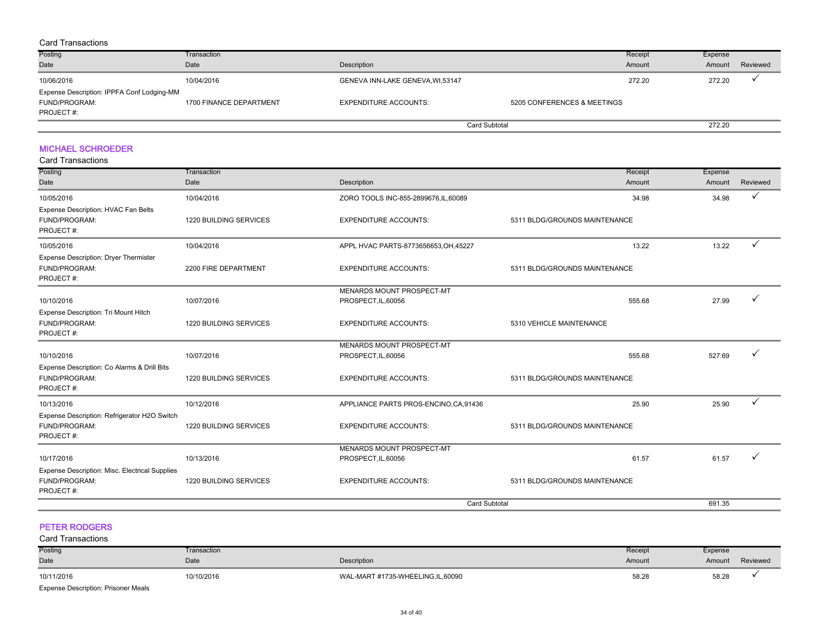#### Card Transactions

| Posting                                    | Transaction             |                                   |                             | Receipt | Expense |          |
|--------------------------------------------|-------------------------|-----------------------------------|-----------------------------|---------|---------|----------|
| Date                                       | Date                    | Description                       |                             | Amount  | Amount  | Reviewed |
| 10/06/2016                                 | 10/04/2016              | GENEVA INN-LAKE GENEVA, WI, 53147 |                             | 272.20  | 272.20  |          |
| Expense Description: IPPFA Conf Lodging-MM |                         |                                   |                             |         |         |          |
| FUND/PROGRAM:                              | 1700 FINANCE DEPARTMENT | <b>EXPENDITURE ACCOUNTS:</b>      | 5205 CONFERENCES & MEETINGS |         |         |          |
| PROJECT#:                                  |                         |                                   |                             |         |         |          |
|                                            |                         |                                   | <b>Card Subtotal</b>        |         | 272.20  |          |

#### MICHAEL SCHROEDER

#### Card Transactions

| Posting                                                                      | Transaction            |                                        | Receipt                       | Expense |          |
|------------------------------------------------------------------------------|------------------------|----------------------------------------|-------------------------------|---------|----------|
| Date                                                                         | Date                   | Description                            | Amount                        | Amount  | Reviewed |
| 10/05/2016                                                                   | 10/04/2016             | ZORO TOOLS INC-855-2899676, IL, 60089  | 34.98                         | 34.98   | ✓        |
| Expense Description: HVAC Fan Belts<br>FUND/PROGRAM:<br>PROJECT#:            | 1220 BUILDING SERVICES | <b>EXPENDITURE ACCOUNTS:</b>           | 5311 BLDG/GROUNDS MAINTENANCE |         |          |
| 10/05/2016                                                                   | 10/04/2016             | APPL HVAC PARTS-8773656653, OH, 45227  | 13.22                         | 13.22   | ✓        |
| Expense Description: Dryer Thermister<br>FUND/PROGRAM:<br>PROJECT#:          | 2200 FIRE DEPARTMENT   | <b>EXPENDITURE ACCOUNTS:</b>           | 5311 BLDG/GROUNDS MAINTENANCE |         |          |
|                                                                              |                        | MENARDS MOUNT PROSPECT-MT              |                               |         |          |
| 10/10/2016                                                                   | 10/07/2016             | PROSPECT, IL, 60056                    | 555.68                        | 27.99   |          |
| Expense Description: Tri Mount Hitch<br>FUND/PROGRAM:<br>PROJECT#:           | 1220 BUILDING SERVICES | <b>EXPENDITURE ACCOUNTS:</b>           | 5310 VEHICLE MAINTENANCE      |         |          |
|                                                                              |                        | MENARDS MOUNT PROSPECT-MT              |                               |         |          |
| 10/10/2016                                                                   | 10/07/2016             | PROSPECT, IL, 60056                    | 555.68                        | 527.69  |          |
| Expense Description: Co Alarms & Drill Bits<br>FUND/PROGRAM:<br>PROJECT#:    | 1220 BUILDING SERVICES | <b>EXPENDITURE ACCOUNTS:</b>           | 5311 BLDG/GROUNDS MAINTENANCE |         |          |
| 10/13/2016                                                                   | 10/12/2016             | APPLIANCE PARTS PROS-ENCINO, CA, 91436 | 25.90                         | 25.90   |          |
| Expense Description: Refrigerator H2O Switch<br>FUND/PROGRAM:<br>PROJECT#:   | 1220 BUILDING SERVICES | <b>EXPENDITURE ACCOUNTS:</b>           | 5311 BLDG/GROUNDS MAINTENANCE |         |          |
|                                                                              |                        | MENARDS MOUNT PROSPECT-MT              |                               |         |          |
| 10/17/2016                                                                   | 10/13/2016             | PROSPECT, IL, 60056                    | 61.57                         | 61.57   |          |
| Expense Description: Misc. Electrical Supplies<br>FUND/PROGRAM:<br>PROJECT#: | 1220 BUILDING SERVICES | <b>EXPENDITURE ACCOUNTS:</b>           | 5311 BLDG/GROUNDS MAINTENANCE |         |          |
|                                                                              |                        | <b>Card Subtotal</b>                   |                               | 691.35  |          |

#### PETER RODGERS

| <b>Card Transactions</b> |             |                                  |         |         |          |
|--------------------------|-------------|----------------------------------|---------|---------|----------|
| Posting                  | Transaction |                                  | Receipt | Expense |          |
| Date                     | Date        | Description                      | Amount  | Amount  | Reviewed |
| 10/11/2016               | 10/10/2016  | WAL-MART #1735-WHEELING,IL,60090 | 58.28   | 58.28   |          |
|                          |             |                                  |         |         |          |

Expense Description: Prisoner Meals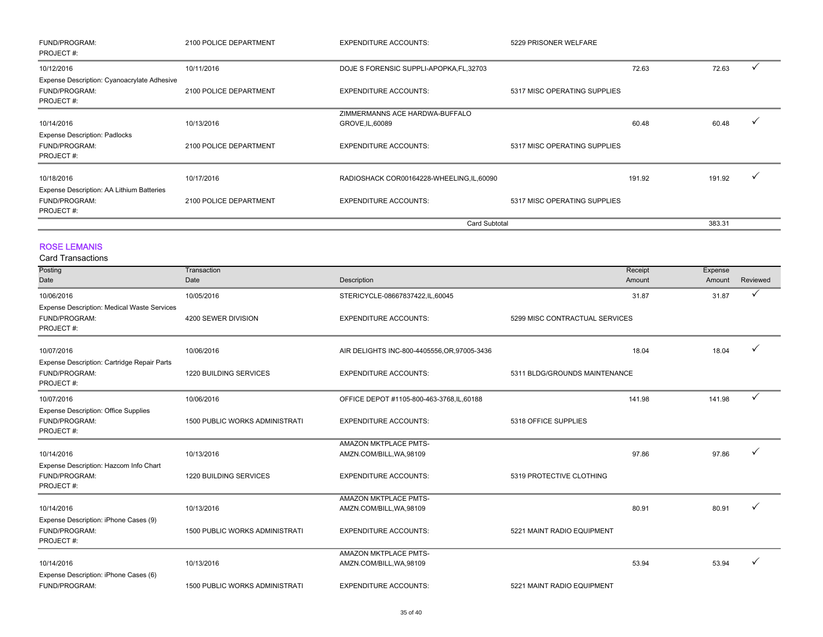| FUND/PROGRAM:<br>PROJECT#:                                         | 2100 POLICE DEPARTMENT | <b>EXPENDITURE ACCOUNTS:</b>             | 5229 PRISONER WELFARE        |        |        |  |
|--------------------------------------------------------------------|------------------------|------------------------------------------|------------------------------|--------|--------|--|
| 10/12/2016                                                         | 10/11/2016             | DOJE S FORENSIC SUPPLI-APOPKA, FL, 32703 |                              | 72.63  | 72.63  |  |
| Expense Description: Cyanoacrylate Adhesive                        |                        |                                          |                              |        |        |  |
| FUND/PROGRAM:<br>PROJECT#:                                         | 2100 POLICE DEPARTMENT | <b>EXPENDITURE ACCOUNTS:</b>             | 5317 MISC OPERATING SUPPLIES |        |        |  |
|                                                                    |                        | ZIMMERMANNS ACE HARDWA-BUFFALO           |                              |        |        |  |
| 10/14/2016                                                         | 10/13/2016             | GROVE, IL, 60089                         |                              | 60.48  | 60.48  |  |
| <b>Expense Description: Padlocks</b><br>FUND/PROGRAM:<br>PROJECT#: | 2100 POLICE DEPARTMENT | <b>EXPENDITURE ACCOUNTS:</b>             | 5317 MISC OPERATING SUPPLIES |        |        |  |
| 10/18/2016                                                         | 10/17/2016             | RADIOSHACK COR00164228-WHEELING,IL,60090 |                              | 191.92 | 191.92 |  |
| Expense Description: AA Lithium Batteries                          |                        |                                          |                              |        |        |  |
| FUND/PROGRAM:<br>PROJECT#:                                         | 2100 POLICE DEPARTMENT | <b>EXPENDITURE ACCOUNTS:</b>             | 5317 MISC OPERATING SUPPLIES |        |        |  |
|                                                                    |                        |                                          | <b>Card Subtotal</b>         |        | 383.31 |  |

ROSE LEMANIS

| <b>Card Transactions</b> |  |
|--------------------------|--|
|--------------------------|--|

| Posting                                     | Transaction                           |                                              | Receipt                        | Expense |              |
|---------------------------------------------|---------------------------------------|----------------------------------------------|--------------------------------|---------|--------------|
| Date                                        | Date                                  | Description                                  | Amount                         | Amount  | Reviewed     |
| 10/06/2016                                  | 10/05/2016                            | STERICYCLE-08667837422,IL,60045              | 31.87                          | 31.87   | ✓            |
| Expense Description: Medical Waste Services |                                       |                                              |                                |         |              |
| FUND/PROGRAM:                               | 4200 SEWER DIVISION                   | <b>EXPENDITURE ACCOUNTS:</b>                 | 5299 MISC CONTRACTUAL SERVICES |         |              |
| PROJECT#:                                   |                                       |                                              |                                |         |              |
| 10/07/2016                                  | 10/06/2016                            | AIR DELIGHTS INC-800-4405556, OR, 97005-3436 | 18.04                          | 18.04   |              |
| Expense Description: Cartridge Repair Parts |                                       |                                              |                                |         |              |
| FUND/PROGRAM:                               | 1220 BUILDING SERVICES                | <b>EXPENDITURE ACCOUNTS:</b>                 | 5311 BLDG/GROUNDS MAINTENANCE  |         |              |
| PROJECT#:                                   |                                       |                                              |                                |         |              |
| 10/07/2016                                  | 10/06/2016                            | OFFICE DEPOT #1105-800-463-3768,IL,60188     | 141.98                         | 141.98  | $\checkmark$ |
| <b>Expense Description: Office Supplies</b> |                                       |                                              |                                |         |              |
| FUND/PROGRAM:                               | 1500 PUBLIC WORKS ADMINISTRATI        | <b>EXPENDITURE ACCOUNTS:</b>                 | 5318 OFFICE SUPPLIES           |         |              |
| PROJECT#:                                   |                                       |                                              |                                |         |              |
|                                             |                                       | <b>AMAZON MKTPLACE PMTS-</b>                 |                                |         |              |
| 10/14/2016                                  | 10/13/2016                            | AMZN.COM/BILL, WA, 98109                     | 97.86                          | 97.86   |              |
| Expense Description: Hazcom Info Chart      |                                       |                                              |                                |         |              |
| FUND/PROGRAM:                               | 1220 BUILDING SERVICES                | <b>EXPENDITURE ACCOUNTS:</b>                 | 5319 PROTECTIVE CLOTHING       |         |              |
| PROJECT#:                                   |                                       |                                              |                                |         |              |
|                                             |                                       | <b>AMAZON MKTPLACE PMTS-</b>                 |                                |         |              |
| 10/14/2016                                  | 10/13/2016                            | AMZN.COM/BILL, WA, 98109                     | 80.91                          | 80.91   |              |
| Expense Description: iPhone Cases (9)       |                                       |                                              |                                |         |              |
| FUND/PROGRAM:<br>PROJECT#:                  | 1500 PUBLIC WORKS ADMINISTRATI        | <b>EXPENDITURE ACCOUNTS:</b>                 | 5221 MAINT RADIO EQUIPMENT     |         |              |
|                                             |                                       | <b>AMAZON MKTPLACE PMTS-</b>                 |                                |         |              |
| 10/14/2016                                  | 10/13/2016                            | AMZN.COM/BILL, WA, 98109                     | 53.94                          | 53.94   | ✓            |
| Expense Description: iPhone Cases (6)       |                                       |                                              |                                |         |              |
| FUND/PROGRAM:                               | <b>1500 PUBLIC WORKS ADMINISTRATI</b> | <b>EXPENDITURE ACCOUNTS:</b>                 | 5221 MAINT RADIO EQUIPMENT     |         |              |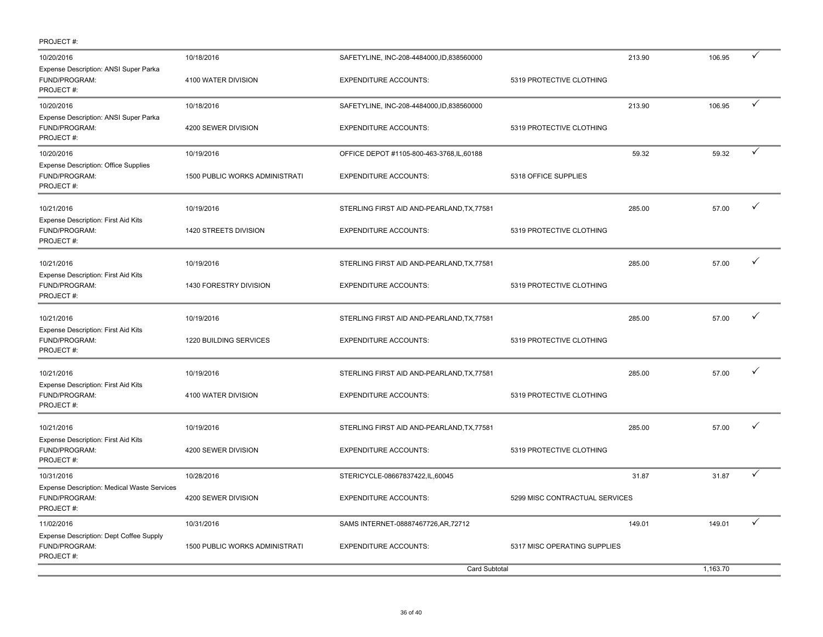| PROJECT#:                                                                        |                                |                                            |                                |        |          |   |
|----------------------------------------------------------------------------------|--------------------------------|--------------------------------------------|--------------------------------|--------|----------|---|
| 10/20/2016                                                                       | 10/18/2016                     | SAFETYLINE, INC-208-4484000,ID,838560000   |                                | 213.90 | 106.95   | ✓ |
| Expense Description: ANSI Super Parka<br>FUND/PROGRAM:<br>PROJECT#:              | 4100 WATER DIVISION            | <b>EXPENDITURE ACCOUNTS:</b>               | 5319 PROTECTIVE CLOTHING       |        |          |   |
| 10/20/2016                                                                       | 10/18/2016                     | SAFETYLINE, INC-208-4484000, ID, 838560000 |                                | 213.90 | 106.95   | ✓ |
| Expense Description: ANSI Super Parka<br>FUND/PROGRAM:<br>PROJECT#:              | 4200 SEWER DIVISION            | <b>EXPENDITURE ACCOUNTS:</b>               | 5319 PROTECTIVE CLOTHING       |        |          |   |
| 10/20/2016                                                                       | 10/19/2016                     | OFFICE DEPOT #1105-800-463-3768, IL, 60188 |                                | 59.32  | 59.32    |   |
| Expense Description: Office Supplies<br>FUND/PROGRAM:<br>PROJECT#:               | 1500 PUBLIC WORKS ADMINISTRATI | <b>EXPENDITURE ACCOUNTS:</b>               | 5318 OFFICE SUPPLIES           |        |          |   |
| 10/21/2016                                                                       | 10/19/2016                     | STERLING FIRST AID AND-PEARLAND, TX, 77581 |                                | 285.00 | 57.00    | ✓ |
| Expense Description: First Aid Kits<br>FUND/PROGRAM:<br>PROJECT#:                | 1420 STREETS DIVISION          | <b>EXPENDITURE ACCOUNTS:</b>               | 5319 PROTECTIVE CLOTHING       |        |          |   |
| 10/21/2016                                                                       | 10/19/2016                     | STERLING FIRST AID AND-PEARLAND, TX, 77581 |                                | 285.00 | 57.00    | ✓ |
| Expense Description: First Aid Kits<br>FUND/PROGRAM:<br>PROJECT#:                | 1430 FORESTRY DIVISION         | <b>EXPENDITURE ACCOUNTS:</b>               | 5319 PROTECTIVE CLOTHING       |        |          |   |
| 10/21/2016                                                                       | 10/19/2016                     | STERLING FIRST AID AND-PEARLAND, TX, 77581 |                                | 285.00 | 57.00    | ✓ |
| Expense Description: First Aid Kits<br>FUND/PROGRAM:<br>PROJECT#:                | 1220 BUILDING SERVICES         | <b>EXPENDITURE ACCOUNTS:</b>               | 5319 PROTECTIVE CLOTHING       |        |          |   |
| 10/21/2016                                                                       | 10/19/2016                     | STERLING FIRST AID AND-PEARLAND, TX, 77581 |                                | 285.00 | 57.00    | ✓ |
| Expense Description: First Aid Kits<br>FUND/PROGRAM:<br>PROJECT#:                | 4100 WATER DIVISION            | <b>EXPENDITURE ACCOUNTS:</b>               | 5319 PROTECTIVE CLOTHING       |        |          |   |
| 10/21/2016                                                                       | 10/19/2016                     | STERLING FIRST AID AND-PEARLAND, TX, 77581 |                                | 285.00 | 57.00    | ✓ |
| Expense Description: First Aid Kits<br>FUND/PROGRAM:<br>PROJECT#:                | 4200 SEWER DIVISION            | <b>EXPENDITURE ACCOUNTS:</b>               | 5319 PROTECTIVE CLOTHING       |        |          |   |
| 10/31/2016                                                                       | 10/28/2016                     | STERICYCLE-08667837422,IL,60045            |                                | 31.87  | 31.87    |   |
| <b>Expense Description: Medical Waste Services</b><br>FUND/PROGRAM:<br>PROJECT#: | 4200 SEWER DIVISION            | <b>EXPENDITURE ACCOUNTS:</b>               | 5299 MISC CONTRACTUAL SERVICES |        |          |   |
| 11/02/2016                                                                       | 10/31/2016                     | SAMS INTERNET-08887467726, AR, 72712       |                                | 149.01 | 149.01   | ✓ |
| Expense Description: Dept Coffee Supply<br>FUND/PROGRAM:<br>PROJECT#:            | 1500 PUBLIC WORKS ADMINISTRATI | <b>EXPENDITURE ACCOUNTS:</b>               | 5317 MISC OPERATING SUPPLIES   |        |          |   |
|                                                                                  |                                | <b>Card Subtotal</b>                       |                                |        | 1,163.70 |   |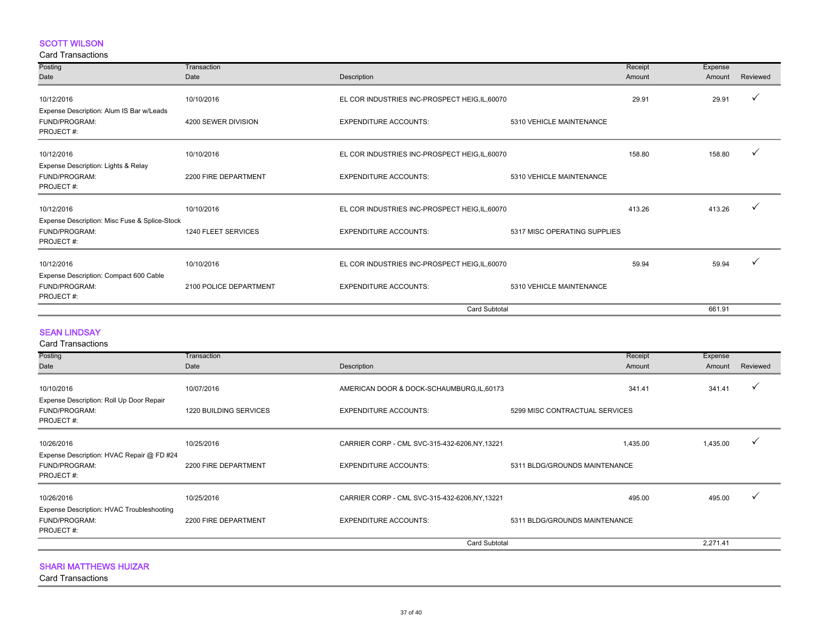#### SCOTT WILSON

#### Card Transactions

| Posting                                                           | Transaction            |                                                |                              | Receipt | Expense |          |
|-------------------------------------------------------------------|------------------------|------------------------------------------------|------------------------------|---------|---------|----------|
| Date                                                              | Date                   | Description                                    |                              | Amount  | Amount  | Reviewed |
|                                                                   |                        |                                                |                              |         |         |          |
| 10/12/2016                                                        | 10/10/2016             | EL COR INDUSTRIES INC-PROSPECT HEIG, IL, 60070 |                              | 29.91   | 29.91   |          |
| Expense Description: Alum IS Bar w/Leads                          |                        |                                                |                              |         |         |          |
| FUND/PROGRAM:<br>PROJECT#:                                        | 4200 SEWER DIVISION    | <b>EXPENDITURE ACCOUNTS:</b>                   | 5310 VEHICLE MAINTENANCE     |         |         |          |
| 10/12/2016                                                        | 10/10/2016             | EL COR INDUSTRIES INC-PROSPECT HEIG, IL, 60070 |                              | 158.80  | 158.80  |          |
| Expense Description: Lights & Relay<br>FUND/PROGRAM:<br>PROJECT#: | 2200 FIRE DEPARTMENT   | <b>EXPENDITURE ACCOUNTS:</b>                   | 5310 VEHICLE MAINTENANCE     |         |         |          |
| 10/12/2016                                                        | 10/10/2016             | EL COR INDUSTRIES INC-PROSPECT HEIG, IL, 60070 |                              | 413.26  | 413.26  |          |
| Expense Description: Misc Fuse & Splice-Stock                     |                        |                                                |                              |         |         |          |
| FUND/PROGRAM:<br>PROJECT#:                                        | 1240 FLEET SERVICES    | <b>EXPENDITURE ACCOUNTS:</b>                   | 5317 MISC OPERATING SUPPLIES |         |         |          |
| 10/12/2016                                                        | 10/10/2016             | EL COR INDUSTRIES INC-PROSPECT HEIG, IL, 60070 |                              | 59.94   | 59.94   |          |
| Expense Description: Compact 600 Cable                            |                        |                                                |                              |         |         |          |
| FUND/PROGRAM:<br>PROJECT#:                                        | 2100 POLICE DEPARTMENT | <b>EXPENDITURE ACCOUNTS:</b>                   | 5310 VEHICLE MAINTENANCE     |         |         |          |
|                                                                   |                        | Card Subtotal                                  |                              |         | 661.91  |          |

#### SEAN LINDSAY

| <b>Card Transactions</b>                                                |                        |                                                |                                |          |              |
|-------------------------------------------------------------------------|------------------------|------------------------------------------------|--------------------------------|----------|--------------|
| Posting                                                                 | Transaction            |                                                | Receipt                        | Expense  |              |
| Date                                                                    | Date                   | Description                                    | Amount                         | Amount   | Reviewed     |
| 10/10/2016<br>Expense Description: Roll Up Door Repair                  | 10/07/2016             | AMERICAN DOOR & DOCK-SCHAUMBURG, IL, 60173     | 341.41                         | 341.41   |              |
| FUND/PROGRAM:<br>PROJECT#:                                              | 1220 BUILDING SERVICES | <b>EXPENDITURE ACCOUNTS:</b>                   | 5299 MISC CONTRACTUAL SERVICES |          |              |
| 10/26/2016                                                              | 10/25/2016             | CARRIER CORP - CML SVC-315-432-6206, NY, 13221 | 1,435.00                       | 1,435.00 | $\checkmark$ |
| Expense Description: HVAC Repair @ FD #24<br>FUND/PROGRAM:<br>PROJECT#: | 2200 FIRE DEPARTMENT   | <b>EXPENDITURE ACCOUNTS:</b>                   | 5311 BLDG/GROUNDS MAINTENANCE  |          |              |
| 10/26/2016                                                              | 10/25/2016             | CARRIER CORP - CML SVC-315-432-6206, NY, 13221 | 495.00                         | 495.00   |              |
| Expense Description: HVAC Troubleshooting<br>FUND/PROGRAM:<br>PROJECT#: | 2200 FIRE DEPARTMENT   | <b>EXPENDITURE ACCOUNTS:</b>                   | 5311 BLDG/GROUNDS MAINTENANCE  |          |              |
|                                                                         |                        | <b>Card Subtotal</b>                           |                                | 2,271.41 |              |

SHARI MATTHEWS HUIZAR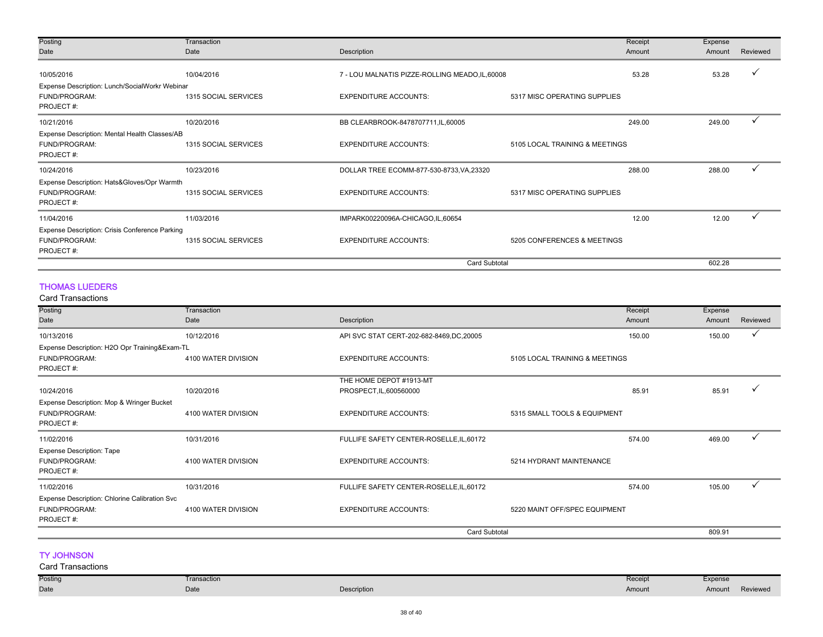| Posting                                        | Transaction          |                                                 | Receipt                        | Expense |              |
|------------------------------------------------|----------------------|-------------------------------------------------|--------------------------------|---------|--------------|
| Date                                           | Date                 | Description                                     | Amount                         | Amount  | Reviewed     |
|                                                |                      |                                                 |                                |         |              |
| 10/05/2016                                     | 10/04/2016           | 7 - LOU MALNATIS PIZZE-ROLLING MEADO, IL, 60008 | 53.28                          | 53.28   |              |
| Expense Description: Lunch/SocialWorkr Webinar |                      |                                                 |                                |         |              |
| FUND/PROGRAM:                                  | 1315 SOCIAL SERVICES | <b>EXPENDITURE ACCOUNTS:</b>                    | 5317 MISC OPERATING SUPPLIES   |         |              |
| PROJECT#:                                      |                      |                                                 |                                |         |              |
| 10/21/2016                                     | 10/20/2016           | BB CLEARBROOK-8478707711, IL, 60005             | 249.00                         | 249.00  | $\checkmark$ |
| Expense Description: Mental Health Classes/AB  |                      |                                                 |                                |         |              |
| FUND/PROGRAM:                                  | 1315 SOCIAL SERVICES | <b>EXPENDITURE ACCOUNTS:</b>                    | 5105 LOCAL TRAINING & MEETINGS |         |              |
| PROJECT#:                                      |                      |                                                 |                                |         |              |
| 10/24/2016                                     | 10/23/2016           | DOLLAR TREE ECOMM-877-530-8733, VA, 23320       | 288.00                         | 288.00  | $\checkmark$ |
| Expense Description: Hats&Gloves/Opr Warmth    |                      |                                                 |                                |         |              |
| FUND/PROGRAM:                                  | 1315 SOCIAL SERVICES | <b>EXPENDITURE ACCOUNTS:</b>                    | 5317 MISC OPERATING SUPPLIES   |         |              |
| PROJECT#:                                      |                      |                                                 |                                |         |              |
| 11/04/2016                                     | 11/03/2016           | IMPARK00220096A-CHICAGO,IL,60654                | 12.00                          | 12.00   |              |
| Expense Description: Crisis Conference Parking |                      |                                                 |                                |         |              |
| FUND/PROGRAM:                                  | 1315 SOCIAL SERVICES | <b>EXPENDITURE ACCOUNTS:</b>                    | 5205 CONFERENCES & MEETINGS    |         |              |
| PROJECT#:                                      |                      |                                                 |                                |         |              |
|                                                |                      |                                                 | <b>Card Subtotal</b>           | 602.28  |              |

#### THOMAS LUEDERS

Card Transactions

| Galu Tidlisactions                            |                     |                                          |                                |         |          |
|-----------------------------------------------|---------------------|------------------------------------------|--------------------------------|---------|----------|
| Posting                                       | Transaction         |                                          | Receipt                        | Expense |          |
| Date                                          | Date                | Description                              | Amount                         | Amount  | Reviewed |
| 10/13/2016                                    | 10/12/2016          | API SVC STAT CERT-202-682-8469,DC,20005  | 150.00                         | 150.00  | ✓        |
| Expense Description: H2O Opr Training&Exam-TL |                     |                                          |                                |         |          |
| FUND/PROGRAM:                                 | 4100 WATER DIVISION | <b>EXPENDITURE ACCOUNTS:</b>             | 5105 LOCAL TRAINING & MEETINGS |         |          |
| PROJECT#:                                     |                     |                                          |                                |         |          |
|                                               |                     | THE HOME DEPOT #1913-MT                  |                                |         |          |
| 10/24/2016                                    | 10/20/2016          | PROSPECT, IL, 600560000                  | 85.91                          | 85.91   |          |
| Expense Description: Mop & Wringer Bucket     |                     |                                          |                                |         |          |
| FUND/PROGRAM:                                 | 4100 WATER DIVISION | <b>EXPENDITURE ACCOUNTS:</b>             | 5315 SMALL TOOLS & EQUIPMENT   |         |          |
| PROJECT#:                                     |                     |                                          |                                |         |          |
| 11/02/2016                                    | 10/31/2016          | FULLIFE SAFETY CENTER-ROSELLE, IL, 60172 | 574.00                         | 469.00  |          |
| <b>Expense Description: Tape</b>              |                     |                                          |                                |         |          |
| FUND/PROGRAM:                                 | 4100 WATER DIVISION | <b>EXPENDITURE ACCOUNTS:</b>             | 5214 HYDRANT MAINTENANCE       |         |          |
| PROJECT#:                                     |                     |                                          |                                |         |          |
| 11/02/2016                                    | 10/31/2016          | FULLIFE SAFETY CENTER-ROSELLE, IL, 60172 | 574.00                         | 105.00  |          |
| Expense Description: Chlorine Calibration Svc |                     |                                          |                                |         |          |
| FUND/PROGRAM:                                 | 4100 WATER DIVISION | <b>EXPENDITURE ACCOUNTS:</b>             | 5220 MAINT OFF/SPEC EQUIPMENT  |         |          |
| PROJECT#:                                     |                     |                                          |                                |         |          |
|                                               |                     | Card Subtotal                            |                                | 809.91  |          |

#### TY JOHNSON

#### Posting Date Transaction Date **Description** Receipt Amount Expense Amount Reviewed Card Transactions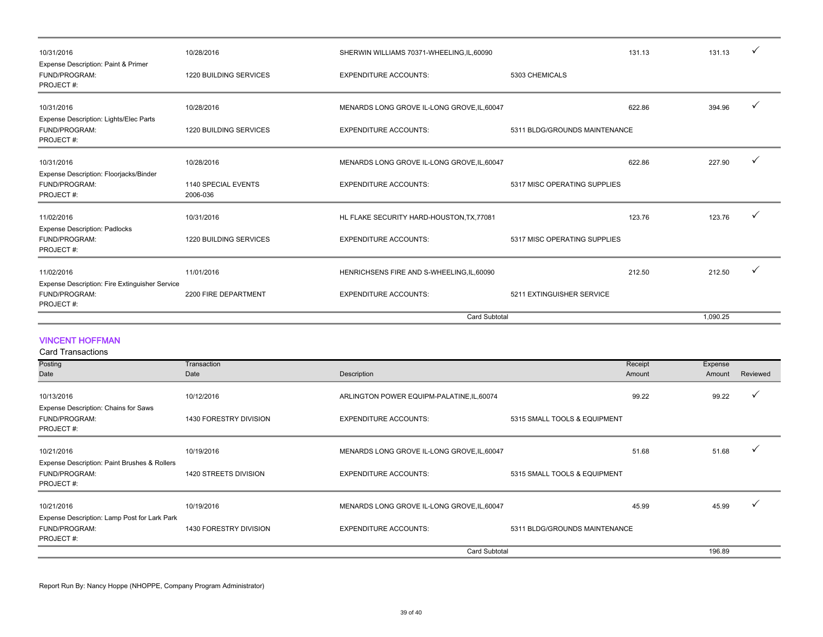| 10/31/2016                                                                   | 10/28/2016                      | SHERWIN WILLIAMS 70371-WHEELING, IL, 60090  |                               | 131.13 | 131.13   |  |
|------------------------------------------------------------------------------|---------------------------------|---------------------------------------------|-------------------------------|--------|----------|--|
| Expense Description: Paint & Primer<br>FUND/PROGRAM:<br>PROJECT#:            | 1220 BUILDING SERVICES          | <b>EXPENDITURE ACCOUNTS:</b>                | 5303 CHEMICALS                |        |          |  |
| 10/31/2016                                                                   | 10/28/2016                      | MENARDS LONG GROVE IL-LONG GROVE, IL, 60047 |                               | 622.86 | 394.96   |  |
| Expense Description: Lights/Elec Parts<br>FUND/PROGRAM:<br>PROJECT#:         | 1220 BUILDING SERVICES          | <b>EXPENDITURE ACCOUNTS:</b>                | 5311 BLDG/GROUNDS MAINTENANCE |        |          |  |
| 10/31/2016                                                                   | 10/28/2016                      | MENARDS LONG GROVE IL-LONG GROVE, IL, 60047 |                               | 622.86 | 227.90   |  |
| Expense Description: Floorjacks/Binder<br>FUND/PROGRAM:<br>PROJECT#:         | 1140 SPECIAL EVENTS<br>2006-036 | <b>EXPENDITURE ACCOUNTS:</b>                | 5317 MISC OPERATING SUPPLIES  |        |          |  |
| 11/02/2016                                                                   | 10/31/2016                      | HL FLAKE SECURITY HARD-HOUSTON, TX, 77081   |                               | 123.76 | 123.76   |  |
| <b>Expense Description: Padlocks</b><br>FUND/PROGRAM:<br>PROJECT#:           | 1220 BUILDING SERVICES          | <b>EXPENDITURE ACCOUNTS:</b>                | 5317 MISC OPERATING SUPPLIES  |        |          |  |
| 11/02/2016                                                                   | 11/01/2016                      | HENRICHSENS FIRE AND S-WHEELING, IL, 60090  |                               | 212.50 | 212.50   |  |
| Expense Description: Fire Extinguisher Service<br>FUND/PROGRAM:<br>PROJECT#: | 2200 FIRE DEPARTMENT            | <b>EXPENDITURE ACCOUNTS:</b>                | 5211 EXTINGUISHER SERVICE     |        |          |  |
|                                                                              |                                 | <b>Card Subtotal</b>                        |                               |        | 1.090.25 |  |

#### VINCENT HOFFMAN

Card Transactions

| Posting                                                                    | Transaction            |                                                              |                               | Receipt | Expense |          |
|----------------------------------------------------------------------------|------------------------|--------------------------------------------------------------|-------------------------------|---------|---------|----------|
| Date                                                                       | Date                   | Description                                                  |                               | Amount  | Amount  | Reviewed |
| 10/13/2016                                                                 | 10/12/2016             | ARLINGTON POWER EQUIPM-PALATINE, IL, 60074                   |                               | 99.22   | 99.22   | ✓        |
| Expense Description: Chains for Saws<br>FUND/PROGRAM:<br>PROJECT#:         | 1430 FORESTRY DIVISION | <b>EXPENDITURE ACCOUNTS:</b><br>5315 SMALL TOOLS & EQUIPMENT |                               |         |         |          |
| 10/21/2016                                                                 | 10/19/2016             | MENARDS LONG GROVE IL-LONG GROVE, IL, 60047                  |                               | 51.68   | 51.68   |          |
| Expense Description: Paint Brushes & Rollers<br>FUND/PROGRAM:<br>PROJECT#: | 1420 STREETS DIVISION  | <b>EXPENDITURE ACCOUNTS:</b><br>5315 SMALL TOOLS & EQUIPMENT |                               |         |         |          |
| 10/21/2016                                                                 | 10/19/2016             | MENARDS LONG GROVE IL-LONG GROVE, IL, 60047                  |                               | 45.99   | 45.99   |          |
| Expense Description: Lamp Post for Lark Park                               |                        |                                                              |                               |         |         |          |
| FUND/PROGRAM:<br>PROJECT#:                                                 | 1430 FORESTRY DIVISION | <b>EXPENDITURE ACCOUNTS:</b>                                 | 5311 BLDG/GROUNDS MAINTENANCE |         |         |          |
|                                                                            |                        | <b>Card Subtotal</b>                                         |                               |         | 196.89  |          |

Report Run By: Nancy Hoppe (NHOPPE, Company Program Administrator)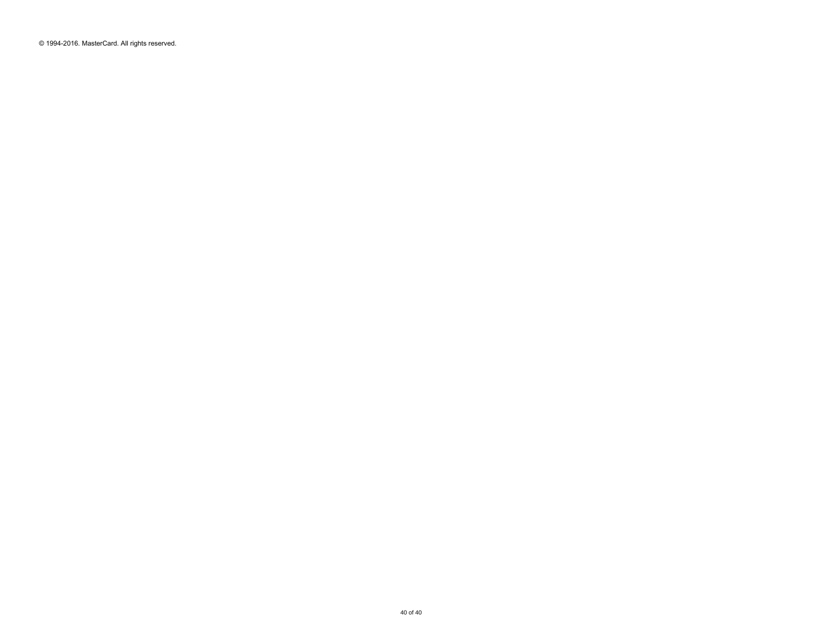© 1994-2016. MasterCard. All rights reserved.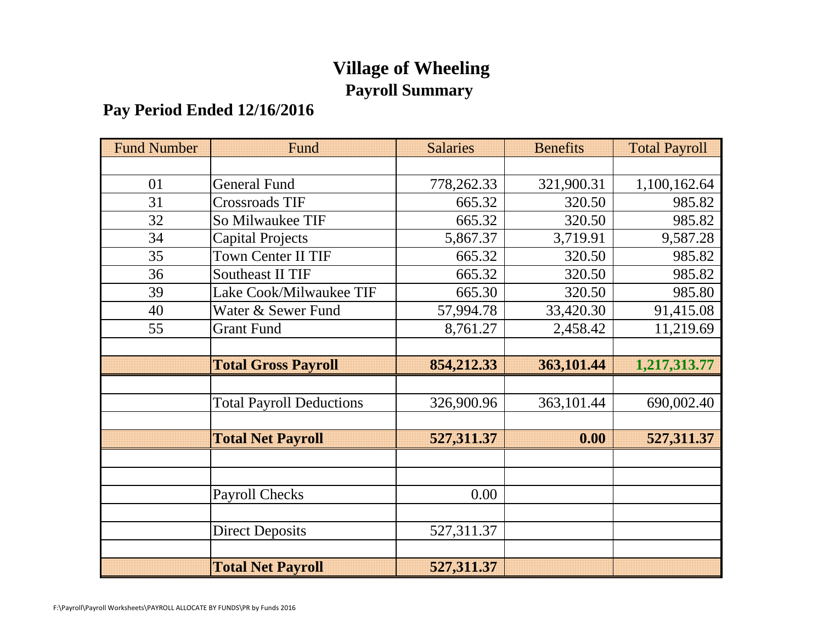# **Village of Wheeling Payroll Summary**

# **Pay Period Ended 12/16/2016**

| <b>Fund Number</b> | Fund                            | <b>Salaries</b> | <b>Benefits</b> | <b>Total Payroll</b> |
|--------------------|---------------------------------|-----------------|-----------------|----------------------|
|                    |                                 |                 |                 |                      |
| 01                 | <b>General Fund</b>             | 778,262.33      | 321,900.31      | 1,100,162.64         |
| 31                 | <b>Crossroads TIF</b>           | 665.32          | 320.50          | 985.82               |
| 32                 | So Milwaukee TIF                | 665.32          | 320.50          | 985.82               |
| 34                 | <b>Capital Projects</b>         | 5,867.37        | 3,719.91        | 9,587.28             |
| 35                 | <b>Town Center II TIF</b>       | 665.32          | 320.50          | 985.82               |
| 36                 | <b>Southeast II TIF</b>         | 665.32          | 320.50          | 985.82               |
| 39                 | Lake Cook/Milwaukee TIF         | 665.30          | 320.50          | 985.80               |
| 40                 | Water & Sewer Fund              | 57,994.78       | 33,420.30       | 91,415.08            |
| 55                 | <b>Grant Fund</b>               | 8,761.27        | 2,458.42        | 11,219.69            |
|                    |                                 |                 |                 |                      |
|                    | <b>Total Gross Payroll</b>      | 854,212.33      | 363,101.44      | 1,217,313.77         |
|                    |                                 |                 |                 |                      |
|                    | <b>Total Payroll Deductions</b> | 326,900.96      | 363,101.44      | 690,002.40           |
|                    |                                 |                 |                 |                      |
|                    | <b>Total Net Payroll</b>        | 527,311.37      | 0.00            | 527,311.37           |
|                    |                                 |                 |                 |                      |
|                    |                                 |                 |                 |                      |
|                    | <b>Payroll Checks</b>           | 0.00            |                 |                      |
|                    |                                 |                 |                 |                      |
|                    | <b>Direct Deposits</b>          | 527,311.37      |                 |                      |
|                    |                                 |                 |                 |                      |
|                    | <b>Total Net Payroll</b>        | 527,311.37      |                 |                      |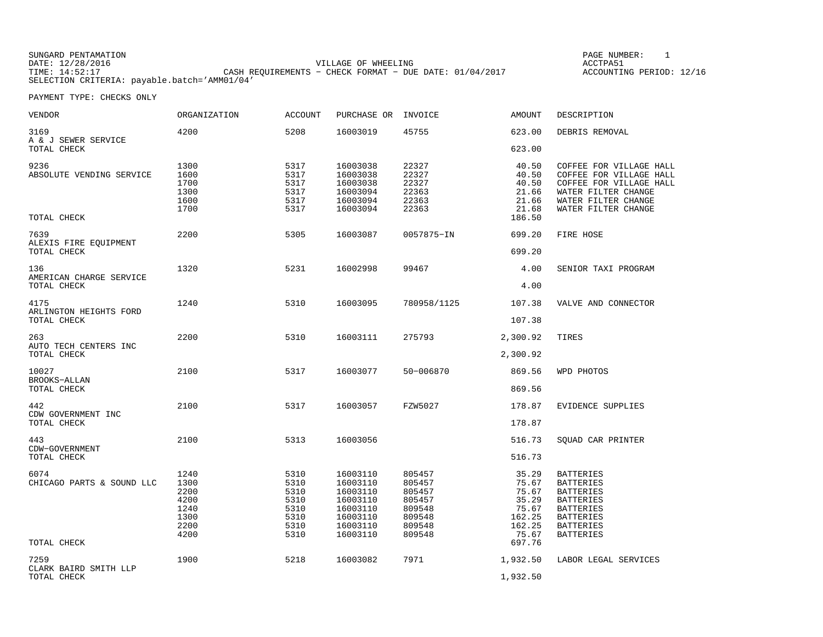| SUNGARD PENTAMATION |                                                           | PAGE NUMBER:             |
|---------------------|-----------------------------------------------------------|--------------------------|
| DATE: 12/28/2016    | VILLAGE OF WHEELING                                       | ACCTPA51                 |
| TIME: 14:52:17      | CASH REOUIREMENTS - CHECK FORMAT - DUE DATE: $01/04/2017$ | ACCOUNTING PERIOD: 12/16 |
|                     | SELECTION CRITERIA: payable.batch='AMM01/04'              |                          |

PAGE NUMBER: 1

| VENDOR                                       | ORGANIZATION                                                 | <b>ACCOUNT</b>                                               | PURCHASE OR                                                                                  | INVOICE                                                                      | AMOUNT                                                                 | DESCRIPTION                                                                                                                                           |
|----------------------------------------------|--------------------------------------------------------------|--------------------------------------------------------------|----------------------------------------------------------------------------------------------|------------------------------------------------------------------------------|------------------------------------------------------------------------|-------------------------------------------------------------------------------------------------------------------------------------------------------|
| 3169<br>A & J SEWER SERVICE                  | 4200                                                         | 5208                                                         | 16003019                                                                                     | 45755                                                                        | 623.00                                                                 | DEBRIS REMOVAL                                                                                                                                        |
| TOTAL CHECK                                  |                                                              |                                                              |                                                                                              |                                                                              | 623.00                                                                 |                                                                                                                                                       |
| 9236<br>ABSOLUTE VENDING SERVICE             | 1300<br>1600<br>1700<br>1300<br>1600<br>1700                 | 5317<br>5317<br>5317<br>5317<br>5317<br>5317                 | 16003038<br>16003038<br>16003038<br>16003094<br>16003094<br>16003094                         | 22327<br>22327<br>22327<br>22363<br>22363<br>22363                           | 40.50<br>40.50<br>40.50<br>21.66<br>21.66<br>21.68                     | COFFEE FOR VILLAGE HALL<br>COFFEE FOR VILLAGE HALL<br>COFFEE FOR VILLAGE HALL<br>WATER FILTER CHANGE<br>WATER FILTER CHANGE<br>WATER FILTER CHANGE    |
| TOTAL CHECK                                  |                                                              |                                                              |                                                                                              |                                                                              | 186.50                                                                 |                                                                                                                                                       |
| 7639<br>ALEXIS FIRE EQUIPMENT                | 2200                                                         | 5305                                                         | 16003087                                                                                     | 0057875-IN                                                                   | 699.20                                                                 | FIRE HOSE                                                                                                                                             |
| TOTAL CHECK                                  |                                                              |                                                              |                                                                                              |                                                                              | 699.20                                                                 |                                                                                                                                                       |
| 136<br>AMERICAN CHARGE SERVICE               | 1320                                                         | 5231                                                         | 16002998                                                                                     | 99467                                                                        | 4.00                                                                   | SENIOR TAXI PROGRAM                                                                                                                                   |
| TOTAL CHECK                                  |                                                              |                                                              |                                                                                              |                                                                              | 4.00                                                                   |                                                                                                                                                       |
| 4175<br>ARLINGTON HEIGHTS FORD               | 1240                                                         | 5310                                                         | 16003095                                                                                     | 780958/1125                                                                  | 107.38                                                                 | VALVE AND CONNECTOR                                                                                                                                   |
| TOTAL CHECK                                  |                                                              |                                                              |                                                                                              |                                                                              | 107.38                                                                 |                                                                                                                                                       |
| 263                                          | 2200                                                         | 5310                                                         | 16003111                                                                                     | 275793                                                                       | 2,300.92                                                               | TIRES                                                                                                                                                 |
| AUTO TECH CENTERS INC<br>TOTAL CHECK         |                                                              |                                                              |                                                                                              |                                                                              | 2,300.92                                                               |                                                                                                                                                       |
| 10027                                        | 2100                                                         | 5317                                                         | 16003077                                                                                     | 50-006870                                                                    | 869.56                                                                 | WPD PHOTOS                                                                                                                                            |
| BROOKS-ALLAN<br>TOTAL CHECK                  |                                                              |                                                              |                                                                                              |                                                                              | 869.56                                                                 |                                                                                                                                                       |
| 442                                          | 2100                                                         | 5317                                                         | 16003057                                                                                     | FZW5027                                                                      | 178.87                                                                 | EVIDENCE SUPPLIES                                                                                                                                     |
| CDW GOVERNMENT INC<br>TOTAL CHECK            |                                                              |                                                              |                                                                                              |                                                                              | 178.87                                                                 |                                                                                                                                                       |
| 443<br>CDW-GOVERNMENT                        | 2100                                                         | 5313                                                         | 16003056                                                                                     |                                                                              | 516.73                                                                 | SQUAD CAR PRINTER                                                                                                                                     |
| TOTAL CHECK                                  |                                                              |                                                              |                                                                                              |                                                                              | 516.73                                                                 |                                                                                                                                                       |
| 6074<br>CHICAGO PARTS & SOUND LLC            | 1240<br>1300<br>2200<br>4200<br>1240<br>1300<br>2200<br>4200 | 5310<br>5310<br>5310<br>5310<br>5310<br>5310<br>5310<br>5310 | 16003110<br>16003110<br>16003110<br>16003110<br>16003110<br>16003110<br>16003110<br>16003110 | 805457<br>805457<br>805457<br>805457<br>809548<br>809548<br>809548<br>809548 | 35.29<br>75.67<br>75.67<br>35.29<br>75.67<br>162.25<br>162.25<br>75.67 | <b>BATTERIES</b><br><b>BATTERIES</b><br><b>BATTERIES</b><br><b>BATTERIES</b><br>BATTERIES<br><b>BATTERIES</b><br><b>BATTERIES</b><br><b>BATTERIES</b> |
| TOTAL CHECK                                  |                                                              |                                                              |                                                                                              |                                                                              | 697.76                                                                 |                                                                                                                                                       |
| 7259<br>CLARK BAIRD SMITH LLP<br>TOTAL CHECK | 1900                                                         | 5218                                                         | 16003082                                                                                     | 7971                                                                         | 1,932.50<br>1,932.50                                                   | LABOR LEGAL SERVICES                                                                                                                                  |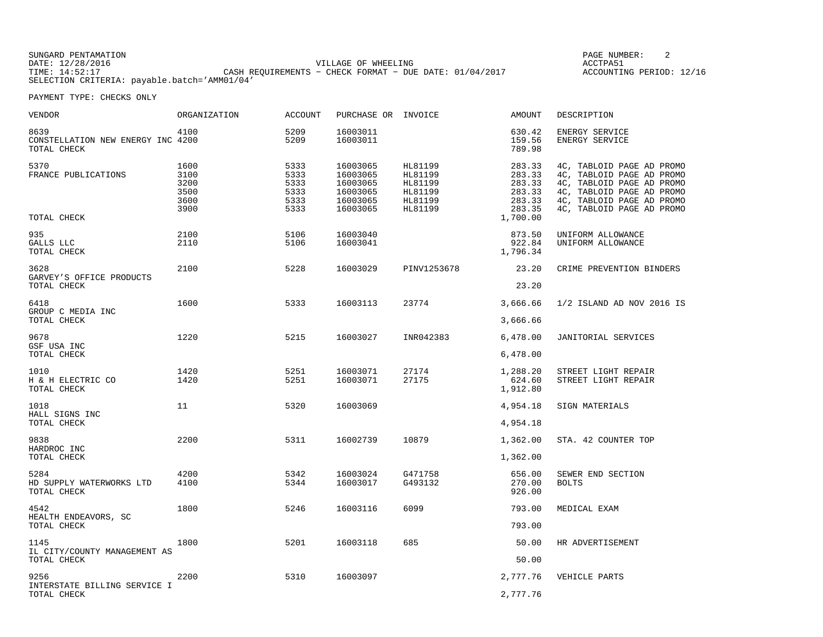SUNGARD PENTAMATION SUNGARD PENTAMATION SUNG PAGE NUMBER: 2 VILLAGE OF WHEELING **ACCTPA51** TIME: 14:52:17 CASH REQUIREMENTS − CHECK FORMAT − DUE DATE: 01/04/2017 SELECTION CRITERIA: payable.batch='AMM01/04'

ACCOUNTING PERIOD: 12/16

| VENDOR                                                   | ORGANIZATION                                 | <b>ACCOUNT</b>                               | PURCHASE OR INVOICE                                                  |                                                                | <b>AMOUNT</b>                                            | DESCRIPTION                                                                                                                                                                |
|----------------------------------------------------------|----------------------------------------------|----------------------------------------------|----------------------------------------------------------------------|----------------------------------------------------------------|----------------------------------------------------------|----------------------------------------------------------------------------------------------------------------------------------------------------------------------------|
| 8639<br>CONSTELLATION NEW ENERGY INC 4200<br>TOTAL CHECK | 4100                                         | 5209<br>5209                                 | 16003011<br>16003011                                                 |                                                                | 630.42<br>159.56<br>789.98                               | ENERGY SERVICE<br>ENERGY SERVICE                                                                                                                                           |
| 5370<br>FRANCE PUBLICATIONS                              | 1600<br>3100<br>3200<br>3500<br>3600<br>3900 | 5333<br>5333<br>5333<br>5333<br>5333<br>5333 | 16003065<br>16003065<br>16003065<br>16003065<br>16003065<br>16003065 | HL81199<br>HL81199<br>HL81199<br>HL81199<br>HL81199<br>HL81199 | 283.33<br>283.33<br>283.33<br>283.33<br>283.33<br>283.35 | 4C, TABLOID PAGE AD PROMO<br>4C, TABLOID PAGE AD PROMO<br>4C, TABLOID PAGE AD PROMO<br>4C, TABLOID PAGE AD PROMO<br>4C, TABLOID PAGE AD PROMO<br>4C, TABLOID PAGE AD PROMO |
| TOTAL CHECK                                              |                                              |                                              |                                                                      |                                                                | 1,700.00                                                 |                                                                                                                                                                            |
| 935<br>GALLS LLC<br>TOTAL CHECK                          | 2100<br>2110                                 | 5106<br>5106                                 | 16003040<br>16003041                                                 |                                                                | 873.50<br>922.84<br>1,796.34                             | UNIFORM ALLOWANCE<br>UNIFORM ALLOWANCE                                                                                                                                     |
| 3628                                                     | 2100                                         | 5228                                         | 16003029                                                             | PINV1253678                                                    | 23.20                                                    | CRIME PREVENTION BINDERS                                                                                                                                                   |
| GARVEY'S OFFICE PRODUCTS<br>TOTAL CHECK                  |                                              |                                              |                                                                      |                                                                | 23.20                                                    |                                                                                                                                                                            |
| 6418                                                     | 1600                                         | 5333                                         | 16003113                                                             | 23774                                                          | 3,666.66                                                 | 1/2 ISLAND AD NOV 2016 IS                                                                                                                                                  |
| GROUP C MEDIA INC<br>TOTAL CHECK                         |                                              |                                              |                                                                      |                                                                | 3,666.66                                                 |                                                                                                                                                                            |
| 9678                                                     | 1220                                         | 5215                                         | 16003027                                                             | INR042383                                                      | 6,478.00                                                 | JANITORIAL SERVICES                                                                                                                                                        |
| GSF USA INC<br>TOTAL CHECK                               |                                              |                                              |                                                                      |                                                                | 6,478.00                                                 |                                                                                                                                                                            |
| 1010<br>H & H ELECTRIC CO<br>TOTAL CHECK                 | 1420<br>1420                                 | 5251<br>5251                                 | 16003071<br>16003071                                                 | 27174<br>27175                                                 | 1,288.20<br>624.60<br>1,912.80                           | STREET LIGHT REPAIR<br>STREET LIGHT REPAIR                                                                                                                                 |
| 1018                                                     | 11                                           | 5320                                         | 16003069                                                             |                                                                | 4,954.18                                                 | SIGN MATERIALS                                                                                                                                                             |
| HALL SIGNS INC<br>TOTAL CHECK                            |                                              |                                              |                                                                      |                                                                | 4,954.18                                                 |                                                                                                                                                                            |
| 9838                                                     | 2200                                         | 5311                                         | 16002739                                                             | 10879                                                          | 1,362.00                                                 | STA. 42 COUNTER TOP                                                                                                                                                        |
| HARDROC INC<br>TOTAL CHECK                               |                                              |                                              |                                                                      |                                                                | 1,362.00                                                 |                                                                                                                                                                            |
| 5284<br>HD SUPPLY WATERWORKS LTD<br>TOTAL CHECK          | 4200<br>4100                                 | 5342<br>5344                                 | 16003024<br>16003017                                                 | G471758<br>G493132                                             | 656.00<br>270.00<br>926.00                               | SEWER END SECTION<br><b>BOLTS</b>                                                                                                                                          |
| 4542                                                     | 1800                                         | 5246                                         | 16003116                                                             | 6099                                                           | 793.00                                                   | MEDICAL EXAM                                                                                                                                                               |
| HEALTH ENDEAVORS, SC<br>TOTAL CHECK                      |                                              |                                              |                                                                      |                                                                | 793.00                                                   |                                                                                                                                                                            |
| 1145<br>IL CITY/COUNTY MANAGEMENT AS<br>TOTAL CHECK      | 1800                                         | 5201                                         | 16003118                                                             | 685                                                            | 50.00<br>50.00                                           | HR ADVERTISEMENT                                                                                                                                                           |
|                                                          |                                              |                                              |                                                                      |                                                                |                                                          |                                                                                                                                                                            |
| 9256<br>INTERSTATE BILLING SERVICE I                     | 2200                                         | 5310                                         | 16003097                                                             |                                                                | 2,777.76                                                 | VEHICLE PARTS                                                                                                                                                              |
| TOTAL CHECK                                              |                                              |                                              |                                                                      |                                                                | 2,777.76                                                 |                                                                                                                                                                            |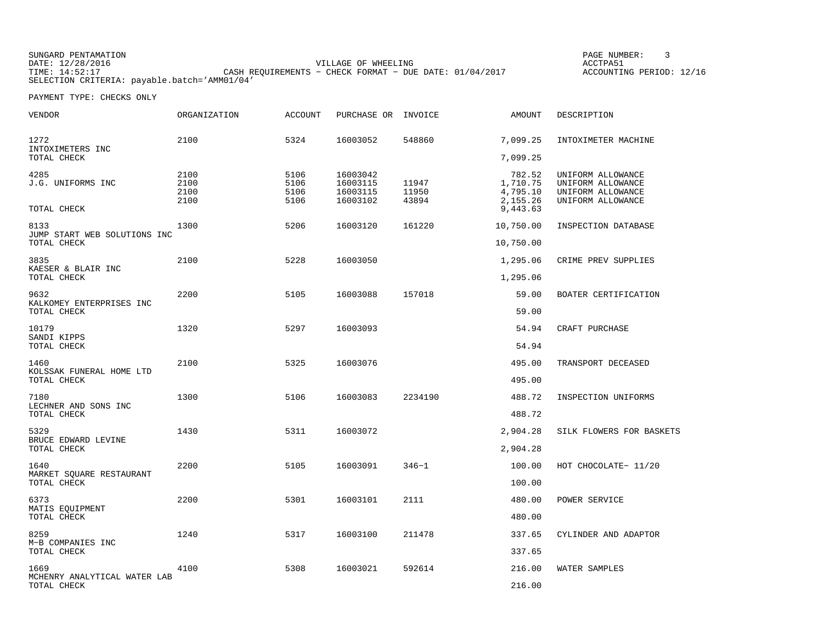SUNGARD PENTAMATION SUNGARD PENTAMATION SUNG PAGE NUMBER: 3 VILLAGE OF WHEELING **ACCTPA51** TIME: 14:52:17 CASH REQUIREMENTS − CHECK FORMAT − DUE DATE: 01/04/2017 SELECTION CRITERIA: payable.batch='AMM01/04'

ACCOUNTING PERIOD: 12/16

| VENDOR                                              | <b>ORGANIZATION</b>          | <b>ACCOUNT</b>               | PURCHASE OR                                  | INVOICE                 | AMOUNT                                                 | DESCRIPTION                                                                      |
|-----------------------------------------------------|------------------------------|------------------------------|----------------------------------------------|-------------------------|--------------------------------------------------------|----------------------------------------------------------------------------------|
| 1272<br>INTOXIMETERS INC                            | 2100                         | 5324                         | 16003052                                     | 548860                  | 7,099.25                                               | INTOXIMETER MACHINE                                                              |
| TOTAL CHECK                                         |                              |                              |                                              |                         | 7,099.25                                               |                                                                                  |
| 4285<br>J.G. UNIFORMS INC<br>TOTAL CHECK            | 2100<br>2100<br>2100<br>2100 | 5106<br>5106<br>5106<br>5106 | 16003042<br>16003115<br>16003115<br>16003102 | 11947<br>11950<br>43894 | 782.52<br>1,710.75<br>4,795.10<br>2,155.26<br>9,443.63 | UNIFORM ALLOWANCE<br>UNIFORM ALLOWANCE<br>UNIFORM ALLOWANCE<br>UNIFORM ALLOWANCE |
|                                                     |                              |                              |                                              |                         |                                                        |                                                                                  |
| 8133<br>JUMP START WEB SOLUTIONS INC<br>TOTAL CHECK | 1300                         | 5206                         | 16003120                                     | 161220                  | 10,750.00<br>10,750.00                                 | INSPECTION DATABASE                                                              |
| 3835                                                | 2100                         | 5228                         | 16003050                                     |                         | 1,295.06                                               | CRIME PREV SUPPLIES                                                              |
| KAESER & BLAIR INC<br>TOTAL CHECK                   |                              |                              |                                              |                         | 1,295.06                                               |                                                                                  |
| 9632                                                | 2200                         | 5105                         | 16003088                                     | 157018                  | 59.00                                                  | BOATER CERTIFICATION                                                             |
| KALKOMEY ENTERPRISES INC<br>TOTAL CHECK             |                              |                              |                                              |                         | 59.00                                                  |                                                                                  |
| 10179<br>SANDI KIPPS                                | 1320                         | 5297                         | 16003093                                     |                         | 54.94                                                  | CRAFT PURCHASE                                                                   |
| TOTAL CHECK                                         |                              |                              |                                              |                         | 54.94                                                  |                                                                                  |
| 1460<br>KOLSSAK FUNERAL HOME LTD                    | 2100                         | 5325                         | 16003076                                     |                         | 495.00                                                 | TRANSPORT DECEASED                                                               |
| TOTAL CHECK                                         |                              |                              |                                              |                         | 495.00                                                 |                                                                                  |
| 7180<br>LECHNER AND SONS INC                        | 1300                         | 5106                         | 16003083                                     | 2234190                 | 488.72                                                 | INSPECTION UNIFORMS                                                              |
| TOTAL CHECK                                         |                              |                              |                                              |                         | 488.72                                                 |                                                                                  |
| 5329<br>BRUCE EDWARD LEVINE                         | 1430                         | 5311                         | 16003072                                     |                         | 2,904.28                                               | SILK FLOWERS FOR BASKETS                                                         |
| TOTAL CHECK                                         |                              |                              |                                              |                         | 2,904.28                                               |                                                                                  |
| 1640<br>MARKET SQUARE RESTAURANT                    | 2200                         | 5105                         | 16003091                                     | $346 - 1$               | 100.00                                                 | HOT CHOCOLATE- 11/20                                                             |
| TOTAL CHECK                                         |                              |                              |                                              |                         | 100.00                                                 |                                                                                  |
| 6373<br>MATIS EQUIPMENT                             | 2200                         | 5301                         | 16003101                                     | 2111                    | 480.00                                                 | POWER SERVICE                                                                    |
| TOTAL CHECK                                         |                              |                              |                                              |                         | 480.00                                                 |                                                                                  |
| 8259<br>M-B COMPANIES INC                           | 1240                         | 5317                         | 16003100                                     | 211478                  | 337.65                                                 | CYLINDER AND ADAPTOR                                                             |
| TOTAL CHECK                                         |                              |                              |                                              |                         | 337.65                                                 |                                                                                  |
| 1669<br>MCHENRY ANALYTICAL WATER LAB                | 4100                         | 5308                         | 16003021                                     | 592614                  | 216.00                                                 | WATER SAMPLES                                                                    |
| TOTAL CHECK                                         |                              |                              |                                              |                         | 216.00                                                 |                                                                                  |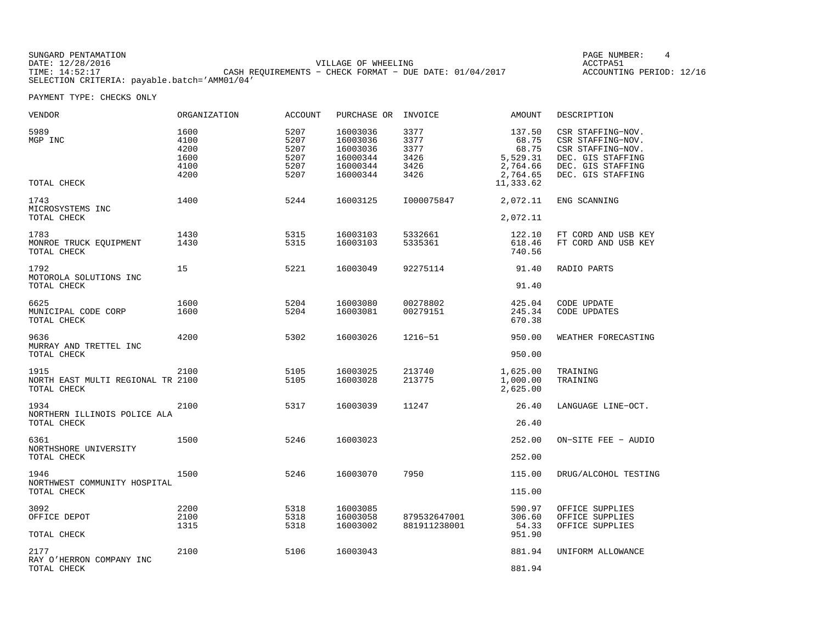SUNGARD PENTAMATION SUNGARD PENTAMATION SUNG PAGE NUMBER: 4 VILLAGE OF WHEELING **ACCTPA51** TIME: 14:52:17 CASH REQUIREMENTS − CHECK FORMAT − DUE DATE: 01/04/2017 SELECTION CRITERIA: payable.batch='AMM01/04'

ACCOUNTING PERIOD: 12/16

| 5989<br>MGP INC                                          | 1600<br>4100<br>4200<br>1600<br>4100<br>4200 | 5207<br>5207<br>5207<br>5207<br>5207<br>5207 | 16003036<br>16003036<br>16003036<br>16000344<br>16000344<br>16000344 | 3377<br>3377<br>3377<br>3426<br>3426<br>3426 | 137.50<br>68.75<br>68.75<br>5,529.31<br>2,764.66<br>2,764.65 | CSR STAFFING-NOV.<br>CSR STAFFING-NOV.<br>CSR STAFFING-NOV.<br>DEC. GIS STAFFING<br>DEC. GIS STAFFING<br>DEC. GIS STAFFING |
|----------------------------------------------------------|----------------------------------------------|----------------------------------------------|----------------------------------------------------------------------|----------------------------------------------|--------------------------------------------------------------|----------------------------------------------------------------------------------------------------------------------------|
| TOTAL CHECK                                              |                                              |                                              |                                                                      |                                              | 11,333.62                                                    |                                                                                                                            |
| 1743<br>MICROSYSTEMS INC<br>TOTAL CHECK                  | 1400                                         | 5244                                         | 16003125                                                             | I000075847                                   | 2,072.11<br>2,072.11                                         | ENG SCANNING                                                                                                               |
| 1783<br>MONROE TRUCK EQUIPMENT<br>TOTAL CHECK            | 1430<br>1430                                 | 5315<br>5315                                 | 16003103<br>16003103                                                 | 5332661<br>5335361                           | 122.10<br>618.46<br>740.56                                   | FT CORD AND USB KEY<br>FT CORD AND USB KEY                                                                                 |
| 1792<br>MOTOROLA SOLUTIONS INC                           | 15                                           | 5221                                         | 16003049                                                             | 92275114                                     | 91.40                                                        | RADIO PARTS                                                                                                                |
| TOTAL CHECK                                              |                                              |                                              |                                                                      |                                              | 91.40                                                        |                                                                                                                            |
| 6625<br>MUNICIPAL CODE CORP<br>TOTAL CHECK               | 1600<br>1600                                 | 5204<br>5204                                 | 16003080<br>16003081                                                 | 00278802<br>00279151                         | 425.04<br>245.34<br>670.38                                   | CODE UPDATE<br><b>CODE UPDATES</b>                                                                                         |
| 9636<br>MURRAY AND TRETTEL INC<br>TOTAL CHECK            | 4200                                         | 5302                                         | 16003026                                                             | 1216-51                                      | 950.00<br>950.00                                             | WEATHER FORECASTING                                                                                                        |
| 1915<br>NORTH EAST MULTI REGIONAL TR 2100<br>TOTAL CHECK | 2100                                         | 5105<br>5105                                 | 16003025<br>16003028                                                 | 213740<br>213775                             | 1,625.00<br>1,000.00<br>2,625.00                             | TRAINING<br>TRAINING                                                                                                       |
| 1934<br>NORTHERN ILLINOIS POLICE ALA<br>TOTAL CHECK      | 2100                                         | 5317                                         | 16003039                                                             | 11247                                        | 26.40<br>26.40                                               | LANGUAGE LINE-OCT.                                                                                                         |
| 6361<br>NORTHSHORE UNIVERSITY                            | 1500                                         | 5246                                         | 16003023                                                             |                                              | 252.00                                                       | ON-SITE FEE - AUDIO                                                                                                        |
| TOTAL CHECK                                              |                                              |                                              |                                                                      |                                              | 252.00                                                       |                                                                                                                            |
| 1946<br>NORTHWEST COMMUNITY HOSPITAL<br>TOTAL CHECK      | 1500                                         | 5246                                         | 16003070                                                             | 7950                                         | 115.00                                                       | DRUG/ALCOHOL TESTING                                                                                                       |
|                                                          |                                              |                                              |                                                                      |                                              | 115.00                                                       |                                                                                                                            |
| 3092<br>OFFICE DEPOT<br>TOTAL CHECK                      | 2200<br>2100<br>1315                         | 5318<br>5318<br>5318                         | 16003085<br>16003058<br>16003002                                     | 879532647001<br>881911238001                 | 590.97<br>306.60<br>54.33<br>951.90                          | OFFICE SUPPLIES<br>OFFICE SUPPLIES<br>OFFICE SUPPLIES                                                                      |
| 2177<br>RAY O'HERRON COMPANY INC<br>TOTAL CHECK          | 2100                                         | 5106                                         | 16003043                                                             |                                              | 881.94<br>881.94                                             | UNIFORM ALLOWANCE                                                                                                          |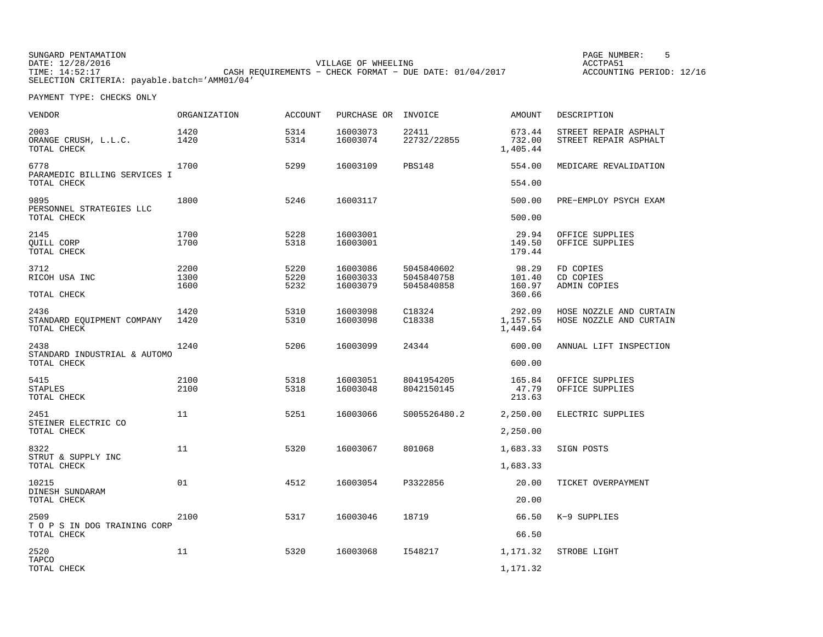SUNGARD PENTAMATION SUNGARD PENTAMATION SUNG PAGE NUMBER: 5 SENSING PAGE NUMBER: 5 SENSING PAGE NUMBER: 5 SENSI VILLAGE OF WHEELING **ACCTPA51** TIME: 14:52:17 CASH REQUIREMENTS − CHECK FORMAT − DUE DATE: 01/04/2017 SELECTION CRITERIA: payable.batch='AMM01/04'

ACCOUNTING PERIOD: 12/16

| <b>VENDOR</b>                                       | <b>ORGANIZATION</b> | <b>ACCOUNT</b> | PURCHASE OR          | INVOICE                  | AMOUNT                         | DESCRIPTION                                        |
|-----------------------------------------------------|---------------------|----------------|----------------------|--------------------------|--------------------------------|----------------------------------------------------|
| 2003<br>ORANGE CRUSH, L.L.C.<br>TOTAL CHECK         | 1420<br>1420        | 5314<br>5314   | 16003073<br>16003074 | 22411<br>22732/22855     | 673.44<br>732.00<br>1,405.44   | STREET REPAIR ASPHALT<br>STREET REPAIR ASPHALT     |
| 6778<br>PARAMEDIC BILLING SERVICES I<br>TOTAL CHECK | 1700                | 5299           | 16003109             | <b>PBS148</b>            | 554.00<br>554.00               | MEDICARE REVALIDATION                              |
|                                                     |                     |                |                      |                          |                                |                                                    |
| 9895<br>PERSONNEL STRATEGIES LLC<br>TOTAL CHECK     | 1800                | 5246           | 16003117             |                          | 500.00<br>500.00               | PRE-EMPLOY PSYCH EXAM                              |
| 2145                                                | 1700                | 5228           | 16003001             |                          | 29.94                          | OFFICE SUPPLIES                                    |
| OUILL CORP<br>TOTAL CHECK                           | 1700                | 5318           | 16003001             |                          | 149.50<br>179.44               | OFFICE SUPPLIES                                    |
| 3712                                                | 2200                | 5220           | 16003086             | 5045840602               | 98.29                          | FD COPIES                                          |
| RICOH USA INC                                       | 1300                | 5220<br>5232   | 16003033             | 5045840758               | 101.40                         | CD COPIES                                          |
| TOTAL CHECK                                         | 1600                |                | 16003079             | 5045840858               | 160.97<br>360.66               | ADMIN COPIES                                       |
| 2436<br>STANDARD EQUIPMENT COMPANY<br>TOTAL CHECK   | 1420<br>1420        | 5310<br>5310   | 16003098<br>16003098 | C18324<br>C18338         | 292.09<br>1,157.55<br>1,449.64 | HOSE NOZZLE AND CURTAIN<br>HOSE NOZZLE AND CURTAIN |
| 2438<br>STANDARD INDUSTRIAL & AUTOMO                | 1240                | 5206           | 16003099             | 24344                    | 600.00                         | ANNUAL LIFT INSPECTION                             |
| TOTAL CHECK                                         |                     |                |                      |                          | 600.00                         |                                                    |
| 5415<br><b>STAPLES</b><br>TOTAL CHECK               | 2100<br>2100        | 5318<br>5318   | 16003051<br>16003048 | 8041954205<br>8042150145 | 165.84<br>47.79<br>213.63      | OFFICE SUPPLIES<br>OFFICE SUPPLIES                 |
| 2451                                                | 11                  | 5251           | 16003066             | S005526480.2             | 2,250.00                       | ELECTRIC SUPPLIES                                  |
| STEINER ELECTRIC CO<br>TOTAL CHECK                  |                     |                |                      |                          | 2,250.00                       |                                                    |
| 8322                                                | 11                  | 5320           | 16003067             | 801068                   | 1,683.33                       | SIGN POSTS                                         |
| STRUT & SUPPLY INC<br>TOTAL CHECK                   |                     |                |                      |                          | 1,683.33                       |                                                    |
| 10215<br>DINESH SUNDARAM                            | 01                  | 4512           | 16003054             | P3322856                 | 20.00                          | TICKET OVERPAYMENT                                 |
| TOTAL CHECK                                         |                     |                |                      |                          | 20.00                          |                                                    |
| 2509<br>T O P S IN DOG TRAINING CORP                | 2100                | 5317           | 16003046             | 18719                    | 66.50                          | K-9 SUPPLIES                                       |
| TOTAL CHECK                                         |                     |                |                      |                          | 66.50                          |                                                    |
| 2520<br>TAPCO                                       | 11                  | 5320           | 16003068             | I548217                  | 1,171.32                       | STROBE LIGHT                                       |
| TOTAL CHECK                                         |                     |                |                      |                          | 1,171.32                       |                                                    |